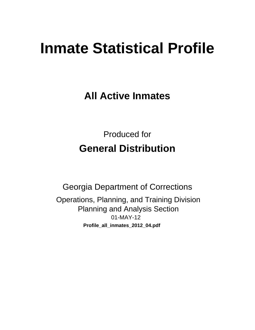# **Inmate Statistical Profile**

**All Active Inmates** 

**Produced for General Distribution** 

**Georgia Department of Corrections** Operations, Planning, and Training Division **Planning and Analysis Section** 01-MAY-12 Profile\_all\_inmates\_2012\_04.pdf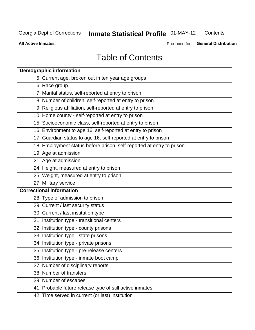#### **Inmate Statistical Profile 01-MAY-12** Contents

**All Active Inmates** 

Produced for General Distribution

# **Table of Contents**

| <b>Demographic information</b>                                       |
|----------------------------------------------------------------------|
| 5 Current age, broken out in ten year age groups                     |
| 6 Race group                                                         |
| 7 Marital status, self-reported at entry to prison                   |
| 8 Number of children, self-reported at entry to prison               |
| 9 Religious affiliation, self-reported at entry to prison            |
| 10 Home county - self-reported at entry to prison                    |
| 15 Socioeconomic class, self-reported at entry to prison             |
| 16 Environment to age 16, self-reported at entry to prison           |
| 17 Guardian status to age 16, self-reported at entry to prison       |
| 18 Employment status before prison, self-reported at entry to prison |
| 19 Age at admission                                                  |
| 21 Age at admission                                                  |
| 24 Height, measured at entry to prison                               |
| 25 Weight, measured at entry to prison                               |
| 27 Military service                                                  |
| <b>Correctional information</b>                                      |
| 28 Type of admission to prison                                       |
| 29 Current / last security status                                    |
| 30 Current / last institution type                                   |
| 31 Institution type - transitional centers                           |
| 32 Institution type - county prisons                                 |
| 33 Institution type - state prisons                                  |
| 34 Institution type - private prisons                                |
| 35 Institution type - pre-release centers                            |
| 36 Institution type - inmate boot camp                               |
| 37 Number of disciplinary reports                                    |
| 38 Number of transfers                                               |
| 39 Number of escapes                                                 |
| 41 Probable future release type of still active inmates              |
| 42 Time served in current (or last) institution                      |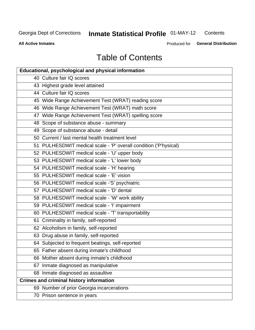#### **Inmate Statistical Profile 01-MAY-12** Contents

**All Active Inmates** 

Produced for General Distribution

# **Table of Contents**

| <b>Educational, psychological and physical information</b>       |
|------------------------------------------------------------------|
| 40 Culture fair IQ scores                                        |
| 43 Highest grade level attained                                  |
| 44 Culture fair IQ scores                                        |
| 45 Wide Range Achievement Test (WRAT) reading score              |
| 46 Wide Range Achievement Test (WRAT) math score                 |
| 47 Wide Range Achievement Test (WRAT) spelling score             |
| 48 Scope of substance abuse - summary                            |
| 49 Scope of substance abuse - detail                             |
| 50 Current / last mental health treatment level                  |
| 51 PULHESDWIT medical scale - 'P' overall condition ('P'hysical) |
| 52 PULHESDWIT medical scale - 'U' upper body                     |
| 53 PULHESDWIT medical scale - 'L' lower body                     |
| 54 PULHESDWIT medical scale - 'H' hearing                        |
| 55 PULHESDWIT medical scale - 'E' vision                         |
| 56 PULHESDWIT medical scale -'S' psychiatric                     |
| 57 PULHESDWIT medical scale - 'D' dental                         |
| 58 PULHESDWIT medical scale - 'W' work ability                   |
| 59 PULHESDWIT medical scale - 'I' impairment                     |
| 60 PULHESDWIT medical scale - 'T' transportability               |
| 61 Criminality in family, self-reported                          |
| 62 Alcoholism in family, self-reported                           |
| 63 Drug abuse in family, self-reported                           |
| 64 Subjected to frequent beatings, self-reported                 |
| 65 Father absent during inmate's childhood                       |
| 66 Mother absent during inmate's childhood                       |
| 67 Inmate diagnosed as manipulative                              |
| 68 Inmate diagnosed as assaultive                                |
| <b>Crimes and criminal history information</b>                   |
| 69 Number of prior Georgia incarcerations                        |
| 70 Prison sentence in years                                      |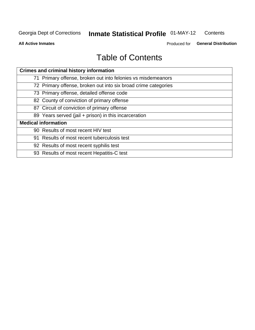#### **Inmate Statistical Profile 01-MAY-12** Contents

**All Active Inmates** 

Produced for General Distribution

# **Table of Contents**

| <b>Crimes and criminal history information</b>                 |
|----------------------------------------------------------------|
| 71 Primary offense, broken out into felonies vs misdemeanors   |
| 72 Primary offense, broken out into six broad crime categories |
| 73 Primary offense, detailed offense code                      |
| 82 County of conviction of primary offense                     |
| 87 Circuit of conviction of primary offense                    |
| 89 Years served (jail + prison) in this incarceration          |
| <b>Medical information</b>                                     |
| 90 Results of most recent HIV test                             |
| 91 Results of most recent tuberculosis test                    |
| 92 Results of most recent syphilis test                        |
| 93 Results of most recent Hepatitis-C test                     |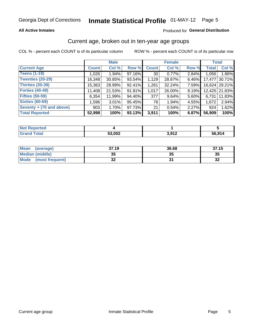### **All Active Inmates**

### Produced for General Distribution

### Current age, broken out in ten-year age groups

COL % - percent each COUNT is of its particular column

|                          |              | <b>Male</b> |        |                 | <b>Female</b> |       | <b>Total</b> |               |
|--------------------------|--------------|-------------|--------|-----------------|---------------|-------|--------------|---------------|
| <b>Current Age</b>       | <b>Count</b> | Col %       | Row %  | <b>Count</b>    | Col %         | Row % | <b>Total</b> | Col %         |
| <b>Teens (1-19)</b>      | 1,026        | 1.94%       | 97.16% | 30 <sup>1</sup> | 0.77%         | 2.84% | 1,056        | 1.86%         |
| <b>Twenties (20-29)</b>  | 16,348       | $30.85\%$   | 93.54% | 1,129           | 28.87%        | 6.46% | 17,477       | 30.71%        |
| <b>Thirties (30-39)</b>  | 15,363       | 28.99%      | 92.41% | 1,261           | 32.24%        | 7.59% |              | 16,624 29.21% |
| <b>Forties (40-49)</b>   | 11,408       | 21.53%      | 91.81% | 1,017           | 26.00%        | 8.19% |              | 12,425 21.83% |
| <b>Fifties (50-59)</b>   | 6,354        | 11.99%      | 94.40% | 377             | 9.64%         | 5.60% | 6,731        | 11.83%        |
| <b>Sixties (60-69)</b>   | 1,596        | 3.01%       | 95.45% | 76              | 1.94%         | 4.55% | 1,672        | 2.94%         |
| Seventy + (70 and above) | 903          | 1.70%       | 97.73% | 21              | 0.54%         | 2.27% | 924          | 1.62%         |
| <b>Total Reported</b>    | 52,998       | 100%        | 93.13% | 3,911           | 100%          | 6.87% | 56,909       | 100%          |

| <b>Not Reported</b> |        |       |        |
|---------------------|--------|-------|--------|
| <b>Total</b>        | 53,002 | 3,912 | 56.91/ |

| <b>Mean</b><br>(average)       | 37.19    | 36.68 | 37.15        |
|--------------------------------|----------|-------|--------------|
| Median (middle)                | つん<br>vu | JJ    | 35           |
| <b>Mode</b><br>(most frequent) | n,<br>◡▴ |       | $\sim$<br>⊾ت |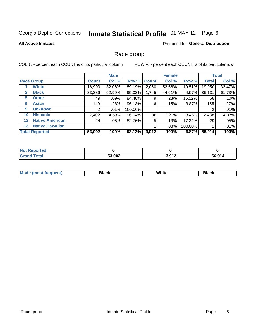# Inmate Statistical Profile 01-MAY-12 Page 6

#### **All Active Inmates**

#### Produced for General Distribution

### Race group

COL % - percent each COUNT is of its particular column

|                   |                        |              | <b>Male</b> |             |       | <b>Female</b> |         |              | <b>Total</b> |
|-------------------|------------------------|--------------|-------------|-------------|-------|---------------|---------|--------------|--------------|
|                   | <b>Race Group</b>      | <b>Count</b> | Col %       | Row % Count |       | Col %         | Row %   | <b>Total</b> | Col %        |
|                   | <b>White</b>           | 16,990       | 32.06%      | 89.19%      | 2,060 | 52.66%        | 10.81%  | 19,050       | 33.47%       |
| 2                 | <b>Black</b>           | 33,386       | 62.99%      | 95.03%      | 1,745 | 44.61%        | 4.97%   | 35,131       | 61.73%       |
| 5                 | <b>Other</b>           | 49           | .09%        | 84.48%      | 9     | .23%          | 15.52%  | 58           | .10%         |
| 6                 | <b>Asian</b>           | 149          | .28%        | 96.13%      | 6     | .15%          | 3.87%   | 155          | .27%         |
| 9                 | <b>Unknown</b>         | 2            | $.01\%$     | 100.00%     |       |               |         | 2            | .01%         |
| 10                | <b>Hispanic</b>        | 2,402        | 4.53%       | 96.54%      | 86    | 2.20%         | 3.46%   | 2,488        | 4.37%        |
| $12 \overline{ }$ | <b>Native American</b> | 24           | .05%        | 82.76%      | 5     | .13%          | 17.24%  | 29           | .05%         |
| 13                | <b>Native Hawaiian</b> |              |             |             |       | .03%          | 100.00% |              | .01%         |
|                   | <b>Total Reported</b>  | 53,002       | 100%        | 93.13%      | 3,912 | 100%          | 6.87%   | 56,914       | 100%         |

| <b>Reported</b><br>' NOT |        |                          |                              |
|--------------------------|--------|--------------------------|------------------------------|
| <b>cotal</b>             | 53,002 | 2.012<br><b>ے ا</b> د, ب | 56.914<br>--<br>$\mathbf{v}$ |

| Mode (<br>tenti<br>most tren | こうへん | White<br>$\sim$ $\sim$ $\sim$ | <b>Black</b> |
|------------------------------|------|-------------------------------|--------------|
|                              |      |                               |              |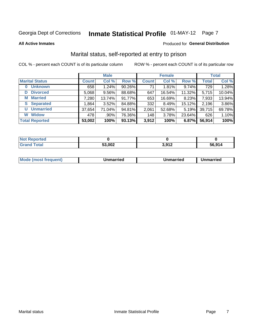# Inmate Statistical Profile 01-MAY-12 Page 7

#### **All Active Inmates**

#### Produced for General Distribution

### Marital status, self-reported at entry to prison

COL % - percent each COUNT is of its particular column

|                            |              | <b>Male</b> |        |              | <b>Female</b> |        |              | <b>Total</b> |
|----------------------------|--------------|-------------|--------|--------------|---------------|--------|--------------|--------------|
| <b>Marital Status</b>      | <b>Count</b> | Col %       | Row %  | <b>Count</b> | Col %         | Row %  | <b>Total</b> | Col %        |
| <b>Unknown</b><br>$\bf{0}$ | 658          | 1.24%       | 90.26% | 71           | 1.81%         | 9.74%  | 729          | 1.28%        |
| <b>Divorced</b><br>D       | 5,068        | $9.56\%$    | 88.68% | 647          | 16.54%        | 11.32% | 5,715        | 10.04%       |
| <b>Married</b><br>M        | 7,280        | 13.74%      | 91.77% | 653          | 16.69%        | 8.23%  | 7,933        | 13.94%       |
| <b>S</b> Separated         | 1,864        | 3.52%       | 84.88% | 332          | 8.49%         | 15.12% | 2,196        | 3.86%        |
| <b>Unmarried</b><br>U      | 37,654       | 71.04%      | 94.81% | 2,061        | 52.68%        | 5.19%  | 39,715       | 69.78%       |
| <b>Widow</b><br>W          | 478          | $.90\%$     | 76.36% | 148          | 3.78%         | 23.64% | 626          | 1.10%        |
| <b>Total Reported</b>      | 53,002       | 100%        | 93.13% | 3,912        | 100%          | 6.87%  | 56,914       | 100%         |

| orted<br>I NOT |        |         |        |
|----------------|--------|---------|--------|
| $f$ ntal $f$   | ra aaa | 2012    | 56.914 |
| . Gr           | JJ,UUZ | J, J, L |        |

|--|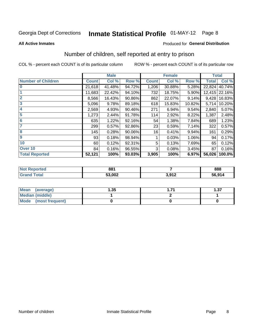# Inmate Statistical Profile 01-MAY-12 Page 8

#### **All Active Inmates**

### **Produced for General Distribution**

### Number of children, self reported at entry to prison

COL % - percent each COUNT is of its particular column

|                           |              | <b>Male</b> |        |              | <b>Female</b> |        | <b>Total</b> |        |
|---------------------------|--------------|-------------|--------|--------------|---------------|--------|--------------|--------|
| <b>Number of Children</b> | <b>Count</b> | Col %       | Row %  | <b>Count</b> | Col %         | Row %  | <b>Total</b> | Col %  |
| $\bf{0}$                  | 21,618       | 41.48%      | 94.72% | 1,206        | 30.88%        | 5.28%  | 22,824       | 40.74% |
|                           | 11,683       | 22.42%      | 94.10% | 732          | 18.75%        | 5.90%  | 12,415       | 22.16% |
| $\overline{2}$            | 8,566        | 16.43%      | 90.86% | 862          | 22.07%        | 9.14%  | 9,428        | 16.83% |
| 3                         | 5,096        | 9.78%       | 89.18% | 618          | 15.83%        | 10.82% | 5,714        | 10.20% |
| 4                         | 2,569        | 4.93%       | 90.46% | 271          | 6.94%         | 9.54%  | 2,840        | 5.07%  |
| 5                         | 1,273        | 2.44%       | 91.78% | 114          | 2.92%         | 8.22%  | 1,387        | 2.48%  |
| 6                         | 635          | 1.22%       | 92.16% | 54           | 1.38%         | 7.84%  | 689          | 1.23%  |
|                           | 299          | 0.57%       | 92.86% | 23           | 0.59%         | 7.14%  | 322          | 0.57%  |
| 8                         | 145          | 0.28%       | 90.06% | 16           | 0.41%         | 9.94%  | 161          | 0.29%  |
| $\boldsymbol{9}$          | 93           | 0.18%       | 98.94% |              | 0.03%         | 1.06%  | 94           | 0.17%  |
| 10                        | 60           | 0.12%       | 92.31% | 5            | 0.13%         | 7.69%  | 65           | 0.12%  |
| Over 10                   | 84           | 0.16%       | 96.55% | 3            | 0.08%         | 3.45%  | 87           | 0.16%  |
| <b>Total Reported</b>     | 52,121       | 100%        | 93.03% | 3,905        | 100%          | 6.97%  | 56,026       | 100.0% |

| 881    |              | 888    |
|--------|--------------|--------|
| 53.002 | 2.01c<br>ॱ▗▃ | 56,914 |

| <b>Mean</b><br>(average)       | .35 | l.37 |
|--------------------------------|-----|------|
| <b>Median (middle)</b>         |     |      |
| <b>Mode</b><br>(most frequent) |     |      |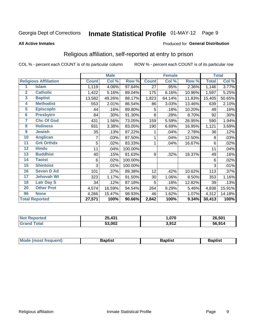# Inmate Statistical Profile 01-MAY-12 Page 9

#### **All Active Inmates**

#### Produced for General Distribution

### Religious affiliation, self-reported at entry to prison

COL % - percent each COUNT is of its particular column

|                         |                              |              | <b>Male</b> |         |              | <b>Female</b> |        |              | <b>Total</b> |
|-------------------------|------------------------------|--------------|-------------|---------|--------------|---------------|--------|--------------|--------------|
|                         | <b>Religious Affiliation</b> | <b>Count</b> | Col %       | Row %   | <b>Count</b> | Col %         | Row %  | <b>Total</b> | CoI%         |
| 1                       | <b>Islam</b>                 | 1,119        | 4.06%       | 97.64%  | 27           | .95%          | 2.36%  | 1,146        | 3.77%        |
| $\overline{2}$          | <b>Catholic</b>              | 1,422        | 5.16%       | 89.04%  | 175          | 6.16%         | 10.96% | 1,597        | 5.25%        |
| $\mathbf{3}$            | <b>Baptist</b>               | 13,582       | 49.26%      | 88.17%  | 1,823        | 64.14%        | 11.83% | 15,405       | 50.65%       |
| 4                       | <b>Methodist</b>             | 553          | 2.01%       | 86.54%  | 86           | 3.03%         | 13.46% | 639          | 2.10%        |
| $\overline{\mathbf{5}}$ | <b>EpiscopIn</b>             | 44           | .16%        | 89.80%  | 5            | .18%          | 10.20% | 49           | .16%         |
| $6\overline{6}$         | <b>Presbytrn</b>             | 84           | .30%        | 91.30%  | 8            | .28%          | 8.70%  | 92           | .30%         |
| 7                       | <b>Chc Of God</b>            | 431          | 1.56%       | 73.05%  | 159          | 5.59%         | 26.95% | 590          | 1.94%        |
| 8                       | <b>Holiness</b>              | 931          | 3.38%       | 83.05%  | 190          | 6.69%         | 16.95% | 1,121        | 3.69%        |
| 9                       | <b>Jewish</b>                | 35           | .13%        | 97.22%  |              | .04%          | 2.78%  | 36           | .12%         |
| 10                      | <b>Anglican</b>              |              | .03%        | 87.50%  |              | .04%          | 12.50% | 8            | .03%         |
| 11                      | <b>Grk Orthdx</b>            | 5            | .02%        | 83.33%  |              | .04%          | 16.67% | 6            | .02%         |
| 12                      | <b>Hindu</b>                 | 11           | .04%        | 100.00% |              |               |        | 11           | .04%         |
| 13                      | <b>Buddhist</b>              | 40           | .15%        | 81.63%  | 9            | .32%          | 18.37% | 49           | .16%         |
| 14                      | <b>Taoist</b>                | 6            | .02%        | 100.00% |              |               |        | 6            | .02%         |
| 15                      | <b>Shintoist</b>             | 3            | .01%        | 100.00% |              |               |        | 3            | .01%         |
| 16                      | <b>Seven D Ad</b>            | 101          | .37%        | 89.38%  | 12           | .42%          | 10.62% | 113          | .37%         |
| $\overline{17}$         | <b>Jehovah Wt</b>            | 323          | 1.17%       | 91.50%  | 30           | 1.06%         | 8.50%  | 353          | 1.16%        |
| 18                      | <b>Latr Day S</b>            | 34           | .12%        | 87.18%  | 5            | .18%          | 12.82% | 39           | .13%         |
| 20                      | <b>Other Prot</b>            | 4,574        | 16.59%      | 94.54%  | 264          | 9.29%         | 5.46%  | 4,838        | 15.91%       |
| 96                      | <b>None</b>                  | 4,266        | 15.47%      | 98.93%  | 46           | 1.62%         | 1.07%  | 4,312        | 14.18%       |
|                         | <b>Total Reported</b>        | 27,571       | 100%        | 90.66%  | 2,842        | 100%          | 9.34%  | 30,413       | 100%         |

| $\overline{1}31$<br>25 <sub>5</sub> | ,070              | 26,501 |
|-------------------------------------|-------------------|--------|
| 53,002                              | 1 מי 2<br>J,J I 4 |        |

|  |  | Mode (most frequent) | Baptist | Baptist | <b>Baptist</b> |
|--|--|----------------------|---------|---------|----------------|
|--|--|----------------------|---------|---------|----------------|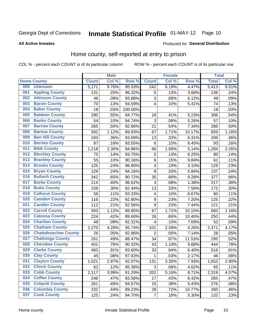# Inmate Statistical Profile 01-MAY-12 Page 10

#### **All Active Inmates**

### **Produced for General Distribution**

### Home county, self-reported at entry to prison

COL % - percent each COUNT is of its particular column

|     |                             |              | <b>Male</b> |         |                  | <b>Female</b> |        | <b>Total</b> |       |
|-----|-----------------------------|--------------|-------------|---------|------------------|---------------|--------|--------------|-------|
|     | <b>Home County</b>          | <b>Count</b> | Col %       | Row %   | <b>Count</b>     | Col %         | Row %  | <b>Total</b> | Col % |
| 000 | <b>Unknown</b>              | 5,171        | 9.76%       | 95.53%  | 242              | 6.19%         | 4.47%  | 5,413        | 9.51% |
| 001 | <b>Appling County</b>       | 131          | .25%        | 96.32%  | 5                | .13%          | 3.68%  | 136          | .24%  |
| 002 | <b>Atkinson County</b>      | 46           | .09%        | 93.88%  | $\mathbf{3}$     | .08%          | 6.12%  | 49           | .09%  |
| 003 | <b>Bacon County</b>         | 70           | .13%        | 94.59%  | $\overline{4}$   | .10%          | 5.41%  | 74           | .13%  |
| 004 | <b>Baker County</b>         | 18           | .03%        | 100.00% |                  |               |        | 18           | .03%  |
| 005 | <b>Baldwin County</b>       | 290          | .55%        | 94.77%  | 16               | .41%          | 5.23%  | 306          | .54%  |
| 006 | <b>Banks County</b>         | 54           | .10%        | 94.74%  | $\mathbf{3}$     | .08%          | 5.26%  | 57           | .10%  |
| 007 | <b>Barrow County</b>        | 265          | .50%        | 92.66%  | 21               | .54%          | 7.34%  | 286          | .50%  |
| 008 | <b>Bartow County</b>        | 592          | 1.12%       | 89.83%  | 67               | 1.71%         | 10.17% | 659          | 1.16% |
| 009 | <b>Ben Hill County</b>      | 193          | .36%        | 93.69%  | 13               | .33%          | 6.31%  | 206          | .36%  |
| 010 | <b>Berrien County</b>       | 87           | .16%        | 93.55%  | $\,6$            | .15%          | 6.45%  | 93           | .16%  |
| 011 | <b>Bibb County</b>          | 1,218        | 2.30%       | 94.86%  | 66               | 1.69%         | 5.14%  | 1,284        | 2.26% |
| 012 | <b>Bleckley County</b>      | 75           | .14%        | 93.75%  | 5                | .13%          | 6.25%  | 80           | .14%  |
| 013 | <b>Brantley County</b>      | 55           | .10%        | 90.16%  | $\,6$            | .15%          | 9.84%  | 61           | .11%  |
| 014 | <b>Brooks County</b>        | 125          | .24%        | 96.90%  | $\overline{4}$   | .10%          | 3.10%  | 129          | .23%  |
| 015 | <b>Bryan County</b>         | 129          | .24%        | 94.16%  | 8                | .20%          | 5.84%  | 137          | .24%  |
| 016 | <b>Bulloch County</b>       | 342          | .65%        | 90.72%  | 35               | .89%          | 9.28%  | 377          | .66%  |
| 017 | <b>Burke County</b>         | 214          | .40%        | 98.62%  | $\mathbf{3}$     | .08%          | 1.38%  | 217          | .38%  |
| 018 | <b>Butts County</b>         | 159          | .30%        | 92.44%  | 13               | .33%          | 7.56%  | 172          | .30%  |
| 019 | <b>Calhoun County</b>       | 56           | .11%        | 93.33%  | 4                | .10%          | 6.67%  | 60           | .11%  |
| 020 | <b>Camden County</b>        | 116          | .22%        | 92.80%  | $\boldsymbol{9}$ | .23%          | 7.20%  | 125          | .22%  |
| 021 | <b>Candler County</b>       | 112          | .21%        | 92.56%  | $\boldsymbol{9}$ | .23%          | 7.44%  | 121          | .21%  |
| 022 | <b>Carroll County</b>       | 593          | 1.12%       | 89.85%  | 67               | 1.71%         | 10.15% | 660          | 1.16% |
| 023 | <b>Catoosa County</b>       | 224          | .42%        | 89.60%  | 26               | .66%          | 10.40% | 250          | .44%  |
| 024 | <b>Charlton County</b>      | 48           | .09%        | 92.31%  | 4                | .10%          | 7.69%  | 52           | .09%  |
| 025 | <b>Chatham County</b>       | 2,270        | 4.28%       | 95.74%  | 101              | 2.58%         | 4.26%  | 2,371        | 4.17% |
| 026 | <b>Chattahoochee County</b> | 26           | .05%        | 92.86%  | 2                | .05%          | 7.14%  | 28           | .05%  |
| 027 | <b>Chattooga County</b>     | 261          | .49%        | 88.47%  | 34               | .87%          | 11.53% | 295          | .52%  |
| 028 | <b>Cherokee County</b>      | 401          | .76%        | 90.32%  | 43               | 1.10%         | 9.68%  | 444          | .78%  |
| 029 | <b>Clarke County</b>        | 483          | $.91\%$     | 93.60%  | 33               | .84%          | 6.40%  | 516          | .91%  |
| 030 | <b>Clay County</b>          | 45           | .08%        | 97.83%  | 1                | .03%          | 2.17%  | 46           | .08%  |
| 031 | <b>Clayton County</b>       | 1,521        | 2.87%       | 92.07%  | 131              | 3.35%         | 7.93%  | 1,652        | 2.90% |
| 032 | <b>Clinch County</b>        | 62           | .12%        | 95.38%  | 3                | .08%          | 4.62%  | 65           | .11%  |
| 033 | <b>Cobb County</b>          | 2,117        | 3.99%       | 91.29%  | 202              | 5.16%         | 8.71%  | 2,319        | 4.07% |
| 034 | <b>Coffee County</b>        | 248          | .47%        | 93.58%  | 17               | .43%          | 6.42%  | 265          | .47%  |
| 035 | <b>Colquitt County</b>      | 261          | .49%        | 94.57%  | 15               | .38%          | 5.43%  | 276          | .48%  |
| 036 | <b>Columbia County</b>      | 232          | .44%        | 89.23%  | 28               | .72%          | 10.77% | 260          | .46%  |
| 037 | <b>Cook County</b>          | 125          | .24%        | 94.70%  | $\overline{7}$   | .18%          | 5.30%  | 132          | .23%  |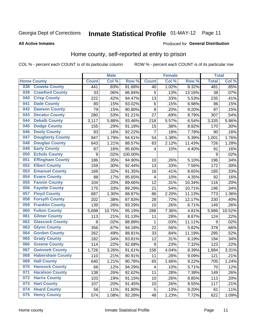# Inmate Statistical Profile 01-MAY-12 Page 11

**All Active Inmates** 

### **Produced for General Distribution**

### Home county, self-reported at entry to prison

COL % - percent each COUNT is of its particular column

|     |                         |                  | <b>Male</b> |         |                  | <b>Female</b> |        | <b>Total</b> |        |
|-----|-------------------------|------------------|-------------|---------|------------------|---------------|--------|--------------|--------|
|     | <b>Home County</b>      | <b>Count</b>     | Col %       | Row %   | <b>Count</b>     | Col %         | Row %  | <b>Total</b> | Col %  |
| 038 | <b>Coweta County</b>    | 441              | .83%        | 91.68%  | 40               | 1.02%         | 8.32%  | 481          | .85%   |
| 039 | <b>Crawford County</b>  | 33               | .06%        | 86.84%  | 5                | .13%          | 13.16% | 38           | .07%   |
| 040 | <b>Crisp County</b>     | 222              | .42%        | 94.47%  | 13               | .33%          | 5.53%  | 235          | .41%   |
| 041 | <b>Dade County</b>      | 80               | .15%        | 93.02%  | $\,6$            | .15%          | 6.98%  | 86           | .15%   |
| 042 | <b>Dawson County</b>    | 79               | .15%        | 90.80%  | $\bf 8$          | .20%          | 9.20%  | 87           | .15%   |
| 043 | <b>Decatur County</b>   | 280              | .53%        | 91.21%  | 27               | .69%          | 8.79%  | 307          | .54%   |
| 044 | <b>Dekalb County</b>    | 3,117            | 5.88%       | 93.46%  | 218              | 5.57%         | 6.54%  | 3,335        | 5.86%  |
| 045 | <b>Dodge County</b>     | 155              | .29%        | 91.18%  | 15               | .38%          | 8.82%  | 170          | .30%   |
| 046 | <b>Dooly County</b>     | 83               | .16%        | 92.22%  | $\overline{7}$   | .18%          | 7.78%  | 90           | .16%   |
| 047 | <b>Dougherty County</b> | 947              | 1.79%       | 94.61%  | 54               | 1.38%         | 5.39%  | 1,001        | 1.76%  |
| 048 | <b>Douglas County</b>   | 643              | 1.21%       | 88.57%  | 83               | 2.12%         | 11.43% | 726          | 1.28%  |
| 049 | <b>Early County</b>     | 87               | .16%        | 95.60%  | 4                | .10%          | 4.40%  | 91           | .16%   |
| 050 | <b>Echols County</b>    | $\boldsymbol{9}$ | .02%        | 100.00% |                  |               |        | 9            | .02%   |
| 051 | <b>Effingham County</b> | 186              | .35%        | 94.90%  | 10               | .26%          | 5.10%  | 196          | .34%   |
| 052 | <b>Elbert County</b>    | 159              | .30%        | 92.44%  | 13               | .33%          | 7.56%  | 172          | .30%   |
| 053 | <b>Emanuel County</b>   | 169              | .32%        | 91.35%  | 16               | .41%          | 8.65%  | 185          | .33%   |
| 054 | <b>Evans County</b>     | 88               | .17%        | 95.65%  | 4                | .10%          | 4.35%  | 92           | .16%   |
| 055 | <b>Fannin County</b>    | 104              | .20%        | 89.66%  | 12               | .31%          | 10.34% | 116          | .20%   |
| 056 | <b>Fayette County</b>   | 175              | .33%        | 89.29%  | 21               | .54%          | 10.71% | 196          | .34%   |
| 057 | <b>Floyd County</b>     | 687              | 1.30%       | 88.87%  | 86               | 2.20%         | 11.13% | 773          | 1.36%  |
| 058 | <b>Forsyth County</b>   | 202              | .38%        | 87.83%  | 28               | .72%          | 12.17% | 230          | .40%   |
| 059 | <b>Franklin County</b>  | 139              | .26%        | 93.29%  | 10               | .26%          | 6.71%  | 149          | .26%   |
| 060 | <b>Fulton County</b>    | 5,698            | 10.75%      | 95.19%  | 288              | 7.36%         | 4.81%  | 5,986        | 10.52% |
| 061 | <b>Gilmer County</b>    | 113              | .21%        | 91.13%  | 11               | .28%          | 8.87%  | 124          | .22%   |
| 062 | <b>Glascock County</b>  | 8                | .02%        | 88.89%  | 1                | .03%          | 11.11% | 9            | .02%   |
| 063 | <b>Glynn County</b>     | 356              | .67%        | 94.18%  | 22               | .56%          | 5.82%  | 378          | .66%   |
| 064 | <b>Gordon County</b>    | 262              | .49%        | 88.81%  | 33               | .84%          | 11.19% | 295          | .52%   |
| 065 | <b>Grady County</b>     | 182              | .34%        | 93.81%  | 12               | .31%          | 6.19%  | 194          | .34%   |
| 066 | <b>Greene County</b>    | 114              | .22%        | 92.68%  | $\boldsymbol{9}$ | .23%          | 7.32%  | 123          | .22%   |
| 067 | <b>Gwinnett County</b>  | 1,726            | 3.26%       | 91.61%  | 158              | 4.04%         | 8.39%  | 1,884        | 3.31%  |
| 068 | <b>Habersham County</b> | 110              | .21%        | 90.91%  | 11               | .28%          | 9.09%  | 121          | .21%   |
| 069 | <b>Hall County</b>      | 640              | 1.21%       | 90.78%  | 65               | 1.66%         | 9.22%  | 705          | 1.24%  |
| 070 | <b>Hancock County</b>   | 66               | .12%        | 94.29%  | $\overline{4}$   | .10%          | 5.71%  | 70           | .12%   |
| 071 | <b>Haralson County</b>  | 138              | .26%        | 92.62%  | 11               | .28%          | 7.38%  | 149          | .26%   |
| 072 | <b>Harris County</b>    | 103              | .19%        | 91.15%  | 10               | .26%          | 8.85%  | 113          | .20%   |
| 073 | <b>Hart County</b>      | 107              | .20%        | 91.45%  | 10               | .26%          | 8.55%  | 117          | .21%   |
| 074 | <b>Heard County</b>     | 56               | .11%        | 91.80%  | 5                | .13%          | 8.20%  | 61           | .11%   |
| 075 | <b>Henry County</b>     | 574              | 1.08%       | 92.28%  | 48               | 1.23%         | 7.72%  | 622          | 1.09%  |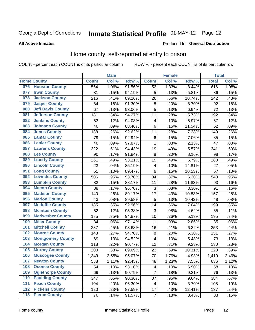# Inmate Statistical Profile 01-MAY-12 Page 12

#### **All Active Inmates**

#### Produced for General Distribution

### Home county, self-reported at entry to prison

COL % - percent each COUNT is of its particular column

|     |                          |              | <b>Male</b> |                  |                         | <b>Female</b> |        | <b>Total</b> |       |
|-----|--------------------------|--------------|-------------|------------------|-------------------------|---------------|--------|--------------|-------|
|     | <b>Home County</b>       | <b>Count</b> | Col %       | Row <sup>%</sup> | <b>Count</b>            | Col %         | Row %  | <b>Total</b> | Col % |
|     | 076 Houston County       | 564          | 1.06%       | 91.56%           | 52                      | 1.33%         | 8.44%  | 616          | 1.08% |
| 077 | <b>Irwin County</b>      | 81           | .15%        | 94.19%           | 5                       | .13%          | 5.81%  | 86           | .15%  |
| 078 | <b>Jackson County</b>    | 216          | .41%        | 89.26%           | 26                      | .66%          | 10.74% | 242          | .43%  |
| 079 | <b>Jasper County</b>     | 84           | .16%        | 91.30%           | 8                       | .20%          | 8.70%  | 92           | .16%  |
| 080 | <b>Jeff Davis County</b> | 67           | .13%        | 93.06%           | 5                       | .13%          | 6.94%  | 72           | .13%  |
| 081 | <b>Jefferson County</b>  | 181          | .34%        | 94.27%           | 11                      | .28%          | 5.73%  | 192          | .34%  |
| 082 | <b>Jenkins County</b>    | 63           | .12%        | 94.03%           | $\overline{4}$          | .10%          | 5.97%  | 67           | .12%  |
| 083 | <b>Johnson County</b>    | 46           | .09%        | 88.46%           | $\,6$                   | .15%          | 11.54% | 52           | .09%  |
| 084 | <b>Jones County</b>      | 138          | .26%        | 92.62%           | 11                      | .28%          | 7.38%  | 149          | .26%  |
| 085 | <b>Lamar County</b>      | 79           | .15%        | 92.94%           | $\,6$                   | .15%          | 7.06%  | 85           | .15%  |
| 086 | <b>Lanier County</b>     | 46           | .09%        | 97.87%           | 1                       | .03%          | 2.13%  | 47           | .08%  |
| 087 | <b>Laurens County</b>    | 322          | .61%        | 94.43%           | 19                      | .49%          | 5.57%  | 341          | .60%  |
| 088 | <b>Lee County</b>        | 90           | .17%        | 91.84%           | 8                       | .20%          | 8.16%  | 98           | .17%  |
| 089 | <b>Liberty County</b>    | 261          | .49%        | 93.21%           | 19                      | .49%          | 6.79%  | 280          | .49%  |
| 090 | <b>Lincoln County</b>    | 23           | .04%        | 85.19%           | 4                       | .10%          | 14.81% | 27           | .05%  |
| 091 | <b>Long County</b>       | 51           | .10%        | 89.47%           | $6\phantom{1}6$         | .15%          | 10.53% | 57           | .10%  |
| 092 | <b>Lowndes County</b>    | 506          | .95%        | 93.70%           | 34                      | .87%          | 6.30%  | 540          | .95%  |
| 093 | <b>Lumpkin County</b>    | 82           | .15%        | 88.17%           | 11                      | .28%          | 11.83% | 93           | .16%  |
| 094 | <b>Macon County</b>      | 88           | .17%        | 96.70%           | 3                       | .08%          | 3.30%  | 91           | .16%  |
| 095 | <b>Madison County</b>    | 140          | .26%        | 89.17%           | 17                      | .43%          | 10.83% | 157          | .28%  |
| 096 | <b>Marion County</b>     | 43           | .08%        | 89.58%           | 5                       | .13%          | 10.42% | 48           | .08%  |
| 097 | <b>Mcduffie County</b>   | 185          | .35%        | 92.96%           | 14                      | .36%          | 7.04%  | 199          | .35%  |
| 098 | <b>Mcintosh County</b>   | 62           | .12%        | 95.38%           | 3                       | .08%          | 4.62%  | 65           | .11%  |
| 099 | <b>Meriwether County</b> | 185          | .35%        | 94.87%           | 10                      | .26%          | 5.13%  | 195          | .34%  |
| 100 | <b>Miller County</b>     | 34           | .06%        | 97.14%           | 1                       | .03%          | 2.86%  | 35           | .06%  |
| 101 | <b>Mitchell County</b>   | 237          | .45%        | 93.68%           | 16                      | .41%          | 6.32%  | 253          | .44%  |
| 102 | <b>Monroe County</b>     | 143          | .27%        | 94.70%           | 8                       | .20%          | 5.30%  | 151          | .27%  |
| 103 | <b>Montgomery County</b> | 69           | .13%        | 94.52%           | $\overline{\mathbf{4}}$ | .10%          | 5.48%  | 73           | .13%  |
| 104 | <b>Morgan County</b>     | 118          | .22%        | 90.77%           | 12                      | .31%          | 9.23%  | 130          | .23%  |
| 105 | <b>Murray County</b>     | 200          | .38%        | 89.69%           | 23                      | .59%          | 10.31% | 223          | .39%  |
| 106 | <b>Muscogee County</b>   | 1,349        | 2.55%       | 95.07%           | 70                      | 1.79%         | 4.93%  | 1,419        | 2.49% |
| 107 | <b>Newton County</b>     | 588          | 1.11%       | 92.45%           | 48                      | 1.23%         | 7.55%  | 636          | 1.12% |
| 108 | <b>Oconee County</b>     | 54           | .10%        | 93.10%           | 4                       | .10%          | 6.90%  | 58           | .10%  |
| 109 | <b>Oglethorpe County</b> | 69           | .13%        | 90.79%           | $\overline{7}$          | .18%          | 9.21%  | 76           | .13%  |
| 110 | <b>Paulding County</b>   | 347          | .65%        | 90.36%           | 37                      | .95%          | 9.64%  | 384          | .67%  |
| 111 | <b>Peach County</b>      | 104          | .20%        | 96.30%           | 4                       | .10%          | 3.70%  | 108          | .19%  |
| 112 | <b>Pickens County</b>    | 120          | .23%        | 87.59%           | 17                      | .43%          | 12.41% | 137          | .24%  |
| 113 | <b>Pierce County</b>     | 76           | .14%        | 91.57%           | $\overline{7}$          | .18%          | 8.43%  | 83           | .15%  |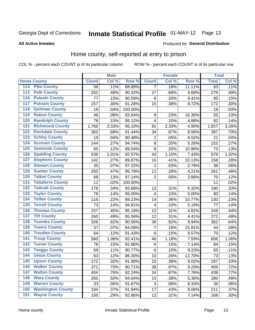# Inmate Statistical Profile 01-MAY-12 Page 13

#### **All Active Inmates**

#### Produced for General Distribution

### Home county, self-reported at entry to prison

COL % - percent each COUNT is of its particular column

|     |                          |              | <b>Male</b> |         |                         | <b>Female</b> |        | <b>Total</b> |       |
|-----|--------------------------|--------------|-------------|---------|-------------------------|---------------|--------|--------------|-------|
|     | <b>Home County</b>       | <b>Count</b> | Col %       | Row %   | <b>Count</b>            | Col %         | Row %  | <b>Total</b> | Col % |
| 114 | <b>Pike County</b>       | 56           | .11%        | 88.89%  | 7                       | .18%          | 11.11% | 63           | .11%  |
| 115 | <b>Polk County</b>       | 252          | .48%        | 90.32%  | 27                      | .69%          | 9.68%  | 279          | .49%  |
| 116 | <b>Pulaski County</b>    | 77           | .15%        | 90.59%  | 8                       | .20%          | 9.41%  | 85           | .15%  |
| 117 | <b>Putnam County</b>     | 157          | .30%        | 91.28%  | 15                      | .38%          | 8.72%  | 172          | .30%  |
| 118 | <b>Quitman County</b>    | 19           | .04%        | 100.00% |                         |               |        | 19           | .03%  |
| 119 | <b>Rabun County</b>      | 46           | .09%        | 83.64%  | $\boldsymbol{9}$        | .23%          | 16.36% | 55           | .10%  |
| 120 | <b>Randolph County</b>   | 78           | .15%        | 95.12%  | $\overline{\mathbf{4}}$ | .10%          | 4.88%  | 82           | .14%  |
| 121 | <b>Richmond County</b>   | 1,766        | 3.33%       | 95.10%  | 91                      | 2.33%         | 4.90%  | 1,857        | 3.26% |
| 122 | <b>Rockdale County</b>   | 363          | .68%        | 91.44%  | 34                      | .87%          | 8.56%  | 397          | .70%  |
| 123 | <b>Schley County</b>     | 19           | .04%        | 90.48%  | $\overline{2}$          | .05%          | 9.52%  | 21           | .04%  |
| 124 | <b>Screven County</b>    | 144          | .27%        | 94.74%  | 8                       | .20%          | 5.26%  | 152          | .27%  |
| 125 | <b>Seminole County</b>   | 65           | .12%        | 89.04%  | 8                       | .20%          | 10.96% | 73           | .13%  |
| 126 | <b>Spalding County</b>   | 536          | 1.01%       | 92.57%  | 43                      | 1.10%         | 7.43%  | 579          | 1.02% |
| 127 | <b>Stephens County</b>   | 142          | .27%        | 89.87%  | 16                      | .41%          | 10.13% | 158          | .28%  |
| 128 | <b>Stewart County</b>    | 35           | .07%        | 97.22%  | 1                       | .03%          | 2.78%  | 36           | .06%  |
| 129 | <b>Sumter County</b>     | 250          | .47%        | 95.79%  | 11                      | .28%          | 4.21%  | 261          | .46%  |
| 130 | <b>Talbot County</b>     | 68           | .13%        | 97.14%  | $\overline{2}$          | .05%          | 2.86%  | 70           | .12%  |
| 131 | <b>Taliaferro County</b> | 11           | .02%        | 100.00% |                         |               |        | 11           | .02%  |
| 132 | <b>Tattnall County</b>   | 178          | .34%        | 93.68%  | 12                      | .31%          | 6.32%  | 190          | .33%  |
| 133 | <b>Taylor County</b>     | 76           | .14%        | 95.00%  | 4                       | .10%          | 5.00%  | 80           | .14%  |
| 134 | <b>Telfair County</b>    | 116          | .22%        | 89.23%  | 14                      | .36%          | 10.77% | 130          | .23%  |
| 135 | <b>Terrell County</b>    | 73           | .14%        | 94.81%  | 4                       | .10%          | 5.19%  | 77           | .14%  |
| 136 | <b>Thomas County</b>     | 237          | .45%        | 95.18%  | 12                      | .31%          | 4.82%  | 249          | .44%  |
| 137 | <b>Tift County</b>       | 260          | .49%        | 95.59%  | 12                      | .31%          | 4.41%  | 272          | .48%  |
| 138 | <b>Toombs County</b>     | 326          | .62%        | 90.06%  | 36                      | .92%          | 9.94%  | 362          | .64%  |
| 139 | <b>Towns County</b>      | 37           | .07%        | 84.09%  | 7                       | .18%          | 15.91% | 44           | .08%  |
| 140 | <b>Treutlen County</b>   | 64           | .12%        | 91.43%  | 6                       | .15%          | 8.57%  | 70           | .12%  |
| 141 | <b>Troup County</b>      | 560          | 1.06%       | 92.41%  | 46                      | 1.18%         | 7.59%  | 606          | 1.06% |
| 142 | <b>Turner County</b>     | 78           | .15%        | 92.86%  | 6                       | .15%          | 7.14%  | 84           | .15%  |
| 143 | <b>Twiggs County</b>     | 59           | .11%        | 90.77%  | $\,6$                   | .15%          | 9.23%  | 65           | .11%  |
| 144 | <b>Union County</b>      | 63           | .12%        | 86.30%  | 10                      | .26%          | 13.70% | 73           | .13%  |
| 145 | <b>Upson County</b>      | 172          | .32%        | 91.98%  | 15                      | .38%          | 8.02%  | 187          | .33%  |
| 146 | <b>Walker County</b>     | 371          | .70%        | 90.71%  | 38                      | .97%          | 9.29%  | 409          | .72%  |
| 147 | <b>Walton County</b>     | 404          | .76%        | 92.24%  | 34                      | .87%          | 7.76%  | 438          | .77%  |
| 148 | <b>Ware County</b>       | 265          | .50%        | 94.64%  | 15                      | .38%          | 5.36%  | 280          | .49%  |
| 149 | <b>Warren County</b>     | 33           | .06%        | 91.67%  | 3                       | .08%          | 8.33%  | 36           | .06%  |
| 150 | <b>Washington County</b> | 194          | .37%        | 91.94%  | 17                      | .43%          | 8.06%  | 211          | .37%  |
| 151 | <b>Wayne County</b>      | 156          | .29%        | 92.86%  | 12                      | .31%          | 7.14%  | 168          | .30%  |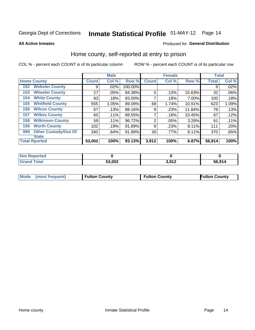# Inmate Statistical Profile 01-MAY-12 Page 14

**All Active Inmates** 

#### Produced for General Distribution

### Home county, self-reported at entry to prison

COL % - percent each COUNT is of its particular column

|     |                             |              | <b>Male</b> |         |                | <b>Female</b> |        | <b>Total</b> |       |
|-----|-----------------------------|--------------|-------------|---------|----------------|---------------|--------|--------------|-------|
|     | <b>Home County</b>          | <b>Count</b> | Col %       | Row %   | <b>Count</b>   | Col %         | Row %  | <b>Total</b> | Col % |
| 152 | <b>Webster County</b>       | 9            | .02%        | 100.00% |                |               |        | 9            | .02%  |
| 153 | <b>Wheeler County</b>       | 27           | .05%        | 84.38%  | 5              | .13%          | 15.63% | 32           | .06%  |
| 154 | <b>White County</b>         | 93           | .18%        | 93.00%  | 7              | .18%          | 7.00%  | 100          | .18%  |
| 155 | <b>Whitfield County</b>     | 555          | 1.05%       | 89.09%  | 68             | 1.74%         | 10.91% | 623          | 1.09% |
| 156 | <b>Wilcox County</b>        | 67           | .13%        | 88.16%  | 9              | .23%          | 11.84% | 76           | .13%  |
| 157 | <b>Wilkes County</b>        | 60           | .11%        | 89.55%  | 7              | .18%          | 10.45% | 67           | .12%  |
| 158 | <b>Wilkinson County</b>     | 59           | $.11\%$     | 96.72%  | $\overline{2}$ | .05%          | 3.28%  | 61           | .11%  |
| 159 | <b>Worth County</b>         | 102          | .19%        | 91.89%  | 9              | .23%          | 8.11%  | 111          | .20%  |
| 999 | <b>Other Custody/Out Of</b> | 340          | .64%        | 91.89%  | 30             | .77%          | 8.11%  | 370          | .65%  |
|     | <b>State</b>                |              |             |         |                |               |        |              |       |
|     | <b>Total Rported</b>        | 53,002       | 100%        | 93.13%  | 3,912          | 100%          | 6.87%  | 56,914       | 100%  |

| 'Not<br>Reported |        |      |        |
|------------------|--------|------|--------|
| <b>Total</b>     | 53,002 | 2012 | 56,914 |

|  | Mode (most frequent) | <b>Fulton County</b> | <b>Fulton County</b> | <b>Fulton County</b> |
|--|----------------------|----------------------|----------------------|----------------------|
|--|----------------------|----------------------|----------------------|----------------------|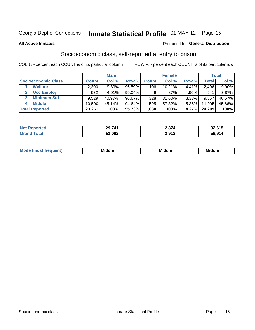# Inmate Statistical Profile 01-MAY-12 Page 15

#### **All Active Inmates**

#### Produced for General Distribution

### Socioeconomic class, self-reported at entry to prison

COL % - percent each COUNT is of its particular column

|                       |              | <b>Male</b> |        |              | <b>Female</b> |          |        | <b>Total</b> |
|-----------------------|--------------|-------------|--------|--------------|---------------|----------|--------|--------------|
| Socioeconomic Class   | <b>Count</b> | Col %       | Row %  | <b>Count</b> | Col %         | Row %    | Total  | Col %        |
| <b>Welfare</b>        | 2,300        | 9.89%       | 95.59% | 106          | 10.21%        | 4.41%    | 2,406  | 9.90%        |
| <b>Occ Employ</b>     | 932          | 4.01%       | 99.04% | 9            | $.87\%$       | .96%     | 941    | 3.87%        |
| <b>Minimum Std</b>    | 9,529        | 40.97%      | 96.67% | 328          | 31.60%        | 3.33%    | 9,857  | 40.57%       |
| <b>Middle</b><br>4    | 10.500       | 45.14%      | 94.64% | 595          | 57.32%        | $5.36\%$ | 11,095 | 45.66%       |
| <b>Total Reported</b> | 23,261       | 100%        | 95.73% | 1,038        | 100%          | 4.27%    | 24,299 | 100%         |

| <b>Reported</b><br>NOT | 29,741 | 2,874        | 32,615 |
|------------------------|--------|--------------|--------|
| $T$ otol               | 53,002 | 2012<br>JJIL | 56,914 |

|  | M. | <b>Middle</b><br>____ | <b>Middle</b><br>____ | ---<br>____ |
|--|----|-----------------------|-----------------------|-------------|
|--|----|-----------------------|-----------------------|-------------|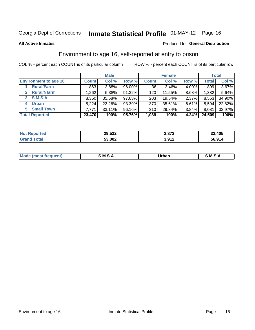# Inmate Statistical Profile 01-MAY-12 Page 16

#### **All Active Inmates**

#### Produced for General Distribution

### Environment to age 16, self-reported at entry to prison

COL % - percent each COUNT is of its particular column

|                                      |              | <b>Male</b> |           |              | <b>Female</b> |          |              | <b>Total</b> |
|--------------------------------------|--------------|-------------|-----------|--------------|---------------|----------|--------------|--------------|
| <b>Environment to age 16</b>         | <b>Count</b> | Col %       | Row %     | <b>Count</b> | Col %         | Row %    | <b>Total</b> | Col %        |
| <b>Rural/Farm</b>                    | 863          | 3.68%       | 96.00%    | 36           | 3.46%         | 4.00%    | 899          | $3.67\%$     |
| <b>Rural/Nfarm</b><br>$\mathbf{2}^-$ | 1,262        | 5.38%       | 91.32%    | 120          | 11.55%        | 8.68%    | 1,382        | 5.64%        |
| S.M.S.A<br>3                         | 8,350        | 35.58%      | $97.63\%$ | 203          | 19.54%        | 2.37%    | 8,553        | 34.90%       |
| <b>Urban</b><br>4                    | 5,224        | 22.26%      | 93.39%    | 370          | 35.61%        | $6.61\%$ | 5,594        | 22.82%       |
| <b>Small Town</b><br>5.              | 7,771        | 33.11%      | 96.16%    | 310          | 29.84%        | 3.84%    | 8,081        | 32.97%       |
| <b>Total Reported</b>                | 23,470       | 100%        | 95.76%    | 1,039        | 100%          | 4.24%    | 24,509       | 100%         |

| <b>Not Reported</b> | 29,532 | 2,873 | 32,405 |
|---------------------|--------|-------|--------|
|                     | 53,002 | 3,912 | 56,914 |

| Mo | M | Irhan<br>rva<br>______ | M<br>______ |
|----|---|------------------------|-------------|
|    |   |                        |             |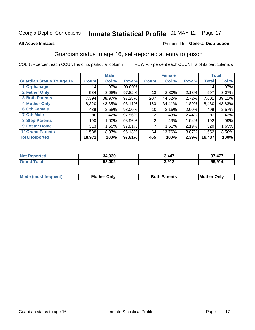# Inmate Statistical Profile 01-MAY-12 Page 17

#### **All Active Inmates**

#### Produced for General Distribution

### Guardian status to age 16, self-reported at entry to prison

COL % - percent each COUNT is of its particular column

|                                  |              | <b>Male</b> |         |              | <b>Female</b> |          |              | <b>Total</b> |
|----------------------------------|--------------|-------------|---------|--------------|---------------|----------|--------------|--------------|
| <b>Guardian Status To Age 16</b> | <b>Count</b> | Col %       | Row %   | <b>Count</b> | Col %         | Row %    | <b>Total</b> | Col %        |
| 1 Orphanage                      | 14           | $.07\%$     | 100.00% |              |               |          | 14           | .07%         |
| 2 Father Only                    | 584          | 3.08%       | 97.82%  | 13           | 2.80%         | 2.18%    | 597          | 3.07%        |
| <b>3 Both Parents</b>            | 7,394        | 38.97%      | 97.28%  | 207          | 44.52%        | 2.72%    | 7,601        | 39.11%       |
| <b>4 Mother Only</b>             | 8,320        | 43.85%      | 98.11%  | 160          | 34.41%        | 1.89%    | 8,480        | 43.63%       |
| <b>6 Oth Female</b>              | 489          | 2.58%       | 98.00%  | 10           | 2.15%         | $2.00\%$ | 499          | 2.57%        |
| <b>7 Oth Male</b>                | 80           | .42%        | 97.56%  | 2            | .43%          | 2.44%    | 82           | .42%         |
| 8 Step-Parents                   | 190          | 1.00%       | 98.96%  | 2            | .43%          | 1.04%    | 192          | .99%         |
| 9 Foster Home                    | 313          | 1.65%       | 97.81%  | 7            | 1.51%         | 2.19%    | 320          | 1.65%        |
| <b>10 Grand Parents</b>          | 1,588        | 8.37%       | 96.13%  | 64           | 13.76%        | 3.87%    | 1,652        | 8.50%        |
| <b>Total Reported</b>            | 18,972       | 100%        | 97.61%  | 465          | 100%          | 2.39%    | 19,437       | 100%         |

| <b>Not</b><br>Reported | 34,030 | 3,447                 | <b>477</b><br>^7 |
|------------------------|--------|-----------------------|------------------|
| ™ota⊩                  | 53,002 | 2 Q12<br><b>J.JIL</b> | 56,914           |

| <b>Mode (most frequent)</b> | วทIv<br>- -<br>MΩ | <b>Roth</b><br>ີ <sup>ລ</sup> າrents | l Mc<br>Only<br>- - |
|-----------------------------|-------------------|--------------------------------------|---------------------|
|                             |                   |                                      |                     |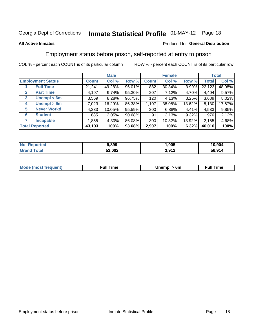# Inmate Statistical Profile 01-MAY-12 Page 18

#### **All Active Inmates**

#### Produced for General Distribution

### Employment status before prison, self-reported at entry to prison

COL % - percent each COUNT is of its particular column

|                                  |         | <b>Male</b> |        |              | <b>Female</b> |        |        | <b>Total</b> |
|----------------------------------|---------|-------------|--------|--------------|---------------|--------|--------|--------------|
| <b>Employment Status</b>         | Count l | Col %       | Row %  | <b>Count</b> | Col %         | Row %  | Total  | Col %        |
| <b>Full Time</b>                 | 21,241  | 49.28%      | 96.01% | 882          | 30.34%        | 3.99%  | 22,123 | 48.08%       |
| <b>Part Time</b><br>$\mathbf{2}$ | 4,197   | 9.74%       | 95.30% | 207          | 7.12%         | 4.70%  | 4,404  | 9.57%        |
| Unempl $<$ 6m<br>3               | 3,569   | 8.28%       | 96.75% | 120          | 4.13%         | 3.25%  | 3,689  | 8.02%        |
| Unempl > 6m<br>4                 | 7,023   | 16.29%      | 86.38% | 1,107        | 38.08%        | 13.62% | 8,130  | 17.67%       |
| <b>Never Workd</b><br>5          | 4,333   | 10.05%      | 95.59% | 200          | 6.88%         | 4.41%  | 4,533  | 9.85%        |
| <b>Student</b><br>6              | 885     | 2.05%       | 90.68% | 91           | 3.13%         | 9.32%  | 976    | 2.12%        |
| <b>Incapable</b>                 | 1,855   | $4.30\%$    | 86.08% | 300          | 10.32%        | 13.92% | 2,155  | 4.68%        |
| <b>Total Reported</b>            | 43,103  | 100%        | 93.68% | 2,907        | 100%          | 6.32%  | 46,010 | 100%         |

| <b>orted</b><br><b>NOT</b> | 9,899  | ,005         | 10,904 |
|----------------------------|--------|--------------|--------|
| 5551                       | 53,002 | 3.917<br>J.J | 56.914 |

| <b>Mou</b><br>זווניווו<br>$\cdots$ | 6m<br>____ | ∙ull<br>⊓mε<br>the contract of the contract of the contract of the contract of the contract of the contract of the contract of |
|------------------------------------|------------|--------------------------------------------------------------------------------------------------------------------------------|
|                                    |            |                                                                                                                                |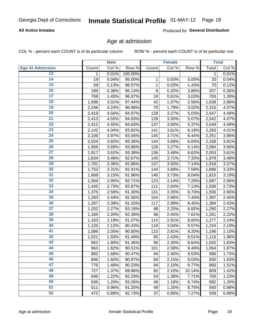### **All Active Inmates**

Produced for General Distribution

### Age at admission

COL % - percent each COUNT is of its particular column

|                         |              | <b>Male</b> |         |              | <b>Female</b> |        |              | <b>Total</b> |
|-------------------------|--------------|-------------|---------|--------------|---------------|--------|--------------|--------------|
| <b>Age At Admission</b> | <b>Count</b> | Col %       | Row %   | <b>Count</b> | Col %         | Row %  | <b>Total</b> | Col %        |
| 13                      | 1            | 0.01%       | 100.00% |              |               |        | 1            | 0.01%        |
| 14                      | 19           | 0.04%       | 95.00%  | 1            | 0.03%         | 5.00%  | 20           | 0.04%        |
| 15                      | 69           | 0.13%       | 98.57%  | 1            | 0.03%         | 1.43%  | 70           | 0.12%        |
| 16                      | 199          | 0.38%       | 96.14%  | 8            | 0.20%         | 3.86%  | 207          | 0.36%        |
| $\overline{17}$         | 769          | 1.45%       | 96.97%  | 24           | 0.61%         | 3.03%  | 793          | 1.39%        |
| 18                      | 1,596        | 3.01%       | 97.44%  | 42           | 1.07%         | 2.56%  | 1,638        | 2.88%        |
| 19                      | 2,246        | 4.24%       | 96.98%  | 70           | 1.79%         | 3.02%  | 2,316        | 4.07%        |
| 20                      | 2,419        | 4.56%       | 94.97%  | 128          | 3.27%         | 5.03%  | 2,547        | 4.48%        |
| $\overline{21}$         | 2,413        | 4.55%       | 94.93%  | 129          | 3.30%         | 5.07%  | 2,542        | 4.47%        |
| $\overline{22}$         | 2,412        | 4.55%       | 94.63%  | 137          | 3.50%         | 5.37%  | 2,549        | 4.48%        |
| 23                      | 2,142        | 4.04%       | 93.82%  | 141          | 3.61%         | 6.18%  | 2,283        | 4.01%        |
| $\overline{24}$         | 2,106        | 3.97%       | 93.56%  | 145          | 3.71%         | 6.44%  | 2,251        | 3.96%        |
| 25                      | 2,024        | 3.82%       | 93.36%  | 144          | 3.68%         | 6.64%  | 2,168        | 3.81%        |
| $\overline{26}$         | 1,956        | 3.69%       | 93.86%  | 128          | 3.27%         | 6.14%  | 2,084        | 3.66%        |
| $\overline{27}$         | 1,917        | 3.62%       | 93.38%  | 136          | 3.48%         | 6.62%  | 2,053        | 3.61%        |
| 28                      | 1,834        | 3.46%       | 92.67%  | 145          | 3.71%         | 7.33%  | 1,979        | 3.48%        |
| 29                      | 1,781        | 3.36%       | 92.86%  | 137          | 3.50%         | 7.14%  | 1,918        | 3.37%        |
| 30                      | 1,752        | 3.31%       | 92.41%  | 144          | 3.68%         | 7.59%  | 1,896        | 3.33%        |
| 31                      | 1,669        | 3.15%       | 91.96%  | 146          | 3.73%         | 8.04%  | 1,815        | 3.19%        |
| $\overline{32}$         | 1,564        | 2.95%       | 92.71%  | 123          | 3.14%         | 7.29%  | 1,687        | 2.96%        |
| 33                      | 1,445        | 2.73%       | 92.87%  | 111          | 2.84%         | 7.13%  | 1,556        | 2.73%        |
| 34                      | 1,375        | 2.59%       | 91.30%  | 131          | 3.35%         | 8.70%  | 1,506        | 2.65%        |
| 35                      | 1,293        | 2.44%       | 92.56%  | 104          | 2.66%         | 7.44%  | 1,397        | 2.45%        |
| 36                      | 1,267        | 2.39%       | 91.55%  | 117          | 2.99%         | 8.45%  | 1,384        | 2.43%        |
| $\overline{37}$         | 1,202        | 2.27%       | 93.18%  | 88           | 2.25%         | 6.82%  | 1,290        | 2.27%        |
| 38                      | 1,165        | 2.20%       | 92.39%  | 96           | 2.45%         | 7.61%  | 1,261        | 2.22%        |
| 39                      | 1,163        | 2.19%       | 91.07%  | 114          | 2.91%         | 8.93%  | 1,277        | 2.24%        |
| 40                      | 1,125        | 2.12%       | 90.43%  | 119          | 3.04%         | 9.57%  | 1,244        | 2.19%        |
| 41                      | 1,086        | 2.05%       | 90.80%  | 110          | 2.81%         | 9.20%  | 1,196        | 2.10%        |
| 42                      | 1,021        | 1.93%       | 91.49%  | 95           | 2.43%         | 8.51%  | 1,116        | 1.96%        |
| 43                      | 952          | 1.80%       | 91.36%  | 90           | 2.30%         | 8.64%  | 1,042        | 1.83%        |
| 44                      | 963          | 1.82%       | 90.51%  | 101          | 2.58%         | 9.49%  | 1,064        | 1.87%        |
| 45                      | 892          | 1.68%       | 90.47%  | 94           | 2.40%         | 9.53%  | 986          | 1.73%        |
| 46                      | 846          | 1.60%       | 90.97%  | 84           | 2.15%         | 9.03%  | 930          | 1.63%        |
| 47                      | 776          | 1.46%       | 90.23%  | 84           | 2.15%         | 9.77%  | 860          | 1.51%        |
| 48                      | 727          | 1.37%       | 89.86%  | 82           | 2.10%         | 10.14% | 809          | 1.42%        |
| 49                      | 646          | 1.22%       | 92.29%  | 54           | 1.38%         | 7.71%  | 700          | 1.23%        |
| 50                      | 636          | 1.20%       | 93.26%  | 46           | 1.18%         | 6.74%  | 682          | 1.20%        |
| 51                      | 511          | 0.96%       | 91.25%  | 49           | 1.25%         | 8.75%  | 560          | 0.98%        |
| 52                      | 472          | 0.89%       | 92.73%  | 37           | 0.95%         | 7.27%  | 509          | 0.89%        |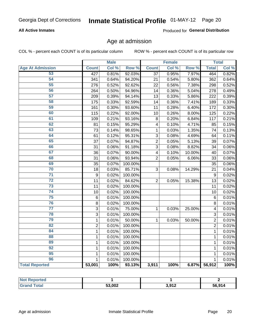### **All Active Inmates**

Produced for General Distribution

### Age at admission

COL % - percent each COUNT is of its particular column

|                         |                | <b>Male</b> |         |                 | <b>Female</b> |        |                | <b>Total</b> |
|-------------------------|----------------|-------------|---------|-----------------|---------------|--------|----------------|--------------|
| <b>Age At Admission</b> | <b>Count</b>   | Col %       | Row %   | <b>Count</b>    | Col %         | Row %  | <b>Total</b>   | Col %        |
| 53                      | 427            | 0.81%       | 92.03%  | $\overline{37}$ | 0.95%         | 7.97%  | 464            | 0.82%        |
| 54                      | 341            | 0.64%       | 94.20%  | 21              | 0.54%         | 5.80%  | 362            | 0.64%        |
| 55                      | 276            | 0.52%       | 92.62%  | 22              | 0.56%         | 7.38%  | 298            | 0.52%        |
| 56                      | 264            | 0.50%       | 94.96%  | 14              | 0.36%         | 5.04%  | 278            | 0.49%        |
| 57                      | 209            | 0.39%       | 94.14%  | 13              | 0.33%         | 5.86%  | 222            | 0.39%        |
| 58                      | 175            | 0.33%       | 92.59%  | 14              | 0.36%         | 7.41%  | 189            | 0.33%        |
| 59                      | 161            | 0.30%       | 93.60%  | 11              | 0.28%         | 6.40%  | 172            | 0.30%        |
| 60                      | 115            | 0.22%       | 92.00%  | 10              | 0.26%         | 8.00%  | 125            | 0.22%        |
| 61                      | 109            | 0.21%       | 93.16%  | 8               | 0.20%         | 6.84%  | 117            | 0.21%        |
| 62                      | 81             | 0.15%       | 95.29%  | 4               | 0.10%         | 4.71%  | 85             | 0.15%        |
| 63                      | 73             | 0.14%       | 98.65%  | 1               | 0.03%         | 1.35%  | 74             | 0.13%        |
| 64                      | 61             | 0.12%       | 95.31%  | 3               | 0.08%         | 4.69%  | 64             | 0.11%        |
| 65                      | 37             | 0.07%       | 94.87%  | $\overline{c}$  | 0.05%         | 5.13%  | 39             | 0.07%        |
| 66                      | 31             | 0.06%       | 91.18%  | 3               | 0.08%         | 8.82%  | 34             | 0.06%        |
| 67                      | 36             | 0.07%       | 90.00%  | 4               | 0.10%         | 10.00% | 40             | 0.07%        |
| 68                      | 31             | 0.06%       | 93.94%  | $\overline{2}$  | 0.05%         | 6.06%  | 33             | 0.06%        |
| 69                      | 35             | 0.07%       | 100.00% |                 |               |        | 35             | 0.06%        |
| 70                      | 18             | 0.03%       | 85.71%  | 3               | 0.08%         | 14.29% | 21             | 0.04%        |
| $\overline{71}$         | 9              | 0.02%       | 100.00% |                 |               |        | 9              | 0.02%        |
| $\overline{72}$         | 11             | 0.02%       | 84.62%  | $\overline{2}$  | 0.05%         | 15.38% | 13             | 0.02%        |
| $\overline{73}$         | 11             | 0.02%       | 100.00% |                 |               |        | 11             | 0.02%        |
| $\overline{74}$         | 10             | 0.02%       | 100.00% |                 |               |        | 10             | 0.02%        |
| $\overline{75}$         | 6              | 0.01%       | 100.00% |                 |               |        | 6              | 0.01%        |
| 76                      | 8              | 0.02%       | 100.00% |                 |               |        | 8              | 0.01%        |
| $\overline{77}$         | 3              | 0.01%       | 75.00%  | 1               | 0.03%         | 25.00% | 4              | 0.01%        |
| 78                      | 3              | 0.01%       | 100.00% |                 |               |        | 3              | 0.01%        |
| 79                      | $\mathbf 1$    | 0.01%       | 50.00%  | $\mathbf{1}$    | 0.03%         | 50.00% | $\overline{2}$ | 0.01%        |
| $\overline{82}$         | $\overline{2}$ | 0.01%       | 100.00% |                 |               |        | $\overline{2}$ | 0.01%        |
| 84                      | $\mathbf{1}$   | 0.01%       | 100.00% |                 |               |        | 1              | 0.01%        |
| 88                      | $\mathbf{1}$   | 0.01%       | 100.00% |                 |               |        | $\mathbf{1}$   | 0.01%        |
| 89                      | $\mathbf{1}$   | 0.01%       | 100.00% |                 |               |        | $\mathbf{1}$   | 0.01%        |
| 92                      | $\mathbf{1}$   | 0.01%       | 100.00% |                 |               |        | $\mathbf{1}$   | 0.01%        |
| $\overline{95}$         | $\mathbf 1$    | 0.01%       | 100.00% |                 |               |        | $\mathbf{1}$   | 0.01%        |
| 96                      | $\mathbf{1}$   | 0.01%       | 100.00% |                 |               |        | $\mathbf{1}$   | 0.01%        |
| <b>Total Reported</b>   | 53,001         | 100%        | 93.13%  | 3,911           | 100%          | 6.87%  | 56,912         | 100%         |

| <b>Not Reported</b>    |        |       |        |
|------------------------|--------|-------|--------|
| Total<br><b>'Granc</b> | 53,002 | 3,912 | 56,914 |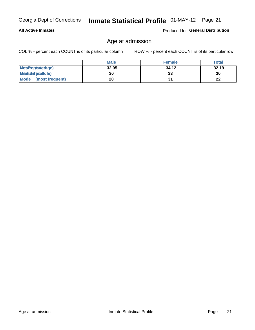### **All Active Inmates**

Produced for General Distribution

### Age at admission

COL % - percent each COUNT is of its particular column

|                         | <b>Male</b> | <b>Female</b> | <b>Total</b> |
|-------------------------|-------------|---------------|--------------|
| MetaRep(anterage)       | 32.05       | 34.12         | 32.19        |
| <b>MeatianTotaddle)</b> | 30          | 33            | 30           |
| Mode<br>(most frequent) | 20          |               | 22           |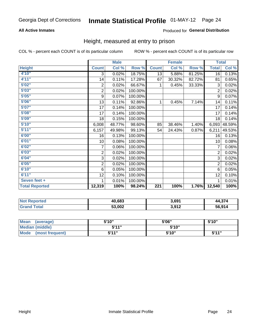### **All Active Inmates**

### Produced for General Distribution

### Height, measured at entry to prison

COL % - percent each COUNT is of its particular column

|                       |                         | <b>Male</b> |         |                  | <b>Female</b> |        | <b>Total</b>   |        |
|-----------------------|-------------------------|-------------|---------|------------------|---------------|--------|----------------|--------|
| <b>Height</b>         | <b>Count</b>            | Col %       | Row %   | <b>Count</b>     | Col %         | Row %  | <b>Total</b>   | Col %  |
| 4'10"                 | 3                       | 0.02%       | 18.75%  | 13               | 5.88%         | 81.25% | 16             | 0.13%  |
| 4'11''                | 14                      | 0.11%       | 17.28%  | 67               | 30.32%        | 82.72% | 81             | 0.65%  |
| 5'02''                | $\boldsymbol{2}$        | 0.02%       | 66.67%  | 1                | 0.45%         | 33.33% | 3              | 0.02%  |
| 5'03''                | $\overline{\mathbf{c}}$ | 0.02%       | 100.00% |                  |               |        | $\overline{2}$ | 0.02%  |
| 5'05''                | $\boldsymbol{9}$        | 0.07%       | 100.00% |                  |               |        | 9              | 0.07%  |
| 5'06''                | 13                      | 0.11%       | 92.86%  | 1                | 0.45%         | 7.14%  | 14             | 0.11%  |
| 5'07''                | 17                      | 0.14%       | 100.00% |                  |               |        | 17             | 0.14%  |
| 5'08''                | 17                      | 0.14%       | 100.00% |                  |               |        | 17             | 0.14%  |
| 5'09''                | 18                      | 0.15%       | 100.00% |                  |               |        | 18             | 0.14%  |
| 5'10''                | 6,008                   | 48.77%      | 98.60%  | 85               | 38.46%        | 1.40%  | 6,093          | 48.59% |
| 5'11''                | 6,157                   | 49.98%      | 99.13%  | 54               | 24.43%        | 0.87%  | 6,211          | 49.53% |
| 6'00''                | 16                      | 0.13%       | 100.00% |                  |               |        | 16             | 0.13%  |
| 6'01''                | 10                      | 0.08%       | 100.00% |                  |               |        | 10             | 0.08%  |
| 6'02''                | 7                       | 0.06%       | 100.00% |                  |               |        | 7              | 0.06%  |
| 6'03''                | $\overline{\mathbf{c}}$ | 0.02%       | 100.00% |                  |               |        | $\overline{2}$ | 0.02%  |
| 6'04''                | 3                       | 0.02%       | 100.00% |                  |               |        | 3              | 0.02%  |
| 6'05''                | $\overline{c}$          | 0.02%       | 100.00% |                  |               |        | $\overline{2}$ | 0.02%  |
| 6'10''                | 6                       | 0.05%       | 100.00% |                  |               |        | 6              | 0.05%  |
| 6'11''                | 12                      | 0.10%       | 100.00% |                  |               |        | 12             | 0.10%  |
| Seven feet +          | 1                       | 0.01%       | 100.00% |                  |               |        |                | 0.01%  |
| <b>Total Reported</b> | 12,319                  | 100%        | 98.24%  | $\overline{221}$ | 100%          | 1.76%  | 12,540         | 100%   |

| <b>Not</b><br>Reported | 40,683 | 3.691 | .271<br>л л |
|------------------------|--------|-------|-------------|
| <b>otal</b>            | 53,002 | 3,912 | 56.914      |

| <b>Mean</b><br>(average) | 5'10" | 5'06" | 5'10"        |
|--------------------------|-------|-------|--------------|
| Median (middle)          | 544"  | 5'10" |              |
| Mode<br>(most frequent)  | 5'11" | 5'10" | <b>5'44"</b> |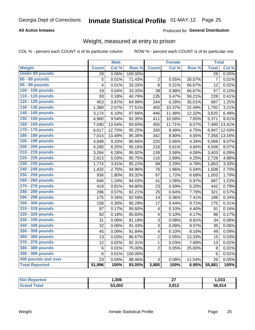### **All Active Inmates**

### Produced for General Distribution

### Weight, measured at entry to prison

COL % - percent each COUNT is of its particular column

|                        |                         | <b>Male</b> |                  |                         | <b>Female</b> |        | <b>Total</b>    |        |
|------------------------|-------------------------|-------------|------------------|-------------------------|---------------|--------|-----------------|--------|
| <b>Weight</b>          | <b>Count</b>            | Col %       | Row <sup>%</sup> | <b>Count</b>            | Col %         | Row %  | <b>Total</b>    | Col %  |
| <b>Under 80 pounds</b> | 29                      | 0.06%       | 100.00%          |                         |               |        | $\overline{29}$ | 0.05%  |
| 80 - 89 pounds         | 5                       | 0.01%       | 71.43%           | $\mathbf 2$             | 0.05%         | 28.57% | $\overline{7}$  | 0.01%  |
| 90 - 99 pounds         | $\overline{\mathbf{4}}$ | 0.01%       | 33.33%           | 8                       | 0.21%         | 66.67% | 12              | 0.02%  |
| 100 - 109 pounds       | 19                      | 0.04%       | 33.33%           | 38                      | 0.98%         | 66.67% | 57              | 0.10%  |
| 110 - 119 pounds       | 93                      | 0.18%       | 40.79%           | 135                     | 3.47%         | 59.21% | 228             | 0.41%  |
| 120 - 129 pounds       | 453                     | 0.87%       | 64.99%           | 244                     | 6.28%         | 35.01% | 697             | 1.25%  |
| 130 - 139 pounds       | 1,389                   | 2.67%       | 77.51%           | 403                     | 10.37%        | 22.49% | 1,792           | 3.21%  |
| 140 - 149 pounds       | 3,174                   | 6.10%       | 87.68%           | 446                     | 11.48%        | 12.32% | 3,620           | 6.48%  |
| 150 - 159 pounds       | 4,960                   | 9.54%       | 92.35%           | 411                     | 10.58%        | 7.65%  | 5,371           | 9.61%  |
| 160 - 169 pounds       | 7,040                   | 13.54%      | 93.93%           | 455                     | 11.71%        | 6.07%  | 7,495           | 13.41% |
| 170 - 179 pounds       | 6,617                   | 12.73%      | 95.25%           | 330                     | 8.49%         | 4.75%  | 6,947           | 12.43% |
| 180 - 189 pounds       | 7,014                   | 13.49%      | 95.35%           | 342                     | 8.80%         | 4.65%  | 7,356           | 13.16% |
| 190 - 199 pounds       | 4,849                   | 9.33%       | 95.66%           | 220                     | 5.66%         | 4.34%  | 5,069           | 9.07%  |
| 200 - 209 pounds       | 4,290                   | 8.25%       | 95.16%           | 218                     | 5.61%         | 4.84%  | 4,508           | 8.07%  |
| 210 - 219 pounds       | 3,264                   | 6.28%       | 95.92%           | 139                     | 3.58%         | 4.08%  | 3,403           | 6.09%  |
| 220 - 229 pounds       | 2,613                   | 5.03%       | 95.75%           | 116                     | 2.99%         | 4.25%  | 2,729           | 4.88%  |
| 230 - 239 pounds       | 1,774                   | 3.41%       | 95.22%           | 89                      | 2.29%         | 4.78%  | 1,863           | 3.33%  |
| 240 - 249 pounds       | 1,432                   | 2.75%       | 94.96%           | 76                      | 1.96%         | 5.04%  | 1,508           | 2.70%  |
| 250 - 259 pounds       | 936                     | 1.80%       | 93.32%           | 67                      | 1.72%         | 6.68%  | 1,003           | 1.79%  |
| 260 - 269 pounds       | 646                     | 1.24%       | 94.03%           | 41                      | 1.06%         | 5.97%  | 687             | 1.23%  |
| 270 - 279 pounds       | 419                     | 0.81%       | 94.80%           | 23                      | 0.59%         | 5.20%  | 442             | 0.79%  |
| 280 - 289 pounds       | 296                     | 0.57%       | 92.21%           | 25                      | 0.64%         | 7.79%  | 321             | 0.57%  |
| 290 - 299 pounds       | 175                     | 0.34%       | 92.59%           | 14                      | 0.36%         | 7.41%  | 189             | 0.34%  |
| 300 - 309 pounds       | 158                     | 0.30%       | 90.29%           | 17                      | 0.44%         | 9.71%  | 175             | 0.31%  |
| 310 - 319 pounds       | 87                      | 0.17%       | 95.60%           | 4                       | 0.10%         | 4.40%  | 91              | 0.16%  |
| 320 - 329 pounds       | 92                      | 0.18%       | 95.83%           | 4                       | 0.10%         | 4.17%  | 96              | 0.17%  |
| 330 - 339 pounds       | 31                      | 0.06%       | 91.18%           | 3                       | 0.08%         | 8.82%  | 34              | 0.06%  |
| 340 - 349 pounds       | 32                      | 0.06%       | 91.43%           | $\overline{3}$          | 0.08%         | 8.57%  | 35              | 0.06%  |
| 350 - 359 pounds       | 45                      | 0.09%       | 91.84%           | $\overline{\mathbf{4}}$ | 0.10%         | 8.16%  | 49              | 0.09%  |
| 360 - 369 pounds       | 13                      | 0.03%       | 86.67%           | $\overline{2}$          | 0.05%         | 13.33% | 15              | 0.03%  |
| 370 - 379 pounds       | 12                      | 0.02%       | 92.31%           | $\mathbf{1}$            | 0.03%         | 7.69%  | 13              | 0.02%  |
| 380 - 389 pounds       | 6                       | 0.01%       | 75.00%           | $\overline{2}$          | 0.05%         | 25.00% | 8               | 0.01%  |
| 390 - 399 pounds       | 6                       | 0.01%       | 100.00%          |                         |               |        | $6\phantom{1}6$ | 0.01%  |
| 400 pounds and over    | 23                      | 0.04%       | 88.46%           | 3                       | 0.08%         | 11.54% | 26              | 0.05%  |
| <b>Total Reported</b>  | 51,996                  | 100%        | 93.05%           | 3,885                   | 100%          | 6.95%  | 55,881          | 100%   |

| <b>Not</b><br>ported | ,006   | ^7<br>--             | ,033   |
|----------------------|--------|----------------------|--------|
| <sup>-</sup> otal    | 53,002 | 2012<br><b>JULIA</b> | 56,914 |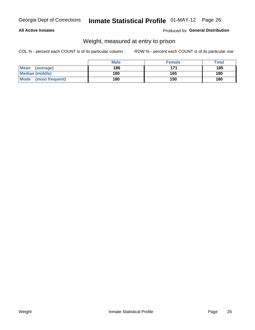### **All Active Inmates**

### Produced for General Distribution

### Weight, measured at entry to prison

COL % - percent each COUNT is of its particular column

|                                | <b>Male</b> | <b>Female</b> | Total |
|--------------------------------|-------------|---------------|-------|
| Mean<br>(average)              | 186         | 171           | 185   |
| <b>Median (middle)</b>         | 180         | 165           | 180   |
| <b>Mode</b><br>(most frequent) | 180         | 150           | 180   |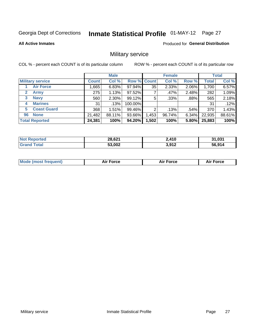# Inmate Statistical Profile 01-MAY-12 Page 27

**All Active Inmates** 

Produced for General Distribution

### Military service

COL % - percent each COUNT is of its particular column

|                          | <b>Male</b>  |          |                    | <b>Female</b> |        |         | <b>Total</b> |        |
|--------------------------|--------------|----------|--------------------|---------------|--------|---------|--------------|--------|
| <b>Military service</b>  | <b>Count</b> | Col %    | <b>Row % Count</b> |               | Col %  | Row %   | <b>Total</b> | Col %  |
| <b>Air Force</b>         | .665         | 6.83%    | 97.94%             | 35            | 2.33%  | 2.06%   | 1,700        | 6.57%  |
| $\mathbf{2}$<br>Army     | 275          | 1.13%    | 97.52%             |               | .47%   | 2.48%   | 282          | 1.09%  |
| <b>Navy</b><br>3         | 560          | $2.30\%$ | 99.12%             | 5             | .33%   | $.88\%$ | 565          | 2.18%  |
| <b>Marines</b><br>4      | 31           | .13%     | 100.00%            |               |        |         | 31           | .12%   |
| <b>Coast Guard</b><br>5. | 368          | 1.51%    | 99.46%             | 2             | .13%   | .54%    | 370          | 1.43%  |
| <b>None</b><br>96        | 21,482       | 88.11%   | 93.66%             | .453          | 96.74% | 6.34%   | 22,935       | 88.61% |
| <b>Total Reported</b>    | 24,381       | 100%     | 94.20%             | ,502          | 100%   | 5.80%   | 25,883       | 100%   |

| rted<br><b>Not</b> | 28,621 | 410              | 31,031 |
|--------------------|--------|------------------|--------|
| $\sim$             | 53,002 | 2.012<br>J.J I L | 56.914 |

| <b>Mode (most frequent)</b> | Force<br>Aır<br>_____ | <b>Force</b><br>Δır | orce |
|-----------------------------|-----------------------|---------------------|------|
|                             |                       |                     |      |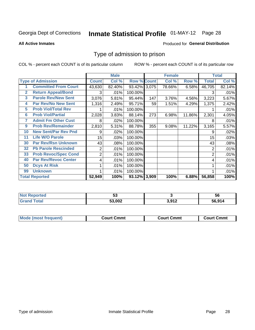# Inmate Statistical Profile 01-MAY-12 Page 28

**All Active Inmates** 

#### Produced for General Distribution

### Type of admission to prison

COL % - percent each COUNT is of its particular column

|                         |                             |                  | <b>Male</b> |                    |     | <b>Female</b> |        | <b>Total</b> |        |
|-------------------------|-----------------------------|------------------|-------------|--------------------|-----|---------------|--------|--------------|--------|
|                         | <b>Type of Admission</b>    | <b>Count</b>     | Col %       | <b>Row % Count</b> |     | Col %         | Row %  | <b>Total</b> | Col %  |
|                         | <b>Committed From Court</b> | 43,630           | 82.40%      | 93.42% 3,075       |     | 78.66%        | 6.58%  | 46,705       | 82.14% |
| $\mathbf{2}$            | <b>Return Appeal/Bond</b>   | 3                | .01%        | 100.00%            |     |               |        | 3            | .01%   |
| $\overline{\mathbf{3}}$ | <b>Parole Rev/New Sent</b>  | 3,076            | 5.81%       | 95.44%             | 147 | 3.76%         | 4.56%  | 3,223        | 5.67%  |
| 4                       | <b>Par Rev/No New Sent</b>  | 1,316            | 2.49%       | 95.71%             | 59  | 1.51%         | 4.29%  | 1,375        | 2.42%  |
| 5                       | <b>Prob Viol/Total Rev</b>  |                  | .01%        | 100.00%            |     |               |        |              | .01%   |
| 6                       | <b>Prob Viol/Partial</b>    | 2,028            | 3.83%       | 88.14%             | 273 | 6.98%         | 11.86% | 2,301        | 4.05%  |
| 7                       | <b>Admit Fm Other Cust</b>  | 8                | .02%        | 100.00%            |     |               |        | 8            | .01%   |
| 9                       | <b>Prob Rev/Remainder</b>   | 2,810            | 5.31%       | 88.78%             | 355 | 9.08%         | 11.22% | 3,165        | 5.57%  |
| 10                      | <b>New Sent/Par Rev Pnd</b> | 9                | .02%        | 100.00%            |     |               |        | 9            | .02%   |
| 11                      | <b>Life W/O Parole</b>      | 15 <sub>15</sub> | .03%        | 100.00%            |     |               |        | 15           | .03%   |
| 30                      | <b>Par Rev/Rsn Unknown</b>  | 43               | .08%        | 100.00%            |     |               |        | 43           | .08%   |
| 32                      | <b>Pb Parole Rescinded</b>  | 2                | .01%        | 100.00%            |     |               |        | 2            | .01%   |
| 33                      | <b>Prob Revoc/Spec Cond</b> | $\overline{2}$   | .01%        | 100.00%            |     |               |        | 2            | .01%   |
| 40                      | <b>Par Rev/Revoc Center</b> | 4                | .01%        | 100.00%            |     |               |        | 4            | .01%   |
| 50                      | <b>Dcys At Risk</b>         |                  | .01%        | 100.00%            |     |               |        |              | .01%   |
| 99                      | <b>Unknown</b>              |                  | .01%        | 100.00%            |     |               |        |              | .01%   |
|                         | <b>Total Reported</b>       | 52,949           | 100%        | 93.12% 3,909       |     | 100%          | 6.88%  | 56,858       | 100%   |

| <b>Not Reported</b>  | JJ.    |                | 56     |
|----------------------|--------|----------------|--------|
| <b>Total</b><br>Gran | 53,002 | 3.012<br>.J .L | 56.914 |

| <b>Mode (most frequent)</b><br>∖ Cmmt<br>∵ourtت |  | Court Cmmt | Cmmt<br>∶ourt |  |
|-------------------------------------------------|--|------------|---------------|--|
|                                                 |  |            |               |  |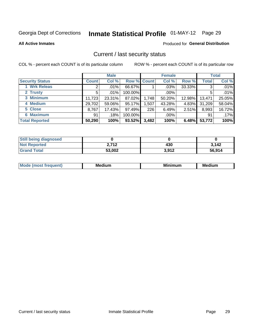# Inmate Statistical Profile 01-MAY-12 Page 29

**All Active Inmates** 

#### Produced for General Distribution

### Current / last security status

COL % - percent each COUNT is of its particular column

|                        | <b>Male</b>  |         |             | <b>Female</b> |         |        | <b>Total</b> |        |
|------------------------|--------------|---------|-------------|---------------|---------|--------|--------------|--------|
| <b>Security Status</b> | <b>Count</b> | Col %   | Row % Count |               | Col %   | Row %  | <b>Total</b> | Col %  |
| 1 Wrk Releas           | 2            | .01%    | 66.67%      |               | $.03\%$ | 33.33% | 3            | .01%   |
| 2 Trusty               | 5            | $.01\%$ | 100.00%     |               | .00%    |        | 5            | .01%   |
| 3 Minimum              | 11,723       | 23.31%  | 87.02%      | 1,748         | 50.20%  | 12.98% | 13,471       | 25.05% |
| 4 Medium               | 29,702       | 59.06%  | 95.17%      | .507          | 43.28%  | 4.83%  | 31,209       | 58.04% |
| 5 Close                | 8,767        | 17.43%  | 97.49%      | 226           | 6.49%   | 2.51%  | 8,993        | 16.72% |
| <b>6 Maximum</b>       | 91           | .18%    | 100.00%     |               | .00%    |        | 91           | .17%   |
| <b>Total Reported</b>  | 50,290       | 100%    | 93.52%      | 3,482         | 100%    | 6.48%  | 53,772       | 100%   |

| <b>Still being diagnosed</b> |        |       |        |
|------------------------------|--------|-------|--------|
| <b>Not Reported</b>          | つ フィつ  | 430   | 3,142  |
| <b>Grand Total</b>           | 53,002 | 3,912 | 56.914 |

| M | NЛ<br><br>dilim<br>_____ | ---<br>-- | . .<br>Medium<br>Me |
|---|--------------------------|-----------|---------------------|
|   |                          |           |                     |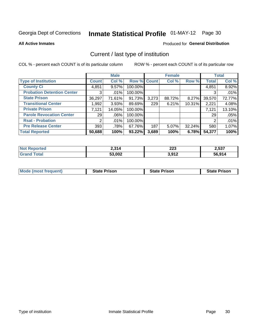# Inmate Statistical Profile 01-MAY-12 Page 30

**All Active Inmates** 

#### Produced for General Distribution

### Current / last type of institution

COL % - percent each COUNT is of its particular column

|                                   |                | <b>Male</b> |             |       | <b>Female</b> |        |              | <b>Total</b> |
|-----------------------------------|----------------|-------------|-------------|-------|---------------|--------|--------------|--------------|
| <b>Type of Institution</b>        | <b>Count</b>   | Col %       | Row % Count |       | Col %         | Row %  | <b>Total</b> | Col %        |
| <b>County Ci</b>                  | 4,851          | $9.57\%$    | 100.00%     |       |               |        | 4,851        | 8.92%        |
| <b>Probation Detention Center</b> | 3              | .01%        | 100.00%     |       |               |        | 3            | .01%         |
| <b>State Prison</b>               | 36,297         | 71.61%      | 91.73%      | 3,273 | 88.72%        | 8.27%  | 39,570       | 72.77%       |
| <b>Transitional Center</b>        | 1,992          | 3.93%       | 89.69%      | 229   | 6.21%         | 10.31% | 2,221        | 4.08%        |
| <b>Private Prison</b>             | 7,121          | 14.05%      | 100.00%     |       |               |        | 7,121        | 13.10%       |
| <b>Parole Revocation Center</b>   | 29             | .06%        | 100.00%     |       |               |        | 29           | .05%         |
| <b>Rsat - Probation</b>           | $\overline{2}$ | $.01\%$     | 100.00%     |       |               |        | 2            | .01%         |
| <b>Pre Release Center</b>         | 393            | .78%        | 67.76%      | 187   | $5.07\%$      | 32.24% | 580          | 1.07%        |
| <b>Total Reported</b>             | 50,688         | 100%        | $93.22\%$   | 3,689 | 100%          | 6.78%  | 54,377       | 100%         |

| <b>Not</b><br>Reported | 2,314  | ົາລາ<br>ZZJ<br>____ | 2,537  |
|------------------------|--------|---------------------|--------|
| Totai<br><b>Grand</b>  | 53,002 | 3,912               | 56,914 |

| <b>Mode (most frequent)</b> | <b>State Prison</b> | <b>State Prison</b> | <b>State Prison</b> |
|-----------------------------|---------------------|---------------------|---------------------|
|                             |                     |                     |                     |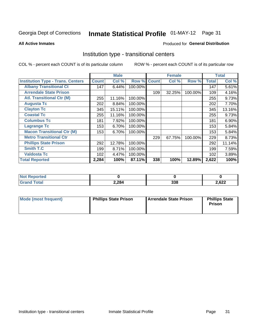# Inmate Statistical Profile 01-MAY-12 Page 31

#### **All Active Inmates**

### **Produced for General Distribution**

### Institution type - transitional centers

COL % - percent each COUNT is of its particular column

|                                          |              | <b>Male</b> |         |              | <b>Female</b> |         |              | <b>Total</b> |
|------------------------------------------|--------------|-------------|---------|--------------|---------------|---------|--------------|--------------|
| <b>Institution Type - Trans. Centers</b> | <b>Count</b> | Col %       | Row %   | <b>Count</b> | Col %         | Row %   | <b>Total</b> | Col %        |
| <b>Albany Transitional Ct</b>            | 147          | 6.44%       | 100.00% |              |               |         | 147          | 5.61%        |
| <b>Arrendale State Prison</b>            |              |             |         | 109          | 32.25%        | 100.00% | 109          | 4.16%        |
| <b>Atl. Transitional Ctr (M)</b>         | 255          | 11.16%      | 100.00% |              |               |         | 255          | 9.73%        |
| <b>Augusta Tc</b>                        | 202          | 8.84%       | 100.00% |              |               |         | 202          | 7.70%        |
| <b>Clayton Tc</b>                        | 345          | 15.11%      | 100.00% |              |               |         | 345          | 13.16%       |
| <b>Coastal Tc</b>                        | 255          | 11.16%      | 100.00% |              |               |         | 255          | 9.73%        |
| <b>Columbus Tc</b>                       | 181          | 7.92%       | 100.00% |              |               |         | 181          | 6.90%        |
| <b>Lagrange Tc</b>                       | 153          | 6.70%       | 100.00% |              |               |         | 153          | 5.84%        |
| <b>Macon Transitional Ctr (M)</b>        | 153          | 6.70%       | 100.00% |              |               |         | 153          | 5.84%        |
| <b>Metro Transitional Ctr</b>            |              |             |         | 229          | 67.75%        | 100.00% | 229          | 8.73%        |
| <b>Phillips State Prison</b>             | 292          | 12.78%      | 100.00% |              |               |         | 292          | 11.14%       |
| <b>Smith T.C</b>                         | 199          | 8.71%       | 100.00% |              |               |         | 199          | 7.59%        |
| <b>Valdosta Tc</b>                       | 102          | 4.47%       | 100.00% |              |               |         | 102          | 3.89%        |
| <b>Total Reported</b>                    | 2,284        | 100%        | 87.11%  | 338          | 100%          | 12.89%  | 2,622        | 100%         |

| N.<br>portea |       |            |      |
|--------------|-------|------------|------|
| _____        | 2,284 | つつく<br>ააი | ,622 |

| Mode (most frequent) | <b>Phillips State Prison</b> | Arrendale State Prison | <b>Phillips State</b><br>Prison |
|----------------------|------------------------------|------------------------|---------------------------------|
|                      |                              |                        |                                 |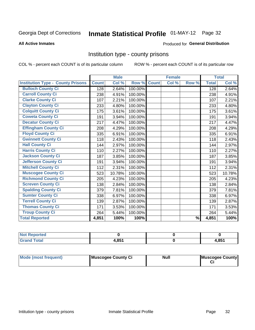# Inmate Statistical Profile 01-MAY-12 Page 32

#### **All Active Inmates**

### **Produced for General Distribution**

### Institution type - county prisons

COL % - percent each COUNT is of its particular column

|                                          |              | <b>Male</b> |         |              | <b>Female</b> |               |              | <b>Total</b> |
|------------------------------------------|--------------|-------------|---------|--------------|---------------|---------------|--------------|--------------|
| <b>Institution Type - County Prisons</b> | <b>Count</b> | Col %       | Row %   | <b>Count</b> | Col %         | Row %         | <b>Total</b> | Col %        |
| <b>Bulloch County Ci</b>                 | 128          | 2.64%       | 100.00% |              |               |               | 128          | 2.64%        |
| <b>Carroll County Ci</b>                 | 238          | 4.91%       | 100.00% |              |               |               | 238          | 4.91%        |
| <b>Clarke County Ci</b>                  | 107          | 2.21%       | 100.00% |              |               |               | 107          | 2.21%        |
| <b>Clayton County Ci</b>                 | 233          | 4.80%       | 100.00% |              |               |               | 233          | 4.80%        |
| <b>Colquitt County Ci</b>                | 175          | 3.61%       | 100.00% |              |               |               | 175          | 3.61%        |
| <b>Coweta County Ci</b>                  | 191          | 3.94%       | 100.00% |              |               |               | 191          | 3.94%        |
| <b>Decatur County Ci</b>                 | 217          | 4.47%       | 100.00% |              |               |               | 217          | 4.47%        |
| <b>Effingham County Ci</b>               | 208          | 4.29%       | 100.00% |              |               |               | 208          | 4.29%        |
| <b>Floyd County Ci</b>                   | 335          | 6.91%       | 100.00% |              |               |               | 335          | 6.91%        |
| <b>Gwinnett County Ci</b>                | 118          | 2.43%       | 100.00% |              |               |               | 118          | 2.43%        |
| <b>Hall County Ci</b>                    | 144          | 2.97%       | 100.00% |              |               |               | 144          | 2.97%        |
| <b>Harris County Ci</b>                  | 110          | 2.27%       | 100.00% |              |               |               | 110          | 2.27%        |
| <b>Jackson County Ci</b>                 | 187          | 3.85%       | 100.00% |              |               |               | 187          | 3.85%        |
| <b>Jefferson County Ci</b>               | 191          | 3.94%       | 100.00% |              |               |               | 191          | 3.94%        |
| <b>Mitchell County Ci</b>                | 112          | 2.31%       | 100.00% |              |               |               | 112          | 2.31%        |
| <b>Muscogee County Ci</b>                | 523          | 10.78%      | 100.00% |              |               |               | 523          | 10.78%       |
| <b>Richmond County Ci</b>                | 205          | 4.23%       | 100.00% |              |               |               | 205          | 4.23%        |
| <b>Screven County Ci</b>                 | 138          | 2.84%       | 100.00% |              |               |               | 138          | 2.84%        |
| <b>Spalding County Ci</b>                | 379          | 7.81%       | 100.00% |              |               |               | 379          | 7.81%        |
| <b>Sumter County Ci</b>                  | 338          | 6.97%       | 100.00% |              |               |               | 338          | 6.97%        |
| <b>Terrell County Ci</b>                 | 139          | 2.87%       | 100.00% |              |               |               | 139          | 2.87%        |
| <b>Thomas County Ci</b>                  | 171          | 3.53%       | 100.00% |              |               |               | 171          | 3.53%        |
| <b>Troup County Ci</b>                   | 264          | 5.44%       | 100.00% |              |               |               | 264          | 5.44%        |
| <b>Total Reported</b>                    | 4,851        | 100%        | 100%    |              |               | $\frac{9}{6}$ | 4,851        | 100%         |

| <b>Not Reported</b> |                |       |
|---------------------|----------------|-------|
| <b>Grand Total</b>  | 1 Q.R.4<br>oo, | 4,851 |

| Mode (most frequent) | Muscogee County Ci | <b>Null</b> | Muscogee County |
|----------------------|--------------------|-------------|-----------------|
|                      |                    |             |                 |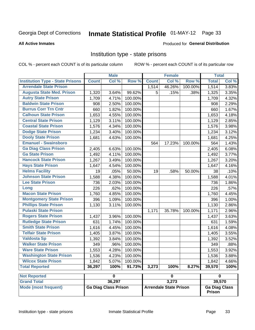# Inmate Statistical Profile 01-MAY-12 Page 33

#### **All Active Inmates**

#### Produced for General Distribution

### Institution type - state prisons

COL % - percent each COUNT is of its particular column

|                                         |              | <b>Male</b>             |         |              | <b>Female</b>           |         | <b>Total</b> |       |
|-----------------------------------------|--------------|-------------------------|---------|--------------|-------------------------|---------|--------------|-------|
| <b>Institution Type - State Prisons</b> | <b>Count</b> | Col %                   | Row %   | <b>Count</b> | Col %                   | Row %   | <b>Total</b> | Col % |
| <b>Arrendale State Prison</b>           |              |                         |         | 1,514        | 46.26%                  | 100.00% | 1,514        | 3.83% |
| <b>Augusta State Med. Prison</b>        | 1,320        | 3.64%                   | 99.62%  | 5            | .15%                    | .38%    | 1,325        | 3.35% |
| <b>Autry State Prison</b>               | 1,709        | 4.71%                   | 100.00% |              |                         |         | 1,709        | 4.32% |
| <b>Baldwin State Prison</b>             | 908          | 2.50%                   | 100.00% |              |                         |         | 908          | 2.29% |
| <b>Burrus Corr Trn Cntr</b>             | 660          | 1.82%                   | 100.00% |              |                         |         | 660          | 1.67% |
| <b>Calhoun State Prison</b>             | 1,653        | 4.55%                   | 100.00% |              |                         |         | 1,653        | 4.18% |
| <b>Central State Prison</b>             | 1,129        | 3.11%                   | 100.00% |              |                         |         | 1,129        | 2.85% |
| <b>Coastal State Prison</b>             | 1,576        | 4.34%                   | 100.00% |              |                         |         | 1,576        | 3.98% |
| <b>Dodge State Prison</b>               | 1,234        | 3.40%                   | 100.00% |              |                         |         | 1,234        | 3.12% |
| <b>Dooly State Prison</b>               | 1,681        | 4.63%                   | 100.00% |              |                         |         | 1,681        | 4.25% |
| <b>Emanuel - Swainsboro</b>             |              |                         |         | 564          | 17.23%                  | 100.00% | 564          | 1.43% |
| <b>Ga Diag Class Prison</b>             | 2,405        | 6.63%                   | 100.00% |              |                         |         | 2,405        | 6.08% |
| <b>Ga State Prison</b>                  | 1,492        | 4.11%                   | 100.00% |              |                         |         | 1,492        | 3.77% |
| <b>Hancock State Prison</b>             | 1,267        | 3.49%                   | 100.00% |              |                         |         | 1,267        | 3.20% |
| <b>Hays State Prison</b>                | 1,647        | 4.54%                   | 100.00% |              |                         |         | 1,647        | 4.16% |
| <b>Helms Facility</b>                   | 19           | .05%                    | 50.00%  | 19           | .58%                    | 50.00%  | 38           | .10%  |
| <b>Johnson State Prison</b>             | 1,588        | 4.38%                   | 100.00% |              |                         |         | 1,588        | 4.01% |
| <b>Lee State Prison</b>                 | 736          | 2.03%                   | 100.00% |              |                         |         | 736          | 1.86% |
| Long                                    | 226          | .62%                    | 100.00% |              |                         |         | 226          | .57%  |
| <b>Macon State Prison</b>               | 1,760        | 4.85%                   | 100.00% |              |                         |         | 1,760        | 4.45% |
| <b>Montgomery State Prison</b>          | 396          | 1.09%                   | 100.00% |              |                         |         | 396          | 1.00% |
| <b>Phillips State Prison</b>            | 1,130        | 3.11%                   | 100.00% |              |                         |         | 1,130        | 2.86% |
| <b>Pulaski State Prison</b>             |              |                         |         | 1,171        | 35.78%                  | 100.00% | 1,171        | 2.96% |
| <b>Rogers State Prison</b>              | 1,437        | 3.96%                   | 100.00% |              |                         |         | 1,437        | 3.63% |
| <b>Rutledge State Prison</b>            | 631          | 1.74%                   | 100.00% |              |                         |         | 631          | 1.59% |
| <b>Smith State Prison</b>               | 1,616        | 4.45%                   | 100.00% |              |                         |         | 1,616        | 4.08% |
| <b>Telfair State Prison</b>             | 1,405        | 3.87%                   | 100.00% |              |                         |         | 1,405        | 3.55% |
| <b>Valdosta Sp</b>                      | 1,392        | 3.84%                   | 100.00% |              |                         |         | 1,392        | 3.52% |
| <b>Walker State Prison</b>              | 349          | .96%                    | 100.00% |              |                         |         | 349          | .88%  |
| <b>Ware State Prison</b>                | 1,553        | 4.28%                   | 100.00% |              |                         |         | 1,553        | 3.92% |
| <b>Washington State Prison</b>          | 1,536        | 4.23%                   | 100.00% |              |                         |         | 1,536        | 3.88% |
| <b>Wilcox State Prison</b>              | 1,842        | 5.07%                   | 100.00% |              |                         |         | 1,842        | 4.66% |
| <b>Total Reported</b>                   | 36,297       | 100%                    | 91.73%  | 3,273        | 100%                    | 8.27%   | 39,570       | 100%  |
| <b>Not Reported</b>                     |              | $\overline{\mathbf{0}}$ |         |              | $\overline{\mathbf{0}}$ |         | $\pmb{0}$    |       |
| <b>Grand Total</b>                      |              | 36,297                  |         |              | 3,273                   |         | 39,570       |       |

| <b>NOT REPORTED</b>  |                      |                               |                                       |
|----------------------|----------------------|-------------------------------|---------------------------------------|
| <b>Grand Total</b>   | 36.297               | 3.273                         | 39.570                                |
| Mode (most frequent) | Ga Diag Class Prison | <b>Arrendale State Prison</b> | <b>Ga Diag Class</b><br><b>Prison</b> |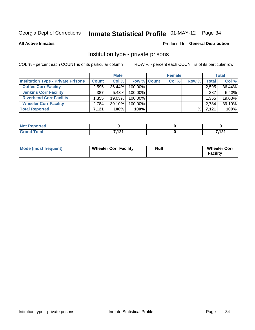# Inmate Statistical Profile 01-MAY-12 Page 34

**All Active Inmates** 

#### Produced for General Distribution

### Institution type - private prisons

COL % - percent each COUNT is of its particular column

|                                           |              | <b>Male</b> |                    | <b>Female</b> |       |       | <b>Total</b> |
|-------------------------------------------|--------------|-------------|--------------------|---------------|-------|-------|--------------|
| <b>Institution Type - Private Prisons</b> | <b>Count</b> | Col %       | <b>Row % Count</b> | Col %         | Row % | Total | Col %        |
| <b>Coffee Corr Facility</b>               | 2,595        | 36.44%      | 100.00%            |               |       | 2,595 | 36.44%       |
| <b>Jenkins Corr Facility</b>              | 387          | 5.43%       | 100.00%            |               |       | 387   | 5.43%        |
| <b>Riverbend Corr Facility</b>            | .355         | 19.03%      | 100.00%            |               |       | 1,355 | 19.03%       |
| <b>Wheeler Corr Facility</b>              | 2,784        | 39.10%      | 100.00%            |               |       | 2,784 | 39.10%       |
| <b>Total Reported</b>                     | 7,121        | 100%        | $100\%$            |               | %     | 7,121 | 100%         |

| <b>rted</b><br>N |      |        |
|------------------|------|--------|
| أحقت             | 7424 | 7.404  |
| _____            |      | ,,,,,, |

| Mode (most frequent) | <b>Wheeler Corr Facility</b> | <b>Null</b> | <b>Wheeler Corr</b><br><b>Facility</b> |
|----------------------|------------------------------|-------------|----------------------------------------|
|----------------------|------------------------------|-------------|----------------------------------------|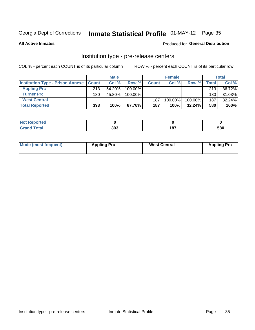# Inmate Statistical Profile 01-MAY-12 Page 35

**All Active Inmates** 

### **Produced for General Distribution**

# Institution type - pre-release centers

COL % - percent each COUNT is of its particular column

|                                                   |     | <b>Male</b> |         |              | <b>Female</b> |           |       | <b>Total</b> |
|---------------------------------------------------|-----|-------------|---------|--------------|---------------|-----------|-------|--------------|
| <b>Institution Type - Prison Annexe   Count  </b> |     | Col %       | Row %   | <b>Count</b> | Col %         | Row %     | Total | Col %        |
| <b>Appling Prc</b>                                | 213 | $54.20\%$   | 100.00% |              |               |           | 213   | 36.72%       |
| <b>Turner Prc</b>                                 | 180 | 45.80%      | 100.00% |              |               |           | 180   | 31.03%       |
| <b>West Central</b>                               |     |             |         | 187          | 100.00%       | 100.00%   | 187   | 32.24%       |
| <b>Total Reported</b>                             | 393 | 100%        | 67.76%I | 187          | 100%          | $32.24\%$ | 580   | 100%         |

| $\sim$<br>$- \cdot$ | າດ″<br>. | $\overline{10}$ | 580 |
|---------------------|----------|-----------------|-----|

| Mode (most frequent) | <b>Appling Prc</b> | <b>West Central</b> | <b>Appling Prc</b> |
|----------------------|--------------------|---------------------|--------------------|
|----------------------|--------------------|---------------------|--------------------|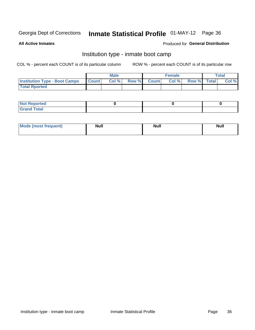# Inmate Statistical Profile 01-MAY-12 Page 36

**All Active Inmates** 

#### Produced for General Distribution

### Institution type - inmate boot camp

COL % - percent each COUNT is of its particular column

|                                      |              | <b>Male</b> |               |              | <b>Female</b> |             | <b>Total</b> |
|--------------------------------------|--------------|-------------|---------------|--------------|---------------|-------------|--------------|
| <b>Institution Type - Boot Camps</b> | <b>Count</b> | Col %       | <b>Row %I</b> | <b>Count</b> | Col %         | Row % Total | Col %        |
| <b>Total Rported</b>                 |              |             |               |              |               |             |              |

| <b>Not Reported</b>            |  |  |
|--------------------------------|--|--|
| <b>Total</b><br>C <sub>r</sub> |  |  |

| <b>I Mode (most frequent)</b> | <b>Null</b> | <b>Null</b> | <b>Null</b> |
|-------------------------------|-------------|-------------|-------------|
|                               |             |             |             |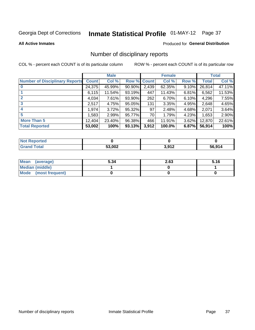# Inmate Statistical Profile 01-MAY-12 Page 37

#### **All Active Inmates**

### **Produced for General Distribution**

### Number of disciplinary reports

COL % - percent each COUNT is of its particular column

|                                       |              | <b>Male</b> |        |              | <b>Female</b> |          |              | <b>Total</b> |
|---------------------------------------|--------------|-------------|--------|--------------|---------------|----------|--------------|--------------|
| <b>Number of Disciplinary Reports</b> | <b>Count</b> | Col %       | Row %  | <b>Count</b> | Col %         | Row %    | <b>Total</b> | Col %        |
| $\bf{0}$                              | 24,375       | 45.99%      | 90.90% | 2,439        | 62.35%        | 9.10%    | 26,814       | 47.11%       |
|                                       | 6,115        | 11.54%      | 93.19% | 447          | 11.43%        | $6.81\%$ | 6,562        | 11.53%       |
| $\overline{2}$                        | 4,034        | 7.61%       | 93.90% | 262          | 6.70%         | $6.10\%$ | 4,296        | 7.55%        |
| 3                                     | 2,517        | 4.75%       | 95.05% | 131          | 3.35%         | 4.95%    | 2,648        | 4.65%        |
| 4                                     | 1,974        | 3.72%       | 95.32% | 97           | 2.48%         | 4.68%    | 2,071        | 3.64%        |
| 5                                     | 1,583        | 2.99%       | 95.77% | 70           | 1.79%         | 4.23%    | 1,653        | 2.90%        |
| <b>More Than 5</b>                    | 12,404       | 23.40%      | 96.38% | 466          | 11.91%        | 3.62%    | 12,870       | 22.61%       |
| <b>Total Reported</b>                 | 53,002       | 100%        | 93.13% | 3,912        | 100.0%        | 6.87%    | 56,914       | 100%         |

| Reported<br>Not <b>F</b> |        |             |              |
|--------------------------|--------|-------------|--------------|
| Total                    | 53,002 | 2012<br>. . | 56.914<br>hh |

| Mean (average)       | 5.34 | 2.63 | 5.16 |
|----------------------|------|------|------|
| Median (middle)      |      |      |      |
| Mode (most frequent) |      |      |      |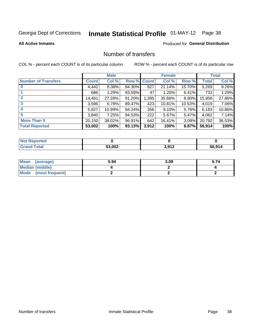# Inmate Statistical Profile 01-MAY-12 Page 38

#### **All Active Inmates**

### **Produced for General Distribution**

### Number of transfers

COL % - percent each COUNT is of its particular column

|                            |              | <b>Male</b> |        |              | <b>Female</b> |           |              | <b>Total</b> |
|----------------------------|--------------|-------------|--------|--------------|---------------|-----------|--------------|--------------|
| <b>Number of Transfers</b> | <b>Count</b> | Col %       | Row %  | <b>Count</b> | Col %         | Row %     | <b>Total</b> | Col %        |
|                            | 4,442        | $8.38\%$    | 84.30% | 827          | 21.14%        | 15.70%    | 5,269        | 9.26%        |
|                            | 686          | 1.29%       | 93.59% | 47           | 1.20%         | 6.41%     | 733          | 1.29%        |
| $\mathbf{2}$               | 14,461       | 27.28%      | 91.20% | 1,395        | 35.66%        | $8.80\%$  | 15,856       | 27.86%       |
| 3                          | 3,596        | 6.78%       | 89.47% | 423          | 10.81%        | $10.53\%$ | 4,019        | 7.06%        |
| 4                          | 5,827        | 10.99%      | 94.24% | 356          | 9.10%         | 5.76%     | 6,183        | 10.86%       |
| 5                          | 3,840        | 7.25%       | 94.53% | 222          | 5.67%         | 5.47%     | 4,062        | 7.14%        |
| <b>More Than 5</b>         | 20,150       | 38.02%      | 96.91% | 642          | 16.41%        | $3.09\%$  | 20,792       | 36.53%       |
| <b>Total Reported</b>      | 53,002       | 100%        | 93.13% | 3,912        | 100%          | 6.87%     | 56,914       | 100%         |

| <b>Not Reported</b> |        |                  |              |
|---------------------|--------|------------------|--------------|
| <b>Total</b>        | 53,002 | 3.912<br>J.J I 4 | 56.914<br>5b |

| Mean (average)       | 5.94 | 3.09 | 5.74 |
|----------------------|------|------|------|
| Median (middle)      |      |      |      |
| Mode (most frequent) |      |      |      |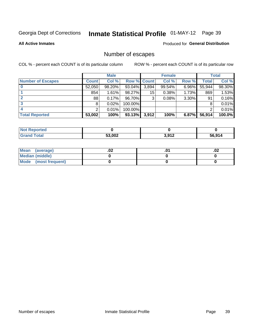## Inmate Statistical Profile 01-MAY-12 Page 39

**All Active Inmates** 

#### Produced for General Distribution

## Number of escapes

COL % - percent each COUNT is of its particular column

|                          |              | <b>Male</b> |             |       | <b>Female</b> |          |        | <b>Total</b> |
|--------------------------|--------------|-------------|-------------|-------|---------------|----------|--------|--------------|
| <b>Number of Escapes</b> | <b>Count</b> | Col %       | Row % Count |       | Col %         | Row %    | Total  | Col %        |
|                          | 52,050       | 98.20%      | 93.04%      | 3,894 | 99.54%        | $6.96\%$ | 55,944 | 98.30%       |
|                          | 854          | 1.61%       | 98.27%      | 15    | 0.38%         | 1.73%    | 869    | 1.53%        |
|                          | 88           | 0.17%       | 96.70%      | 3     | 0.08%         | 3.30%    | 91     | 0.16%        |
|                          | 8            | 0.02%       | 100.00%     |       |               |          |        | 0.01%        |
|                          |              | 0.01%       | 100.00%     |       |               |          |        | 0.01%        |
| <b>Total Reported</b>    | 53,002       | 100%        | 93.13%      | 3,912 | 100%          | 6.87%    | 56,914 | 100.0%       |

| <b>Not Reported</b> |        |       |        |
|---------------------|--------|-------|--------|
| Total               | 53,002 | 3,912 | 56.914 |

| Mean (average)       | .vz | .02 |
|----------------------|-----|-----|
| Median (middle)      |     |     |
| Mode (most frequent) |     |     |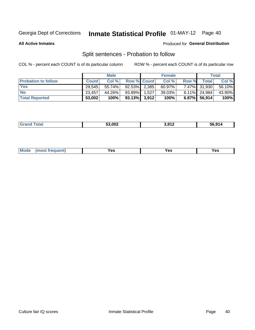## Inmate Statistical Profile 01-MAY-12 Page 40

**All Active Inmates** 

#### Produced for General Distribution

## Split sentences - Probation to follow

COL % - percent each COUNT is of its particular column

|                            |              | <b>Male</b> |                    |       | <b>Female</b> |       |                 | <b>Total</b> |
|----------------------------|--------------|-------------|--------------------|-------|---------------|-------|-----------------|--------------|
| <b>Probation to follow</b> | <b>Count</b> | Col%        | <b>Row % Count</b> |       | Col %         | Row % | Total           | Col %        |
| <b>Yes</b>                 | 29.545       | 55.74%      | $92.53\%$   2,385  |       | $60.97\%$     |       | 7.47% 31,930    | 56.10%       |
| <b>No</b>                  | 23,457       | 44.26%      | 93.89%             | 1,527 | 39.03%        |       | $6.11\%$ 24,984 | 43.90%       |
| <b>Total Reported</b>      | 53,002       | 100%        | $93.13\%$ 3,912    |       | 100%          |       | 6.87% 56,914    | 100%         |

| _______ | 53.002 | : 912<br>8 € | iፍ 91⊿<br>.<br>hh |
|---------|--------|--------------|-------------------|
|         |        |              |                   |

| reauent)<br>Yes<br>v^c<br>0٥<br>.<br>. .<br>$\sim$ |  | <b>Mode</b> |  |  |  |
|----------------------------------------------------|--|-------------|--|--|--|
|----------------------------------------------------|--|-------------|--|--|--|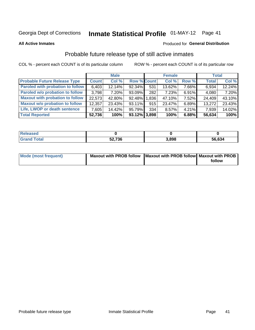## Inmate Statistical Profile 01-MAY-12 Page 41

**All Active Inmates** 

#### Produced for General Distribution

## Probable future release type of still active inmates

COL % - percent each COUNT is of its particular column

|                                         |              | <b>Male</b> |                    |       | <b>Female</b> |          | <b>Total</b> |        |
|-----------------------------------------|--------------|-------------|--------------------|-------|---------------|----------|--------------|--------|
| <b>Probable Future Release Type</b>     | <b>Count</b> | Col %       | <b>Row % Count</b> |       | Col %         | Row %    | <b>Total</b> | Col %  |
| <b>Paroled with probation to follow</b> | 6,403        | 12.14%      | 92.34%             | 531   | 13.62%        | 7.66%    | 6,934        | 12.24% |
| Paroled w/o probation to follow         | 3,798        | 7.20%       | 93.09%             | 282   | 7.23%         | $6.91\%$ | 4,080        | 7.20%  |
| <b>Maxout with probation to follow</b>  | 22.573       | 42.80%      | 92.48%             | 1.836 | 47.10%        | 7.52%    | 24,409       | 43.10% |
| <b>Maxout w/o probation to follow</b>   | 12,357       | 23.43%      | 93.11%             | 915   | 23.47%        | 6.89%    | 13,272       | 23.43% |
| Life, LWOP or death sentence            | 7,605        | 14.42%      | 95.79%             | 334   | 8.57%         | $4.21\%$ | 7,939        | 14.02% |
| <b>Total Reported</b>                   | 52,736       | 100%        | $93.12\%$ 3,898    |       | 100%          | 6.88%    | 56,634       | 100%   |

| eleased              |        |       |        |
|----------------------|--------|-------|--------|
| <b><i>i</i></b> otal | 52,736 | 3.898 | 56,634 |

| <b>Mode (most frequent)</b> | Maxout with PROB follow   Maxout with PROB follow   Maxout with PROB |        |
|-----------------------------|----------------------------------------------------------------------|--------|
|                             |                                                                      | follow |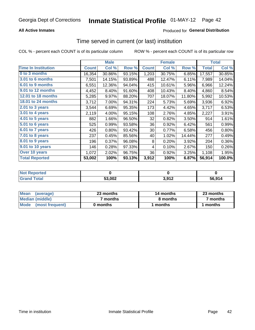### **All Active Inmates**

### **Produced for General Distribution**

## Time served in current (or last) institution

COL % - percent each COUNT is of its particular column

|                            |              | <b>Male</b> |        |              | <b>Female</b> |        |              | <b>Total</b> |
|----------------------------|--------------|-------------|--------|--------------|---------------|--------|--------------|--------------|
| <b>Time In Institution</b> | <b>Count</b> | Col %       | Row %  | <b>Count</b> | Col %         | Row %  | <b>Total</b> | Col %        |
| 0 to 3 months              | 16,354       | 30.86%      | 93.15% | 1,203        | 30.75%        | 6.85%  | 17,557       | 30.85%       |
| 3.01 to 6 months           | 7,501        | 14.15%      | 93.89% | 488          | 12.47%        | 6.11%  | 7,989        | 14.04%       |
| 6.01 to 9 months           | 6,551        | 12.36%      | 94.04% | 415          | 10.61%        | 5.96%  | 6,966        | 12.24%       |
| 9.01 to 12 months          | 4,452        | 8.40%       | 91.60% | 408          | 10.43%        | 8.40%  | 4,860        | 8.54%        |
| 12.01 to 18 months         | 5,285        | 9.97%       | 88.20% | 707          | 18.07%        | 11.80% | 5,992        | 10.53%       |
| <b>18.01 to 24 months</b>  | 3,712        | 7.00%       | 94.31% | 224          | 5.73%         | 5.69%  | 3,936        | 6.92%        |
| 2.01 to 3 years            | 3,544        | 6.69%       | 95.35% | 173          | 4.42%         | 4.65%  | 3,717        | 6.53%        |
| $3.01$ to 4 years          | 2,119        | 4.00%       | 95.15% | 108          | 2.76%         | 4.85%  | 2,227        | 3.91%        |
| 4.01 to 5 years            | 882          | 1.66%       | 96.50% | 32           | 0.82%         | 3.50%  | 914          | 1.61%        |
| 5.01 to 6 years            | 525          | 0.99%       | 93.58% | 36           | 0.92%         | 6.42%  | 561          | 0.99%        |
| 6.01 to 7 years            | 426          | 0.80%       | 93.42% | 30           | 0.77%         | 6.58%  | 456          | 0.80%        |
| 7.01 to 8 years            | 237          | 0.45%       | 85.56% | 40           | 1.02%         | 14.44% | 277          | 0.49%        |
| 8.01 to 9 years            | 196          | 0.37%       | 96.08% | 8            | 0.20%         | 3.92%  | 204          | 0.36%        |
| 9.01 to 10 years           | 146          | 0.28%       | 97.33% | 4            | 0.10%         | 2.67%  | 150          | 0.26%        |
| Over 10 years              | 1,072        | 2.02%       | 96.75% | 36           | 0.92%         | 3.25%  | 1,108        | 1.95%        |
| <b>Total Reported</b>      | 53,002       | 100%        | 93.13% | 3,912        | 100%          | 6.87%  | 56,914       | 100.0%       |

| <b>Not</b><br>Reported |        |       |        |
|------------------------|--------|-------|--------|
| <b>otal</b>            | 53,002 | 2 Q12 | 56.914 |

| <b>Mean</b><br>(average) | 23 months | 14 months | 23 months |
|--------------------------|-----------|-----------|-----------|
| Median (middle)          | ' months  | 8 months  | 7 months  |
| Mode<br>(most frequent)  | 0 months  | months    | ∖ months  |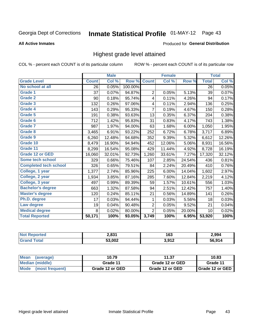# Inmate Statistical Profile 01-MAY-12 Page 43

#### **All Active Inmates**

#### Produced for General Distribution

## Highest grade level attained

COL % - percent each COUNT is of its particular column

|                              |              | <b>Male</b> |         |                | <b>Female</b> |        |              | <b>Total</b> |
|------------------------------|--------------|-------------|---------|----------------|---------------|--------|--------------|--------------|
| <b>Grade Level</b>           | <b>Count</b> | Col %       | Row %   | <b>Count</b>   | Col %         | Row %  | <b>Total</b> | Col %        |
| No school at all             | 26           | 0.05%       | 100.00% |                |               |        | 26           | 0.05%        |
| Grade 1                      | 37           | 0.07%       | 94.87%  | $\overline{2}$ | 0.05%         | 5.13%  | 39           | 0.07%        |
| <b>Grade 2</b>               | 90           | 0.18%       | 95.74%  | 4              | 0.11%         | 4.26%  | 94           | 0.17%        |
| Grade 3                      | 132          | 0.26%       | 97.06%  | 4              | 0.11%         | 2.94%  | 136          | 0.25%        |
| Grade 4                      | 143          | 0.29%       | 95.33%  | $\overline{7}$ | 0.19%         | 4.67%  | 150          | 0.28%        |
| Grade 5                      | 191          | 0.38%       | 93.63%  | 13             | 0.35%         | 6.37%  | 204          | 0.38%        |
| Grade 6                      | 712          | 1.42%       | 95.83%  | 31             | 0.83%         | 4.17%  | 743          | 1.38%        |
| <b>Grade 7</b>               | 987          | 1.97%       | 94.00%  | 63             | 1.68%         | 6.00%  | 1,050        | 1.95%        |
| Grade 8                      | 3,465        | 6.91%       | 93.22%  | 252            | 6.72%         | 6.78%  | 3,717        | 6.89%        |
| Grade 9                      | 6,260        | 12.48%      | 94.68%  | 352            | 9.39%         | 5.32%  | 6,612        | 12.26%       |
| Grade 10                     | 8,479        | 16.90%      | 94.94%  | 452            | 12.06%        | 5.06%  | 8,931        | 16.56%       |
| Grade 11                     | 8,299        | 16.54%      | 95.08%  | 429            | 11.44%        | 4.92%  | 8,728        | 16.19%       |
| <b>Grade 12 or GED</b>       | 16,060       | 32.01%      | 92.73%  | 1,260          | 33.61%        | 7.27%  | 17,320       | 32.12%       |
| Some tech school             | 329          | 0.66%       | 75.46%  | 107            | 2.85%         | 24.54% | 436          | 0.81%        |
| <b>Completed tech school</b> | 326          | 0.65%       | 79.51%  | 84             | 2.24%         | 20.49% | 410          | 0.76%        |
| College, 1 year              | 1,377        | 2.74%       | 85.96%  | 225            | 6.00%         | 14.04% | 1,602        | 2.97%        |
| College, 2 year              | 1,934        | 3.85%       | 87.16%  | 285            | 7.60%         | 12.84% | 2,219        | 4.12%        |
| College, 3 year              | 497          | 0.99%       | 89.39%  | 59             | 1.57%         | 10.61% | 556          | 1.03%        |
| <b>Bachelor's degree</b>     | 663          | 1.32%       | 87.58%  | 94             | 2.51%         | 12.42% | 757          | 1.40%        |
| <b>Master's degree</b>       | 120          | 0.24%       | 85.11%  | 21             | 0.56%         | 14.89% | 141          | 0.26%        |
| Ph.D. degree                 | 17           | 0.03%       | 94.44%  | 1              | 0.03%         | 5.56%  | 18           | 0.03%        |
| Law degree                   | 19           | 0.04%       | 90.48%  | 2              | 0.05%         | 9.52%  | 21           | 0.04%        |
| <b>Medical degree</b>        | 8            | 0.02%       | 80.00%  | $\overline{2}$ | 0.05%         | 20.00% | 10           | 0.02%        |
| <b>Total Reported</b>        | 50,171       | 100%        | 93.05%  | 3,749          | 100%          | 6.95%  | 53,920       | 100%         |

| <b>Not Reported</b>          | 2.831  | .<br>טט | 2,994  |
|------------------------------|--------|---------|--------|
| <b>Fotal</b><br><b>Grand</b> | 53,002 | 3,912   | 56,914 |

| <b>Mean</b><br>(average)       | 10.79           | 11.37           | 10.83             |
|--------------------------------|-----------------|-----------------|-------------------|
| Median (middle)                | Grade 11        | Grade 12 or GED | Grade 11          |
| <b>Mode</b><br>(most frequent) | Grade 12 or GED | Grade 12 or GED | I Grade 12 or GED |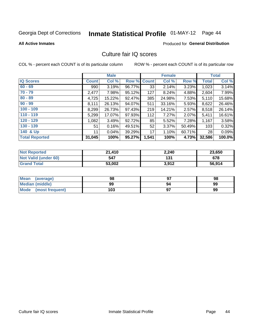# Inmate Statistical Profile 01-MAY-12 Page 44

#### **All Active Inmates**

### **Produced for General Distribution**

## Culture fair IQ scores

COL % - percent each COUNT is of its particular column

|                       |              | <b>Male</b> |             |       | <b>Female</b> |        |              | <b>Total</b> |
|-----------------------|--------------|-------------|-------------|-------|---------------|--------|--------------|--------------|
| <b>IQ Scores</b>      | <b>Count</b> | Col %       | Row % Count |       | Col %         | Row %  | <b>Total</b> | Col %        |
| $60 - 69$             | 990          | 3.19%       | 96.77%      | 33    | 2.14%         | 3.23%  | 1,023        | 3.14%        |
| $70 - 79$             | 2,477        | 7.98%       | 95.12%      | 127   | 8.24%         | 4.88%  | 2,604        | 7.99%        |
| $80 - 89$             | 4,725        | 15.22%      | 92.47%      | 385   | 24.98%        | 7.53%  | 5,110        | 15.68%       |
| $90 - 99$             | 8,111        | 26.13%      | 94.07%      | 511   | 33.16%        | 5.93%  | 8,622        | 26.46%       |
| $100 - 109$           | 8,299        | 26.73%      | 97.43%      | 219   | 14.21%        | 2.57%  | 8,518        | 26.14%       |
| $110 - 119$           | 5,299        | 17.07%      | 97.93%      | 112   | 7.27%         | 2.07%  | 5,411        | 16.61%       |
| $120 - 129$           | 1,082        | 3.49%       | 92.72%      | 85    | 5.52%         | 7.28%  | 1,167        | 3.58%        |
| $130 - 139$           | 51           | 0.16%       | 49.51%      | 52    | 3.37%         | 50.49% | 103          | 0.32%        |
| 140 & Up              | 11           | 0.04%       | 39.29%      | 17    | 1.10%         | 60.71% | 28           | 0.09%        |
| <b>Total Reported</b> | 31,045       | 100%        | 95.27%      | 1,541 | 100%          | 4.73%  | 32,586       | 100.0%       |

| <b>Not Reported</b>         | 21,410 | 2,240 | 23,650 |
|-----------------------------|--------|-------|--------|
| <b>Not Valid (under 60)</b> | 547    | 131   | 678    |
| <b>Grand Total</b>          | 53,002 | 3,912 | 56,914 |

| Mean<br>(average)       | 98  | כח | 98 |
|-------------------------|-----|----|----|
| <b>Median (middle)</b>  | 99  | 94 | 99 |
| Mode<br>(most frequent) | 103 |    | 99 |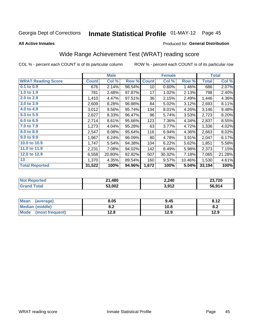# Inmate Statistical Profile 01-MAY-12 Page 45

#### **All Active Inmates**

### Produced for General Distribution

## Wide Range Achievement Test (WRAT) reading score

COL % - percent each COUNT is of its particular column

|                           |              | <b>Male</b> |        |              | <b>Female</b> |        |              | <b>Total</b> |
|---------------------------|--------------|-------------|--------|--------------|---------------|--------|--------------|--------------|
| <b>WRAT Reading Score</b> | <b>Count</b> | Col %       | Row %  | <b>Count</b> | Col %         | Row %  | <b>Total</b> | Col %        |
| 0.1 to 0.9                | 676          | 2.14%       | 98.54% | 10           | 0.60%         | 1.46%  | 686          | 2.07%        |
| 1.0 to 1.9                | 781          | 2.48%       | 97.87% | 17           | 1.02%         | 2.13%  | 798          | 2.40%        |
| 2.0 to 2.9                | 1,410        | 4.47%       | 97.51% | 36           | 2.15%         | 2.49%  | 1,446        | 4.36%        |
| 3.0 to 3.9                | 2,609        | 8.28%       | 96.88% | 84           | 5.02%         | 3.12%  | 2,693        | 8.11%        |
| 4.0 to 4.9                | 3,012        | 9.56%       | 95.74% | 134          | 8.01%         | 4.26%  | 3,146        | 9.48%        |
| 5.0 to 5.9                | 2,627        | 8.33%       | 96.47% | 96           | 5.74%         | 3.53%  | 2,723        | 8.20%        |
| 6.0 to 6.9                | 2,714        | 8.61%       | 95.66% | 123          | 7.36%         | 4.34%  | 2,837        | 8.55%        |
| 7.0 to 7.9                | 1,273        | 4.04%       | 95.28% | 63           | 3.77%         | 4.72%  | 1,336        | 4.02%        |
| 8.0 to 8.9                | 2,547        | 8.08%       | 95.64% | 116          | 6.94%         | 4.36%  | 2,663        | 8.02%        |
| 9.0 to 9.9                | 1,967        | 6.24%       | 96.09% | 80           | 4.78%         | 3.91%  | 2,047        | 6.17%        |
| 10.0 to 10.9              | 1,747        | 5.54%       | 94.38% | 104          | 6.22%         | 5.62%  | 1,851        | 5.58%        |
| 11.0 to 11.9              | 2,231        | 7.08%       | 94.02% | 142          | 8.49%         | 5.98%  | 2,373        | 7.15%        |
| 12.0 to 12.9              | 6,558        | 20.80%      | 92.82% | 507          | 30.32%        | 7.18%  | 7,065        | 21.28%       |
| 13                        | 1,370        | 4.35%       | 89.54% | 160          | 9.57%         | 10.46% | 1,530        | 4.61%        |
| <b>Total Reported</b>     | 31,522       | 100%        | 94.96% | 1,672        | 100%          | 5.04%  | 33,194       | 100%         |

| <b>ortea</b><br>NO | 21,480 | 2,240            | חרד רר<br>72 V |
|--------------------|--------|------------------|----------------|
| int                | 53,002 | 3.012<br>J,J I Z | 56,914         |

| <b>Mean</b><br>(average)       | 8.05       | 9.45 | 8.12 |
|--------------------------------|------------|------|------|
| <b>Median (middle)</b>         | י ה<br>0.Z | 10.8 | O.A  |
| <b>Mode</b><br>(most frequent) | 12.8       | 12.9 | 12.9 |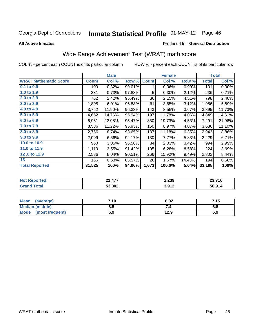# Inmate Statistical Profile 01-MAY-12 Page 46

**All Active Inmates** 

#### Produced for General Distribution

## Wide Range Achievement Test (WRAT) math score

COL % - percent each COUNT is of its particular column

| <b>WRAT Mathematic Score</b><br>$0.1$ to $0.9$ | <b>Count</b> | Col %  |        |              |        |        |              |        |
|------------------------------------------------|--------------|--------|--------|--------------|--------|--------|--------------|--------|
|                                                |              |        | Row %  | <b>Count</b> | Col %  | Row %  | <b>Total</b> | Col %  |
|                                                | 100          | 0.32%  | 99.01% | 1            | 0.06%  | 0.99%  | 101          | 0.30%  |
| 1.0 to 1.9                                     | 231          | 0.73%  | 97.88% | 5            | 0.30%  | 2.12%  | 236          | 0.71%  |
| 2.0 to 2.9                                     | 762          | 2.42%  | 95.49% | 36           | 2.15%  | 4.51%  | 798          | 2.40%  |
| 3.0 to 3.9                                     | 1,895        | 6.01%  | 96.88% | 61           | 3.65%  | 3.12%  | 1,956        | 5.89%  |
| 4.0 to 4.9                                     | 3,752        | 11.90% | 96.33% | 143          | 8.55%  | 3.67%  | 3,895        | 11.73% |
| 5.0 to 5.9                                     | 4,652        | 14.76% | 95.94% | 197          | 11.78% | 4.06%  | 4,849        | 14.61% |
| 6.0 to 6.9                                     | 6,961        | 22.08% | 95.47% | 330          | 19.73% | 4.53%  | 7,291        | 21.96% |
| 7.0 to 7.9                                     | 3,536        | 11.22% | 95.93% | 150          | 8.97%  | 4.07%  | 3,686        | 11.10% |
| 8.0 to 8.9                                     | 2,756        | 8.74%  | 93.65% | 187          | 11.18% | 6.35%  | 2,943        | 8.86%  |
| 9.0 to 9.9                                     | 2,099        | 6.66%  | 94.17% | 130          | 7.77%  | 5.83%  | 2,229        | 6.71%  |
| 10.0 to 10.9                                   | 960          | 3.05%  | 96.58% | 34           | 2.03%  | 3.42%  | 994          | 2.99%  |
| 11.0 to 11.9                                   | 1,119        | 3.55%  | 91.42% | 105          | 6.28%  | 8.58%  | 1,224        | 3.69%  |
| 12.0 to 12.9                                   | 2,536        | 8.04%  | 90.51% | 266          | 15.90% | 9.49%  | 2,802        | 8.44%  |
| 13                                             | 166          | 0.53%  | 85.57% | 28           | 1.67%  | 14.43% | 194          | 0.58%  |
| <b>Total Reported</b>                          | 31,525       | 100%   | 94.96% | 1,673        | 100.0% | 5.04%  | 33,198       | 100%   |

| <b>Not Reported</b>                  | 21,477 | 2,239 | 22.74C<br>29.I IO |
|--------------------------------------|--------|-------|-------------------|
| $\mathop{\mathsf{Total}}$<br>' Grand | 53,002 | 3,912 | 56,914            |

| <b>Mean</b><br>(average)       | 7.10 | 8.02 | 7.15 |
|--------------------------------|------|------|------|
| <b>Median (middle)</b>         | כ.ס  |      | o.o  |
| <b>Mode</b><br>(most frequent) | 6.9  | 12.9 | 6.9  |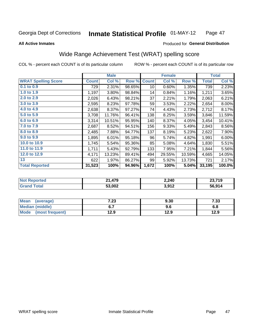#### Inmate Statistical Profile 01-MAY-12 Page 47

Produced for General Distribution

#### **All Active Inmates**

## Wide Range Achievement Test (WRAT) spelling score

COL % - percent each COUNT is of its particular column

|                            |              | <b>Male</b> |        |                 | <b>Female</b> |        |              | <b>Total</b> |
|----------------------------|--------------|-------------|--------|-----------------|---------------|--------|--------------|--------------|
| <b>WRAT Spelling Score</b> | <b>Count</b> | Col %       | Row %  | <b>Count</b>    | Col %         | Row %  | <b>Total</b> | Col %        |
| $0.1$ to $0.9$             | 729          | 2.31%       | 98.65% | 10 <sup>1</sup> | 0.60%         | 1.35%  | 739          | 2.23%        |
| 1.0 to 1.9                 | 1,197        | 3.80%       | 98.84% | 14              | 0.84%         | 1.16%  | 1,211        | 3.65%        |
| 2.0 to 2.9                 | 2,026        | 6.43%       | 98.21% | 37              | 2.21%         | 1.79%  | 2,063        | 6.21%        |
| 3.0 to 3.9                 | 2,595        | 8.23%       | 97.78% | 59              | 3.53%         | 2.22%  | 2,654        | 8.00%        |
| 4.0 to 4.9                 | 2,638        | 8.37%       | 97.27% | 74              | 4.43%         | 2.73%  | 2,712        | 8.17%        |
| 5.0 to 5.9                 | 3,708        | 11.76%      | 96.41% | 138             | 8.25%         | 3.59%  | 3,846        | 11.59%       |
| 6.0 to 6.9                 | 3,314        | 10.51%      | 95.95% | 140             | 8.37%         | 4.05%  | 3,454        | 10.41%       |
| 7.0 to 7.9                 | 2,687        | 8.52%       | 94.51% | 156             | 9.33%         | 5.49%  | 2,843        | 8.56%        |
| 8.0 to 8.9                 | 2,485        | 7.88%       | 94.77% | 137             | 8.19%         | 5.23%  | 2,622        | 7.90%        |
| 9.0 to 9.9                 | 1,895        | 6.01%       | 95.18% | 96              | 5.74%         | 4.82%  | 1,991        | 6.00%        |
| 10.0 to 10.9               | 1,745        | 5.54%       | 95.36% | 85              | 5.08%         | 4.64%  | 1,830        | 5.51%        |
| 11.0 to 11.9               | 1,711        | 5.43%       | 92.79% | 133             | 7.95%         | 7.21%  | 1,844        | 5.56%        |
| 12.0 to 12.9               | 4,171        | 13.23%      | 89.41% | 494             | 29.55%        | 10.59% | 4,665        | 14.05%       |
| 13                         | 622          | 1.97%       | 86.27% | 99              | 5.92%         | 13.73% | 721          | 2.17%        |
| <b>Total Reported</b>      | 31,523       | 100%        | 94.96% | 1,672           | 100%          | 5.04%  | 33,195       | 100.0%       |

| <b>orteg</b><br><b>NOT</b> | 1,479<br>ኅብ | 2,240 | 23,719 |
|----------------------------|-------------|-------|--------|
| $T$ otol                   | 53,002      | 3,912 | 56,914 |

| <b>Mean</b><br>(average)       | ר ד<br>د | 9.30 | - פר<br>دد. |
|--------------------------------|----------|------|-------------|
| Median (middle)                | ν.,      | 9.6  | o.o         |
| <b>Mode</b><br>(most frequent) | 12.9     | 12.9 | 12.9        |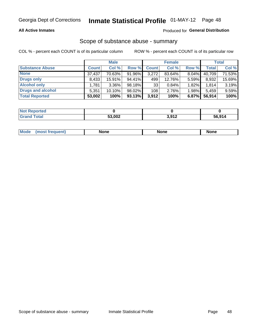#### **All Active Inmates**

#### Produced for General Distribution

### Scope of substance abuse - summary

COL % - percent each COUNT is of its particular column

|                        |              | <b>Male</b> |        |              | <b>Female</b> |       |        | <b>Total</b> |
|------------------------|--------------|-------------|--------|--------------|---------------|-------|--------|--------------|
| <b>Substance Abuse</b> | <b>Count</b> | Col %       | Row %  | <b>Count</b> | Col %         | Row % | Total  | Col %        |
| <b>None</b>            | 37,437       | 70.63%      | 91.96% | 3,272        | 83.64%        | 8.04% | 40,709 | 71.53%       |
| <b>Drugs only</b>      | 8,433        | $15.91\%$   | 94.41% | 499          | 12.76%        | 5.59% | 8,932  | 15.69%       |
| <b>Alcohol only</b>    | .781         | $3.36\%$    | 98.18% | 33           | 0.84%         | 1.82% | 1,814  | 3.19%        |
| Drugs and alcohol      | 5,351        | $10.10\%$   | 98.02% | 108          | 2.76%         | 1.98% | 5,459  | 9.59%        |
| <b>Total Reported</b>  | 53,002       | 100%        | 93.13% | 3,912        | 100%          | 6.87% | 56,914 | 100%         |

| <b>Not Reported</b> |        |       |        |
|---------------------|--------|-------|--------|
| <b>Grand Total</b>  | 53,002 | 3,912 | 56,914 |

| nuem | <b>Mo</b> | None | <b>None</b> | None |
|------|-----------|------|-------------|------|
|------|-----------|------|-------------|------|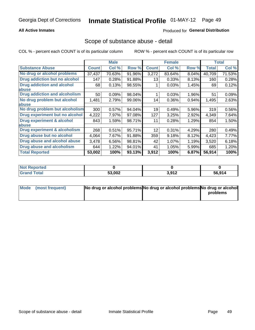#### **All Active Inmates**

### **Produced for General Distribution**

### Scope of substance abuse - detail

COL % - percent each COUNT is of its particular column

|                                      |              | <b>Male</b> |        |              | <b>Female</b> |       |              | <b>Total</b> |
|--------------------------------------|--------------|-------------|--------|--------------|---------------|-------|--------------|--------------|
| <b>Substance Abuse</b>               | <b>Count</b> | Col %       | Row %  | <b>Count</b> | Col %         | Row % | <b>Total</b> | Col %        |
| No drug or alcohol problems          | 37,437       | 70.63%      | 91.96% | 3,272        | 83.64%        | 8.04% | 40,709       | 71.53%       |
| Drug addiction but no alcohol        | 147          | 0.28%       | 91.88% | 13           | 0.33%         | 8.13% | 160          | 0.28%        |
| <b>Drug addiction and alcohol</b>    | 68           | 0.13%       | 98.55% |              | 0.03%         | 1.45% | 69           | 0.12%        |
| abuse                                |              |             |        |              |               |       |              |              |
| <b>Drug addiction and alcoholism</b> | 50           | 0.09%       | 98.04% |              | 0.03%         | 1.96% | 51           | 0.09%        |
| No drug problem but alcohol          | 1,481        | 2.79%       | 99.06% | 14           | 0.36%         | 0.94% | 1,495        | 2.63%        |
| <b>labuse</b>                        |              |             |        |              |               |       |              |              |
| No drug problem but alcoholism       | 300          | 0.57%       | 94.04% | 19           | 0.49%         | 5.96% | 319          | 0.56%        |
| Drug experiment but no alcohol       | 4,222        | 7.97%       | 97.08% | 127          | 3.25%         | 2.92% | 4,349        | 7.64%        |
| Drug experiment & alcohol            | 843          | 1.59%       | 98.71% | 11           | 0.28%         | 1.29% | 854          | 1.50%        |
| <b>labuse</b>                        |              |             |        |              |               |       |              |              |
| Drug experiment & alcoholism         | 268          | 0.51%       | 95.71% | 12           | 0.31%         | 4.29% | 280          | 0.49%        |
| Drug abuse but no alcohol            | 4,064        | 7.67%       | 91.88% | 359          | 9.18%         | 8.12% | 4,423        | 7.77%        |
| Drug abuse and alcohol abuse         | 3,478        | 6.56%       | 98.81% | 42           | 1.07%         | 1.19% | 3,520        | 6.18%        |
| Drug abuse and alcoholism            | 644          | 1.22%       | 94.01% | 41           | 1.05%         | 5.99% | 685          | 1.20%        |
| <b>Total Reported</b>                | 53,002       | 100%        | 93.13% | 3,912        | 100%          | 6.87% | 56,914       | 100%         |

| <b>ported</b><br><b>NOT</b> |        |       |        |
|-----------------------------|--------|-------|--------|
| otal                        | 53,002 | 3,912 | 56,914 |

| Mode (most frequent) | No drug or alcohol problems No drug or alcohol problems No drug or alcohol |          |
|----------------------|----------------------------------------------------------------------------|----------|
|                      |                                                                            | problems |
|                      |                                                                            |          |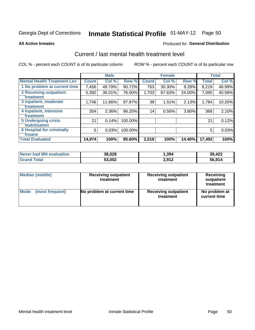# Inmate Statistical Profile 01-MAY-12 Page 50

#### **All Active Inmates**

#### **Produced for General Distribution**

## Current / last mental health treatment level

COL % - percent each COUNT is of its particular column

|                                    |              | <b>Male</b> |         |                 | <b>Female</b> |          |              | <b>Total</b> |
|------------------------------------|--------------|-------------|---------|-----------------|---------------|----------|--------------|--------------|
| <b>Mental Health Treatment Lev</b> | <b>Count</b> | Col %       | Row %   | <b>Count</b>    | Col %         | Row %    | <b>Total</b> | Col %        |
| 1 No problem at current time       | 7,456        | 49.79%      | 90.72%  | 763             | 30.30%        | 9.28%    | 8,219        | 46.99%       |
| 2 Receiving outpatient             | 5,392        | 36.01%      | 76.00%  | 1,703           | 67.63%        | 24.00%   | 7,095        | 40.56%       |
| <b>Treatment</b>                   |              |             |         |                 |               |          |              |              |
| 3 Inpatient, moderate              | 1,746        | 11.66%      | 97.87%  | 38              | 1.51%         | 2.13%    | 1,784        | 10.20%       |
| Treatment                          |              |             |         |                 |               |          |              |              |
| 4 Inpatient, intensive             | 354          | 2.36%       | 96.20%  | 14 <sub>1</sub> | 0.56%         | $3.80\%$ | 368          | 2.10%        |
| <b>Treatment</b>                   |              |             |         |                 |               |          |              |              |
| <b>5 Undergoing crisis</b>         | 21           | 0.14%       | 100.00% |                 |               |          | 21           | 0.12%        |
| <b>stabilization</b>               |              |             |         |                 |               |          |              |              |
| <b>6 Hospital for criminally</b>   | 5            | 0.03%       | 100.00% |                 |               |          | 5            | 0.03%        |
| <b>Tinsane</b>                     |              |             |         |                 |               |          |              |              |
| <b>Total Evaluated</b>             | 14,974       | 100%        | 85.60%  | 2,518           | 100%          | 14.40%   | 17,492       | 100%         |

| Never had MH evaluation | 38,028 | ,394  | 39,422 |
|-------------------------|--------|-------|--------|
| <b>Grand Total</b>      | 53,002 | 3,912 | 56,914 |

| Median (middle) | <b>Receiving outpatient</b><br>treatment | <b>Receiving outpatient</b><br>treatment | <b>Receiving</b><br>outpatient<br>treatment |  |  |
|-----------------|------------------------------------------|------------------------------------------|---------------------------------------------|--|--|
| <b>Mode</b>     | No problem at current time               | <b>Receiving outpatient</b>              | No problem at                               |  |  |
| (most frequent) |                                          | treatment                                | current time                                |  |  |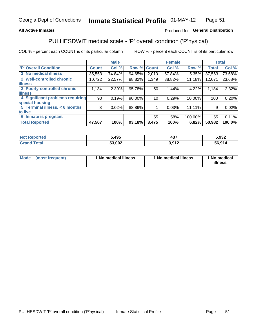#### **All Active Inmates**

### Produced for General Distribution

## PULHESDWIT medical scale - 'P' overall condition ('P'hysical)

COL % - percent each COUNT is of its particular column

|                                  |                 | <b>Male</b> |        |              | <b>Female</b> |         |              | <b>Total</b> |
|----------------------------------|-----------------|-------------|--------|--------------|---------------|---------|--------------|--------------|
| <b>P' Overall Condition</b>      | <b>Count</b>    | Col %       | Row %  | <b>Count</b> | Col %         | Row %   | <b>Total</b> | Col %        |
| 1 No medical illness             | 35,553          | 74.84%      | 94.65% | 2,010        | 57.84%        | 5.35%   | 37,563       | 73.68%       |
| 2 Well-controlled chronic        | 10,722          | 22.57%      | 88.82% | 1,349        | 38.82%        | 11.18%  | 12,071       | 23.68%       |
| <b>lillness</b>                  |                 |             |        |              |               |         |              |              |
| 3 Poorly-controlled chronic      | 1,134           | 2.39%       | 95.78% | 50           | 1.44%         | 4.22%   | 1,184        | 2.32%        |
| <b>illness</b>                   |                 |             |        |              |               |         |              |              |
| 4 Significant problems requiring | 90 <sub>1</sub> | 0.19%       | 90.00% | 10           | 0.29%         | 10.00%  | 100          | 0.20%        |
| special housing                  |                 |             |        |              |               |         |              |              |
| 5 Terminal illness, $< 6$ months | 8               | 0.02%       | 88.89% |              | 0.03%         | 11.11%  | 9            | 0.02%        |
| to live                          |                 |             |        |              |               |         |              |              |
| 6 Inmate is pregnant             |                 |             |        | 55           | 1.58%         | 100.00% | 55           | 0.11%        |
| <b>Total Reported</b>            | 47,507          | 100%        | 93.18% | 3,475        | 100%          | 6.82%   | 50,982       | 100.0%       |

| orted<br>. | 5,495         | 107<br>49,    | 5,932  |
|------------|---------------|---------------|--------|
|            | ca nna<br>VVŁ | . ര∢ ാ<br>. . | 56,914 |

| Mode | (most frequent) | 1 No medical illness | 1 No medical illness | 1 No medical<br>illness |
|------|-----------------|----------------------|----------------------|-------------------------|
|------|-----------------|----------------------|----------------------|-------------------------|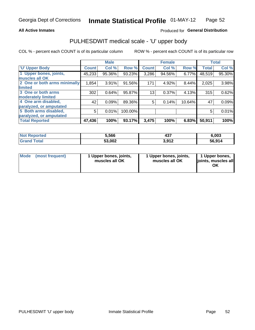#### **All Active Inmates**

### Produced for General Distribution

## PULHESDWIT medical scale - 'U' upper body

COL % - percent each COUNT is of its particular column

|                              |              | <b>Male</b> |         |              | <b>Female</b> |        |              | <b>Total</b> |
|------------------------------|--------------|-------------|---------|--------------|---------------|--------|--------------|--------------|
| <b>U' Upper Body</b>         | <b>Count</b> | Col %       | Row %   | <b>Count</b> | Col %         | Row %  | <b>Total</b> | Col %        |
| 1 Upper bones, joints,       | 45,233       | 95.36%      | 93.23%  | 3,286        | 94.56%        | 6.77%  | 48,519       | 95.30%       |
| muscles all OK               |              |             |         |              |               |        |              |              |
| 2 One or both arms minimally | 1,854        | 3.91%       | 91.56%  | 171          | 4.92%         | 8.44%  | 2,025        | 3.98%        |
| limited                      |              |             |         |              |               |        |              |              |
| 3 One or both arms           | 302          | 0.64%       | 95.87%  | 13           | 0.37%         | 4.13%  | 315          | 0.62%        |
| <b>moderately limited</b>    |              |             |         |              |               |        |              |              |
| 4 One arm disabled,          | 42           | 0.09%       | 89.36%  | 5            | 0.14%         | 10.64% | 47           | 0.09%        |
| paralyzed, or amputated      |              |             |         |              |               |        |              |              |
| 5 Both arms disabled,        | 5            | 0.01%       | 100.00% |              |               |        | 5            | 0.01%        |
| paralyzed, or amputated      |              |             |         |              |               |        |              |              |
| <b>Total Reported</b>        | 47,436       | 100%        | 93.17%  | 3,475        | 100%          | 6.83%  | 50,911       | 100%         |

| <b>Not Reported</b>          | 5,566  | ,,,<br>4د4 | 6,003  |
|------------------------------|--------|------------|--------|
| <b>Total</b><br><b>Grand</b> | 53,002 | 3,912      | 56,914 |

| Mode (most frequent) | 1 Upper bones, joints,<br>muscles all OK | 1 Upper bones, joints,<br>muscles all OK | 1 Upper bones,<br>joints, muscles all<br>ΟK |
|----------------------|------------------------------------------|------------------------------------------|---------------------------------------------|
|----------------------|------------------------------------------|------------------------------------------|---------------------------------------------|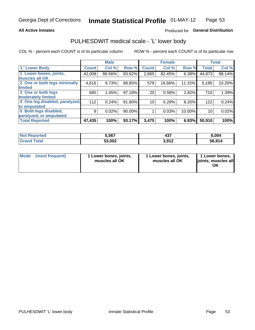#### **All Active Inmates**

### Produced for General Distribution

## PULHESDWIT medical scale - 'L' lower body

COL % - percent each COUNT is of its particular column

|                                |              | <b>Male</b> |        |              | <b>Female</b> |        |              | <b>Total</b> |
|--------------------------------|--------------|-------------|--------|--------------|---------------|--------|--------------|--------------|
| 'L' Lower Body                 | <b>Count</b> | Col %       | Row %  | <b>Count</b> | Col %         | Row %  | <b>Total</b> | Col %        |
| 1 Lower bones, joints,         | 42,008       | 88.56%      | 93.62% | 2,865        | 82.45%        | 6.38%  | 44,873       | 88.14%       |
| muscles all OK                 |              |             |        |              |               |        |              |              |
| 2 One or both legs minimally   | 4,616        | 9.73%       | 88.85% | 579          | 16.66%        | 11.15% | 5,195        | 10.20%       |
| limited                        |              |             |        |              |               |        |              |              |
| 3 One or both legs             | 690          | 1.45%       | 97.18% | 20           | 0.58%         | 2.82%  | 710          | 1.39%        |
| moderately limited             |              |             |        |              |               |        |              |              |
| 4 One leg disabled, paralyzed, | 112          | 0.24%       | 91.80% | 10           | 0.29%         | 8.20%  | 122          | 0.24%        |
| or amputated                   |              |             |        |              |               |        |              |              |
| 5 Both legs disabled,          | 9            | 0.02%       | 90.00% |              | 0.03%         | 10.00% | 10           | 0.02%        |
| paralyzed, or amputated        |              |             |        |              |               |        |              |              |
| <b>Total Reported</b>          | 47,435       | 100%        | 93.17% | 3,475        | 100%          | 6.83%  | 50,910       | 100%         |

| <b>Not Reported</b>          | 5,567  | ,,,<br>4د4 | 6.004  |
|------------------------------|--------|------------|--------|
| <b>Total</b><br><b>Grand</b> | 53,002 | 3,912      | 56,914 |

| Mode | (most frequent) | 1 Lower bones, joints,<br>muscles all OK | I Lower bones, joints,<br>muscles all OK | 1 Lower bones,<br>joints, muscles all<br>ΟK |
|------|-----------------|------------------------------------------|------------------------------------------|---------------------------------------------|
|------|-----------------|------------------------------------------|------------------------------------------|---------------------------------------------|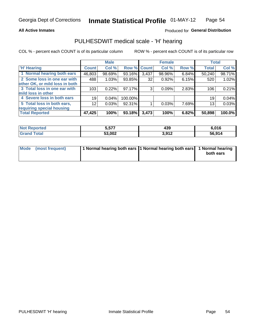#### **All Active Inmates**

### Produced for General Distribution

## PULHESDWIT medical scale - 'H' hearing

COL % - percent each COUNT is of its particular column

|                                |              | <b>Male</b> |         |             | <b>Female</b> |       | <b>Total</b> |        |
|--------------------------------|--------------|-------------|---------|-------------|---------------|-------|--------------|--------|
| <b>'H' Hearing</b>             | <b>Count</b> | Col %       |         | Row % Count | Col %         | Row % | <b>Total</b> | Col %  |
| 1 Normal hearing both ears     | 46,803       | 98.69%      | 93.16%  | 3,437       | 98.96%        | 6.84% | 50,240       | 98.71% |
| 2 Some loss in one ear with    | 488          | 1.03%       | 93.85%  | 32          | 0.92%         | 6.15% | 520          | 1.02%  |
| other OK, or mild loss in both |              |             |         |             |               |       |              |        |
| 3 Total loss in one ear with   | 103          | 0.22%       | 97.17%  | 3           | 0.09%         | 2.83% | 106          | 0.21%  |
| mild loss in other             |              |             |         |             |               |       |              |        |
| 4 Severe loss in both ears     | 19           | 0.04%       | 100.00% |             |               |       | 19           | 0.04%  |
| 5 Total loss in both ears,     | 12           | 0.03%       | 92.31%  |             | 0.03%         | 7.69% | 13           | 0.03%  |
| requiring special housing      |              |             |         |             |               |       |              |        |
| <b>Total Reported</b>          | 47,425       | 100%        | 93.18%  | 3,473       | 100%          | 6.82% | 50,898       | 100.0% |

| <b>Not Reno</b> | ----   | n o   | 04C     |
|-----------------|--------|-------|---------|
| anorted and     | 5,57.  | 435   | 0.U I 0 |
| Γotal           | 53,002 | 3,912 | 56,914  |

| Mode (most frequent) | 1 Normal hearing both ears 1 Normal hearing both ears 1 Normal hearing | both ears |
|----------------------|------------------------------------------------------------------------|-----------|
|                      |                                                                        |           |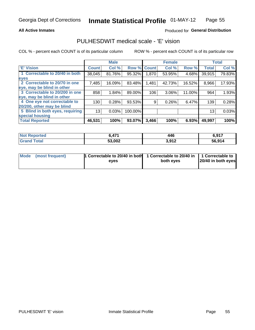#### **All Active Inmates**

### Produced for General Distribution

## PULHESDWIT medical scale - 'E' vision

COL % - percent each COUNT is of its particular column

|                                 |                    | <b>Male</b> |         |              | <b>Female</b> |        |              | <b>Total</b> |
|---------------------------------|--------------------|-------------|---------|--------------|---------------|--------|--------------|--------------|
| 'E' Vision                      | Count <sup>'</sup> | Col %       | Row %   | <b>Count</b> | Col %         | Row %  | <b>Total</b> | Col %        |
| 1 Correctable to 20/40 in both  | 38,045             | 81.76%      | 95.32%  | .870         | 53.95%        | 4.68%  | 39,915       | 79.83%       |
| eyes                            |                    |             |         |              |               |        |              |              |
| 2 Correctable to 20/70 in one   | 7,485              | 16.09%      | 83.48%  | .481         | 42.73%        | 16.52% | 8,966        | 17.93%       |
| eye, may be blind in other      |                    |             |         |              |               |        |              |              |
| 3 Correctable to 20/200 in one  | 858                | 1.84%       | 89.00%  | 106          | 3.06%         | 11.00% | 964          | 1.93%        |
| eye, may be blind in other      |                    |             |         |              |               |        |              |              |
| 4 One eye not correctable to    | 130                | 0.28%       | 93.53%  | 9            | 0.26%         | 6.47%  | 139          | 0.28%        |
| 20/200, other may be blind      |                    |             |         |              |               |        |              |              |
| 5 Blind in both eyes, requiring | 13                 | 0.03%       | 100.00% |              |               |        | 13           | 0.03%        |
| special housing                 |                    |             |         |              |               |        |              |              |
| <b>Total Reported</b>           | 46,531             | 100%        | 93.07%  | 3,466        | 100%          | 6.93%  | 49,997       | 100%         |

| <b>Not Reported</b> | A7 <sup>4</sup> | 446             | 6,917  |
|---------------------|-----------------|-----------------|--------|
| Total               | 53,002          | 2012<br>J.J I Z | 56,914 |

| Mode (most frequent) | 1 Correctable to 20/40 in both<br>eves | 1 Correctable to 20/40 in   1 Correctable to  <br>both eves | 20/40 in both eyes |  |
|----------------------|----------------------------------------|-------------------------------------------------------------|--------------------|--|
|                      |                                        |                                                             |                    |  |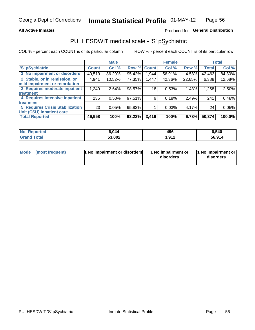#### **All Active Inmates**

### Produced for General Distribution

## PULHESDWIT medical scale - 'S' pSychiatric

COL % - percent each COUNT is of its particular column

|                                        |              | <b>Male</b> |        |              | <b>Female</b> |        |              | <b>Total</b> |
|----------------------------------------|--------------|-------------|--------|--------------|---------------|--------|--------------|--------------|
| 'S' pSychiatric                        | <b>Count</b> | Col %       | Row %  | <b>Count</b> | Col %         | Row %  | <b>Total</b> | Col %        |
| 1 No impairment or disorders           | 40,519       | 86.29%      | 95.42% | 1,944        | 56.91%        | 4.58%  | 42,463       | 84.30%       |
| 2 Stable, or in remission, or          | 4,941        | 10.52%      | 77.35% | 1,447        | 42.36%        | 22.65% | 6,388        | 12.68%       |
| mild impairment or retardation         |              |             |        |              |               |        |              |              |
| 3 Requires moderate inpatient          | 1,240        | 2.64%       | 98.57% | 18           | 0.53%         | 1.43%  | 1,258        | 2.50%        |
| treatment                              |              |             |        |              |               |        |              |              |
| 4 Requires intensive inpatient         | 235          | 0.50%       | 97.51% | 6            | 0.18%         | 2.49%  | 241          | 0.48%        |
| treatment                              |              |             |        |              |               |        |              |              |
| <b>5 Requires Crisis Stabilization</b> | 23           | 0.05%       | 95.83% |              | 0.03%         | 4.17%  | 24           | 0.05%        |
| Unit (CSU) inpatient care              |              |             |        |              |               |        |              |              |
| <b>Total Reported</b>                  | 46,958       | 100%        | 93.22% | 3,416        | 100%          | 6.78%  | 50,374       | 100.0%       |

| <b>Not Reported</b>   | 044.ة  | 496              | 6,540  |
|-----------------------|--------|------------------|--------|
| Total<br><b>Grand</b> | 53,002 | 2.012<br>J.J I 4 | 56,914 |

| Mode<br>1 No impairment or disorders<br>(most frequent) | 1 No impairment or<br>disorders | 1 No impairment or<br>disorders |
|---------------------------------------------------------|---------------------------------|---------------------------------|
|---------------------------------------------------------|---------------------------------|---------------------------------|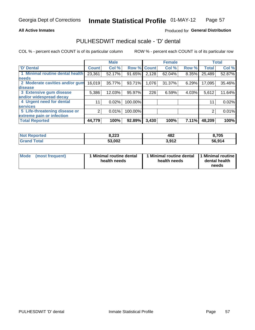#### **All Active Inmates**

### Produced for General Distribution

## PULHESDWIT medical scale - 'D' dental

COL % - percent each COUNT is of its particular column

|                                 |              | <b>Male</b> |         |             | <b>Female</b> |       |              | <b>Total</b> |
|---------------------------------|--------------|-------------|---------|-------------|---------------|-------|--------------|--------------|
| <b>D'</b> Dental                | <b>Count</b> | Col %       |         | Row % Count | Col %         | Row % | <b>Total</b> | Col %        |
| 1 Minimal routine dental health | 23,361       | 52.17%      | 91.65%  | 2,128       | 62.04%        | 8.35% | 25,489       | 52.87%       |
| <b>needs</b>                    |              |             |         |             |               |       |              |              |
| 2 Moderate cavities and/or gum  | 16,019       | 35.77%      | 93.71%  | 1,076       | 31.37%        | 6.29% | 17,095       | 35.46%       |
| disease                         |              |             |         |             |               |       |              |              |
| 3 Extensive gum disease         | 5,386        | 12.03%      | 95.97%  | 226         | 6.59%         | 4.03% | 5,612        | 11.64%       |
| and/or widespread decay         |              |             |         |             |               |       |              |              |
| 4 Urgent need for dental        | 11           | 0.02%       | 100.00% |             |               |       | 11           | 0.02%        |
| <b>services</b>                 |              |             |         |             |               |       |              |              |
| 5 Life-threatening disease or   | 2            | 0.01%       | 100.00% |             |               |       | 2            | 0.01%        |
| extreme pain or infection       |              |             |         |             |               |       |              |              |
| <b>Total Reported</b>           | 44,779       | 100%        | 92.89%  | 3,430       | 100%          | 7.11% | 48,209       | 100%         |

| <b>Not Reported</b>     | 8,223  | 482   | 8,705  |
|-------------------------|--------|-------|--------|
| <b>Total</b><br>' Grand | 53,002 | 3,912 | 56,914 |

| 1 Minimal routine dental<br>Mode<br>(most frequent)<br>health needs | 1 Minimal routine dental 1 Minimal routine<br>health needs | dental health<br>needs |
|---------------------------------------------------------------------|------------------------------------------------------------|------------------------|
|---------------------------------------------------------------------|------------------------------------------------------------|------------------------|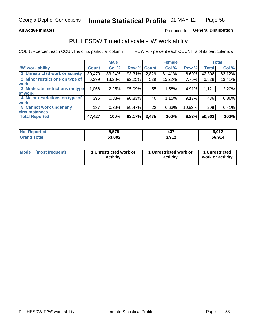#### **All Active Inmates**

### Produced for General Distribution

## PULHESDWIT medical scale - 'W' work ability

COL % - percent each COUNT is of its particular column

|                                 |              | <b>Male</b> |           |              | <b>Female</b> |        |              | <b>Total</b> |
|---------------------------------|--------------|-------------|-----------|--------------|---------------|--------|--------------|--------------|
| <b>W'</b> work ability          | <b>Count</b> | Col %       | Row %     | <b>Count</b> | Col %         | Row %  | <b>Total</b> | Col %        |
| 1 Unrestricted work or activity | 39,479       | 83.24%      | 93.31%    | 2,829        | 81.41%        | 6.69%  | 42,308       | 83.12%       |
| 2 Minor restrictions on type of | 6,299        | 13.28%      | 92.25%    | 529          | 15.22%        | 7.75%  | 6,828        | 13.41%       |
| <b>work</b>                     |              |             |           |              |               |        |              |              |
| 3 Moderate restrictions on type | 1,066        | 2.25%       | 95.09%    | 55           | 1.58%         | 4.91%  | 1,121        | 2.20%        |
| lof work                        |              |             |           |              |               |        |              |              |
| 4 Major restrictions on type of | 396          | 0.83%       | $90.83\%$ | 40           | 1.15%         | 9.17%  | 436          | 0.86%        |
| <b>work</b>                     |              |             |           |              |               |        |              |              |
| 5 Cannot work under any         | 187          | 0.39%       | 89.47%    | 22           | 0.63%         | 10.53% | 209          | 0.41%        |
| <b>circumstances</b>            |              |             |           |              |               |        |              |              |
| <b>Total Reported</b>           | 47,427       | 100%        | 93.17%    | 3,475        | 100%          | 6.83%  | 50,902       | 100%         |

| <b>Not Reported</b>   | 5,575  | 437   | 6,012  |
|-----------------------|--------|-------|--------|
| Total<br><b>Grand</b> | 53,002 | 3,912 | 56,914 |

| Mode            | 1 Unrestricted work or | 1 Unrestricted work or | 1 Unrestricted   |
|-----------------|------------------------|------------------------|------------------|
| (most frequent) | activity               | activity               | work or activity |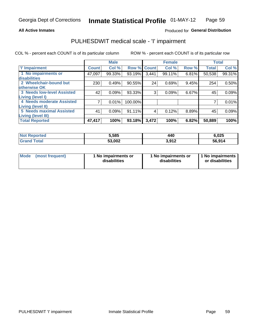#### **All Active Inmates**

### Produced for General Distribution

## PULHESDWIT medical scale - 'I' impairment

COL % - percent each COUNT is of its particular column

|                                   |              | <b>Male</b> |         |             | <b>Female</b> |       |              | <b>Total</b> |
|-----------------------------------|--------------|-------------|---------|-------------|---------------|-------|--------------|--------------|
| 'l' Impairment                    | <b>Count</b> | Col %       |         | Row % Count | Col %         | Row % | <b>Total</b> | Col %        |
| 1 No impairments or               | 47,097       | 99.33%      | 93.19%  | 3,441       | 99.11%        | 6.81% | 50,538       | 99.31%       |
| disabilities                      |              |             |         |             |               |       |              |              |
| 2 Wheelchair-bound but            | 230          | 0.49%       | 90.55%  | 24          | 0.69%         | 9.45% | 254          | 0.50%        |
| otherwise OK                      |              |             |         |             |               |       |              |              |
| <b>3 Needs low-level Assisted</b> | 42           | 0.09%       | 93.33%  | 3           | 0.09%         | 6.67% | 45           | 0.09%        |
| Living (level I)                  |              |             |         |             |               |       |              |              |
| 4 Needs moderate Assisted         |              | 0.01%       | 100.00% |             |               |       |              | 0.01%        |
| Living (level II)                 |              |             |         |             |               |       |              |              |
| <b>5 Needs maximal Assisted</b>   | 41           | 0.09%       | 91.11%  | 4           | 0.12%         | 8.89% | 45           | 0.09%        |
| <b>Living (level III)</b>         |              |             |         |             |               |       |              |              |
| <b>Total Reported</b>             | 47,417       | 100%        | 93.18%  | 3,472       | 100%          | 6.82% | 50,889       | 100%         |

| orted             | 5,585  | 440                     | 6,025  |
|-------------------|--------|-------------------------|--------|
| <sup>™</sup> ota⊾ | 53,002 | <b>042</b> י<br>J.J I L | 56.914 |

| Mode | (most frequent) | 1 No impairments or<br>disabilities | 1 No impairments or<br>disabilities | 1 No impairments<br>or disabilities |
|------|-----------------|-------------------------------------|-------------------------------------|-------------------------------------|
|------|-----------------|-------------------------------------|-------------------------------------|-------------------------------------|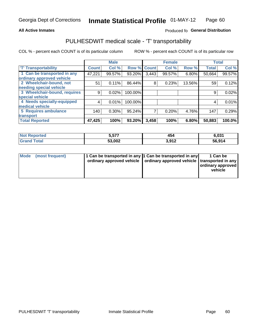#### **All Active Inmates**

### Produced fo General Distribution

## PULHESDWIT medical scale - 'T' transportability

COL % - percent each COUNT is of its particular column

|                              |              | <b>Male</b> |         |              | <b>Female</b> |        |              | <b>Total</b> |
|------------------------------|--------------|-------------|---------|--------------|---------------|--------|--------------|--------------|
| <b>T' Transportability</b>   | <b>Count</b> | Col %       | Row %   | <b>Count</b> | Col %         | Row %  | <b>Total</b> | Col %        |
| 1 Can be transported in any  | 47,221       | 99.57%      | 93.20%  | 3,443        | 99.57%        | 6.80%  | 50,664       | 99.57%       |
| ordinary approved vehicle    |              |             |         |              |               |        |              |              |
| 2 Wheelchair-bound, not      | 51           | 0.11%       | 86.44%  | 8            | 0.23%         | 13.56% | 59           | 0.12%        |
| needing special vehicle      |              |             |         |              |               |        |              |              |
| 3 Wheelchair-bound, requires | 9            | 0.02%       | 100.00% |              |               |        | 9            | 0.02%        |
| special vehicle              |              |             |         |              |               |        |              |              |
| 4 Needs specially-equipped   | 4            | 0.01%       | 100.00% |              |               |        | 4            | 0.01%        |
| medical vehicle              |              |             |         |              |               |        |              |              |
| <b>5 Requires ambulance</b>  | 140          | 0.30%       | 95.24%  | 7            | 0.20%         | 4.76%  | 147          | 0.29%        |
| transport                    |              |             |         |              |               |        |              |              |
| <b>Total Reported</b>        | 47,425       | 100%        | 93.20%  | 3,458        | 100%          | 6.80%  | 50,883       | 100.0%       |

| orted       | 5,577  | 454  | 6,031  |
|-------------|--------|------|--------|
| <b>otal</b> | 53,002 | 2012 | 56.914 |

|  | Mode (most frequent) | 1 Can be transported in any 1 Can be transported in any<br>ordinary approved vehicle   ordinary approved vehicle   transported in any |  | 1 Can be<br>  ordinary approved  <br>vehicle |
|--|----------------------|---------------------------------------------------------------------------------------------------------------------------------------|--|----------------------------------------------|
|--|----------------------|---------------------------------------------------------------------------------------------------------------------------------------|--|----------------------------------------------|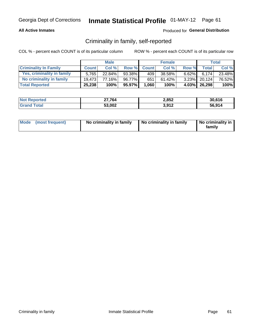### **All Active Inmates**

### Produced for General Distribution

### Criminality in family, self-reported

COL % - percent each COUNT is of its particular column

|                              |              | <b>Male</b> |        |              | <b>Female</b> |          |                    | <b>Total</b> |
|------------------------------|--------------|-------------|--------|--------------|---------------|----------|--------------------|--------------|
| <b>Criminality In Family</b> | <b>Count</b> | Col %       | Row %  | <b>Count</b> | Col %         | Row %    | Total <sub>1</sub> | Col %        |
| Yes, criminality in family   | 5.765        | $22.84\%$   | 93.38% | 409'         | 38.58%        | $6.62\%$ | 6.174              | 23.48%       |
| No criminality in family     | 19.473       | 77.16%      | 96.77% | 651          | 61.42%        |          | 3.23% 20,124       | 76.52%       |
| <b>Total Reported</b>        | 25,238       | 100%        | 95.97% | 1,060        | 100%          |          | 4.03% 26,298       | 100%         |

| <b>Not Reported</b> | 27.764 | 2,852 | 30.616 |
|---------------------|--------|-------|--------|
| <b>Total</b>        | 53,002 | 3,912 | 56.914 |

|  | Mode (most frequent) | No criminality in family | No criminality in family | No criminality in<br>family |
|--|----------------------|--------------------------|--------------------------|-----------------------------|
|--|----------------------|--------------------------|--------------------------|-----------------------------|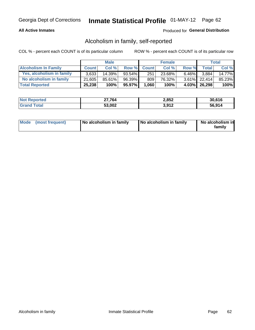#### **All Active Inmates**

### Produced for General Distribution

### Alcoholism in family, self-reported

COL % - percent each COUNT is of its particular column

|                             |              | <b>Male</b> |        |              | <b>Female</b> |          |                 | Total   |
|-----------------------------|--------------|-------------|--------|--------------|---------------|----------|-----------------|---------|
| <b>Alcoholism In Family</b> | <b>Count</b> | Col%        | Row %  | <b>Count</b> | Col%          | Row %    | <b>Total</b>    | Col %   |
| Yes, alcoholism in family   | 3.633        | $14.39\%$   | 93.54% | 251          | 23.68%        | $6.46\%$ | 3.884           | 14.77%  |
| No alcoholism in family     | 21.605       | $85.61\%$   | 96.39% | 809          | 76.32%        |          | $3.61\%$ 22.414 | 85.23%  |
| <b>Total Reported</b>       | 25,238       | 100%        | 95.97% | 1,060        | 100%          |          | 4.03% 26,298    | $100\%$ |

| <b>Not Reported</b> | 27,764 | 2,852 | 30.616 |
|---------------------|--------|-------|--------|
| Гоtа                | 53,002 | 3,912 | 56.914 |

|  | Mode (most frequent) | No alcoholism in family | No alcoholism in family | No alcoholism in<br>family |
|--|----------------------|-------------------------|-------------------------|----------------------------|
|--|----------------------|-------------------------|-------------------------|----------------------------|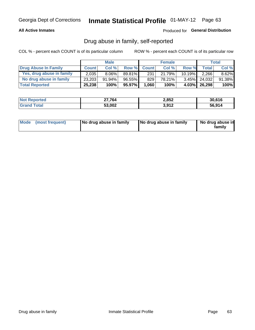#### **All Active Inmates**

### Produced for General Distribution

### Drug abuse in family, self-reported

COL % - percent each COUNT is of its particular column

|                           |              | <b>Male</b> |        |              | <b>Female</b> |           |              | <b>Total</b> |
|---------------------------|--------------|-------------|--------|--------------|---------------|-----------|--------------|--------------|
| Drug Abuse In Family      | <b>Count</b> | Col%        | Row %  | <b>Count</b> | Col%          | Row %     | <b>Total</b> | Col %        |
| Yes, drug abuse in family | 2,035        | $8.06\%$    | 89.81% | 231          | 21.79%        | $10.19\%$ | 2,266        | 8.62%        |
| No drug abuse in family   | 23,203       | $91.94\%$   | 96.55% | 829          | 78.21%        | $3.45\%$  | 24,032       | 91.38%       |
| <b>Total Reported</b>     | 25,238       | 100%        | 95.97% | 1.060        | 100%          | $4.03\%$  | 26,298       | 100%         |

| <b>Not Reported</b> | 27,764 | 2,852 | 30.616 |
|---------------------|--------|-------|--------|
| Гоtа                | 53,002 | 3,912 | 56.914 |

|  | Mode (most frequent) | No drug abuse in family | No drug abuse in family | No drug abuse in<br>familv |
|--|----------------------|-------------------------|-------------------------|----------------------------|
|--|----------------------|-------------------------|-------------------------|----------------------------|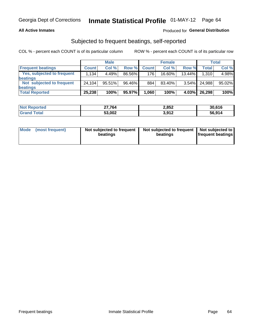#### **All Active Inmates**

### Produced for General Distribution

## Subjected to frequent beatings, self-reported

COL % - percent each COUNT is of its particular column

|                                   |              | <b>Male</b> |        |              | <b>Female</b> |           |              | Total  |
|-----------------------------------|--------------|-------------|--------|--------------|---------------|-----------|--------------|--------|
| <b>Frequent beatings</b>          | <b>Count</b> | Col %       | Row %  | <b>Count</b> | Col %         | Row %     | <b>Total</b> | Col%   |
| <b>Yes, subjected to frequent</b> | 1,134        | 4.49%       | 86.56% | 176          | 16.60%        | $13.44\%$ | 1,310        | 4.98%  |
| <b>beatings</b>                   |              |             |        |              |               |           |              |        |
| Not subjected to frequent         | 24.104       | 95.51%      | 96.46% | 884          | 83.40%        | $3.54\%$  | 24,988       | 95.02% |
| <b>beatings</b>                   |              |             |        |              |               |           |              |        |
| <b>Total Reported</b>             | 25,238       | 100%        | 95.97% | 1,060        | 100%          | $4.03\%$  | 26,298       | 100%   |

| <b>Not Reported</b> | 27.764 | 2,852 | 30,616 |
|---------------------|--------|-------|--------|
| <b>Grand Total</b>  | 53,002 | 3,912 | 56,914 |

| Mode (most frequent) | Not subjected to frequent<br>beatings | Not subjected to frequent<br>beatings | Not subjected to<br><b>frequent beatings</b> |
|----------------------|---------------------------------------|---------------------------------------|----------------------------------------------|
|                      |                                       |                                       |                                              |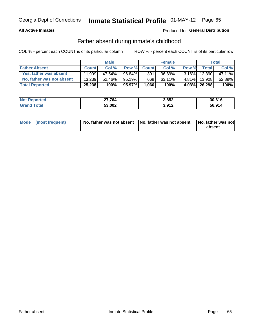#### **All Active Inmates**

### Produced for General Distribution

### Father absent during inmate's childhood

COL % - percent each COUNT is of its particular column

|                           |              | <b>Male</b> |           |              | <b>Female</b> |          |              | Total  |
|---------------------------|--------------|-------------|-----------|--------------|---------------|----------|--------------|--------|
| <b>Father Absent</b>      | <b>Count</b> | Col%        | Row %     | <b>Count</b> | Col %         | Row %    | <b>Total</b> | Col %  |
| Yes, father was absent    | 11.999       | 47.54%      | 96.84%    | 391          | 36.89%        | $3.16\%$ | 12.390       | 47.11% |
| No, father was not absent | 13.239       | 52.46%      | $95.19\%$ | 669          | 63.11%        | $4.81\%$ | 13.908       | 52.89% |
| <b>Total Reported</b>     | 25,238       | 100%        | 95.97%    | 1,060        | 100%          | $4.03\%$ | 26,298       | 100%   |

| <b>Not Reported</b> | ∠7,764 | 2,852 | 30,616 |
|---------------------|--------|-------|--------|
| <b>Srand Total</b>  | 53,002 | 3,912 | 56,914 |

|  | Mode (most frequent) | No, father was not absent No, father was not absent |  | No, father was not<br>absent |
|--|----------------------|-----------------------------------------------------|--|------------------------------|
|--|----------------------|-----------------------------------------------------|--|------------------------------|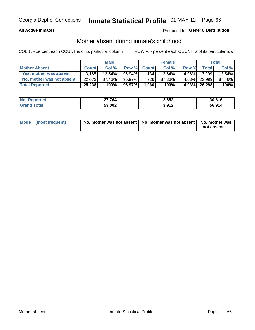#### **All Active Inmates**

### Produced for General Distribution

### Mother absent during inmate's childhood

COL % - percent each COUNT is of its particular column

|                           |              | <b>Male</b> |           |              | <b>Female</b> |          |                | Total  |
|---------------------------|--------------|-------------|-----------|--------------|---------------|----------|----------------|--------|
| <b>Mother Absent</b>      | <b>Count</b> | Col%        | Row %     | <b>Count</b> | Col %         | Row %    | <b>Total</b> I | Col %  |
| Yes, mother was absent    | 3.165        | $12.54\%$   | $95.94\%$ | 134          | 12.64%        | $4.06\%$ | 3,299          | 12.54% |
| No, mother was not absent | 22.073       | 87.46%      | 95.97%    | 926          | 87.36%        | $4.03\%$ | 22,999         | 87.46% |
| <b>Total Reported</b>     | 25,238       | 100%        | 95.97%    | 1,060        | 100%          |          | 4.03% 26,298   | 100%   |

| <b>Not Reported</b> | 27.764 | 2,852 | 30.616 |
|---------------------|--------|-------|--------|
| <b>Total</b>        | 53,002 | 3,912 | 56.914 |

| Mode (most frequent) | No, mother was not absent   No, mother was not absent   No, mother was | not absent |
|----------------------|------------------------------------------------------------------------|------------|
|                      |                                                                        |            |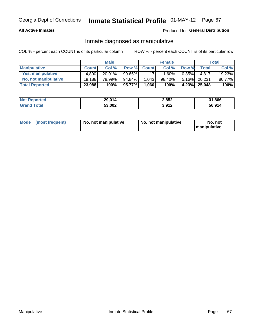#### **All Active Inmates**

### Produced for General Distribution

### Inmate diagnosed as manipulative

COL % - percent each COUNT is of its particular column

|                       |              | <b>Male</b> |           |              | <b>Female</b> |          |              | Total  |
|-----------------------|--------------|-------------|-----------|--------------|---------------|----------|--------------|--------|
| <b>Manipulative</b>   | <b>Count</b> | Col %       | Row %     | <b>Count</b> | Col%          | Row %    | <b>Total</b> | Col %  |
| Yes, manipulative     | 4.800        | $20.01\%$   | $99.65\%$ | 17           | $.60\%$       | $0.35\%$ | 4.817        | 19.23% |
| No, not manipulative  | 19.188       | 79.99%      | 94.84%    | 1,043        | 98.40%        | $5.16\%$ | 20.231       | 80.77% |
| <b>Total Reported</b> | 23,988       | 100%        | 95.77%    | 1,060        | 100%          | $4.23\%$ | 25,048       | 100%   |

| <b>Not</b><br>Reported | 29,014 | 2,852 | 31,866 |
|------------------------|--------|-------|--------|
| .'otal                 | 53,002 | 3,912 | 56.914 |

|  | Mode (most frequent) | No, not manipulative | No, not manipulative | No. not<br><b>I</b> manipulative |
|--|----------------------|----------------------|----------------------|----------------------------------|
|--|----------------------|----------------------|----------------------|----------------------------------|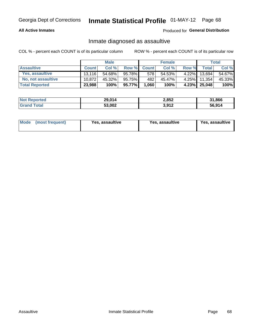#### **All Active Inmates**

#### Produced for General Distribution

### Inmate diagnosed as assaultive

COL % - percent each COUNT is of its particular column

|                           |              | <b>Male</b> |        |              | <b>Female</b> |          |              | Total  |
|---------------------------|--------------|-------------|--------|--------------|---------------|----------|--------------|--------|
| <b>Assaultive</b>         | <b>Count</b> | Col%        | Row %  | <b>Count</b> | Col %         | Row %    | Total        | Col %  |
| Yes, assaultive           | 13.116       | 54.68%      | 95.78% | 578          | 54.53%        | $4.22\%$ | 13.694       | 54.67% |
| <b>No, not assaultive</b> | 10.872       | 45.32%      | 95.75% | 482          | 45.47%        | $4.25\%$ | 11,354       | 45.33% |
| <b>Total Reported</b>     | 23,988       | 100%        | 95.77% | 1,060        | 100%          |          | 4.23% 25,048 | 100%   |

| <b>Not Reported</b> | 29,014 | 2,852 | 31,866 |
|---------------------|--------|-------|--------|
| <b>fotal</b>        | 53,002 | 3,912 | 56.914 |

| <b>Mode</b><br>(most frequent)<br>Yes, assaultive | Yes, assaultive | <b>Yes, assaultive</b> |
|---------------------------------------------------|-----------------|------------------------|
|---------------------------------------------------|-----------------|------------------------|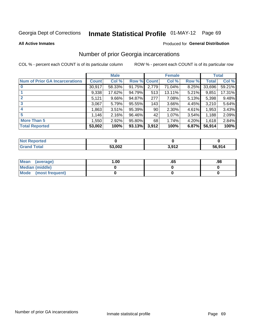# Inmate Statistical Profile 01-MAY-12 Page 69

**All Active Inmates** 

#### **Produced for General Distribution**

## Number of prior Georgia incarcerations

COL % - percent each COUNT is of its particular column

|                                       |              | <b>Male</b> |                    |       | <b>Female</b> |       |        | <b>Total</b> |
|---------------------------------------|--------------|-------------|--------------------|-------|---------------|-------|--------|--------------|
| <b>Num of Prior GA Incarcerations</b> | <b>Count</b> | Col %       | <b>Row % Count</b> |       | Col %         | Row % | Total  | Col %        |
| $\bf{0}$                              | 30,917       | 58.33%      | 91.75%             | 2,779 | 71.04%        | 8.25% | 33,696 | 59.21%       |
|                                       | 9,338        | 17.62%      | 94.79%             | 513   | 13.11%        | 5.21% | 9,851  | 17.31%       |
| $\mathbf{2}$                          | 5,121        | 9.66%       | 94.87%             | 277   | 7.08%         | 5.13% | 5,398  | 9.48%        |
| 3                                     | 3,067        | 5.79%       | 95.55%             | 143   | 3.66%         | 4.45% | 3,210  | 5.64%        |
| 4                                     | 1,863        | 3.51%       | 95.39%             | 90    | 2.30%         | 4.61% | 1,953  | 3.43%        |
| 5                                     | 1,146        | 2.16%       | 96.46%             | 42'   | 1.07%         | 3.54% | 1,188  | 2.09%        |
| <b>More Than 5</b>                    | 1,550        | 2.92%       | 95.80%             | 68    | 1.74%         | 4.20% | 1,618  | 2.84%        |
| <b>Total Reported</b>                 | 53,002       | 100%        | 93.13%             | 3,912 | 100%          | 6.87% | 56,914 | 100%         |

| <b>Not</b><br>Reported |        |                |        |  |
|------------------------|--------|----------------|--------|--|
| Total<br>'Grand        | 53,002 | 1 04 מ<br>- 14 | 56,914 |  |

| Mean (average)       | .00 | .oa | .98 |
|----------------------|-----|-----|-----|
| Median (middle)      |     |     |     |
| Mode (most frequent) |     |     |     |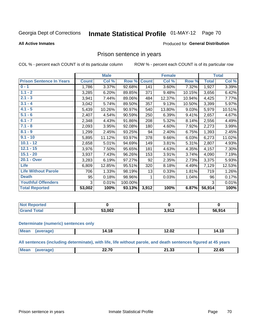#### Inmate Statistical Profile 01-MAY-12 Page 70

#### **All Active Inmates**

#### Produced for General Distribution

### Prison sentence in years

COL % - percent each COUNT is of its particular column

ROW % - percent each COUNT is of its particular row

|                                 |              | <b>Male</b> |         |              | <b>Female</b> |        |              | <b>Total</b> |
|---------------------------------|--------------|-------------|---------|--------------|---------------|--------|--------------|--------------|
| <b>Prison Sentence In Years</b> | <b>Count</b> | Col %       | Row %   | <b>Count</b> | Col %         | Row %  | <b>Total</b> | Col %        |
| $0 - 1$                         | 1,786        | 3.37%       | 92.68%  | 141          | 3.60%         | 7.32%  | 1,927        | 3.39%        |
| $1.1 - 2$                       | 3,285        | 6.20%       | 89.85%  | 371          | 9.48%         | 10.15% | 3,656        | 6.42%        |
| $2.1 - 3$                       | 3,941        | 7.44%       | 89.06%  | 484          | 12.37%        | 10.94% | 4,425        | 7.77%        |
| $3.1 - 4$                       | 3,042        | 5.74%       | 89.50%  | 357          | 9.13%         | 10.50% | 3,399        | 5.97%        |
| $4.1 - 5$                       | 5,439        | 10.26%      | 90.97%  | 540          | 13.80%        | 9.03%  | 5,979        | 10.51%       |
| $5.1 - 6$                       | 2,407        | 4.54%       | 90.59%  | 250          | 6.39%         | 9.41%  | 2,657        | 4.67%        |
| $6.1 - 7$                       | 2,348        | 4.43%       | 91.86%  | 208          | 5.32%         | 8.14%  | 2,556        | 4.49%        |
| $7.1 - 8$                       | 2,093        | 3.95%       | 92.08%  | 180          | 4.60%         | 7.92%  | 2,273        | 3.99%        |
| $8.1 - 9$                       | 1,299        | 2.45%       | 93.25%  | 94           | 2.40%         | 6.75%  | 1,393        | 2.45%        |
| $9.1 - 10$                      | 5,895        | 11.12%      | 93.97%  | 378          | 9.66%         | 6.03%  | 6,273        | 11.02%       |
| $10.1 - 12$                     | 2,658        | 5.01%       | 94.69%  | 149          | 3.81%         | 5.31%  | 2,807        | 4.93%        |
| $12.1 - 15$                     | 3,976        | 7.50%       | 95.65%  | 181          | 4.63%         | 4.35%  | 4,157        | 7.30%        |
| $15.1 - 20$                     | 3,937        | 7.43%       | 96.26%  | 153          | 3.91%         | 3.74%  | 4,090        | 7.19%        |
| 20.1 - Over                     | 3,283        | 6.19%       | 97.27%  | 92           | 2.35%         | 2.73%  | 3,375        | 5.93%        |
| <b>Life</b>                     | 6,809        | 12.85%      | 95.51%  | 320          | 8.18%         | 4.49%  | 7,129        | 12.53%       |
| <b>Life Without Parole</b>      | 706          | 1.33%       | 98.19%  | 13           | 0.33%         | 1.81%  | 719          | 1.26%        |
| <b>Death</b>                    | 95           | 0.18%       | 98.96%  |              | 0.03%         | 1.04%  | 96           | 0.17%        |
| <b>Youthful Offenders</b>       | 3            | 0.01%       | 100.00% |              |               |        | 3            | 0.01%        |
| <b>Total Reported</b>           | 53,002       | 100%        | 93.13%  | 3,912        | 100%          | 6.87%  | 56,914       | 100%         |

| <b>Not Reported</b>     |        |                |        |
|-------------------------|--------|----------------|--------|
| $\sim$<br>$CT^{\prime}$ | 53,002 | 201c<br>⊾ו ט,∪ | 56.914 |

#### **Determinate (numeric) sentences only**

| <b>Mos</b> | $\sim$<br>14.18 | $\sim$ $\sim$<br>14.V4<br>__________ | . <b>11</b><br>a.<br>. . L |
|------------|-----------------|--------------------------------------|----------------------------|
|            |                 |                                      |                            |

All sentences (including determinate), with life, life without parole, and death sentences figured at 45 years

| Me | <b>22.70</b><br>---- | $\sim$<br>- 14<br>.<br>----- | $\sim$ $\sim$<br>-4.65<br>___ |
|----|----------------------|------------------------------|-------------------------------|
|    |                      |                              |                               |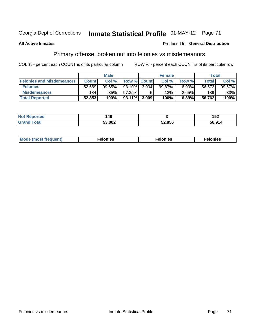#### Inmate Statistical Profile 01-MAY-12 Page 71 Georgia Dept of Corrections

#### **All Active Inmates**

#### **Produced for General Distribution**

## Primary offense, broken out into felonies vs misdemeanors

COL % - percent each COUNT is of its particular column

|                                  | <b>Male</b>  |         |                 |                    | <b>Female</b> |       | Total  |        |  |
|----------------------------------|--------------|---------|-----------------|--------------------|---------------|-------|--------|--------|--|
| <b>Felonies and Misdemeanors</b> | <b>Count</b> | Col%    |                 | <b>Row % Count</b> | Col%          | Row % | Total, | Col %  |  |
| <b>Felonies</b>                  | 52,669       | 99.65%  | 93.10%          | 3.904              | 99.87%        | 6.90% | 56.573 | 99.67% |  |
| <b>Misdemeanors</b>              | 184          | $.35\%$ | 97.35%          |                    | .13% '        | 2.65% | 189    | .33%   |  |
| <b>Total Reported</b>            | 52,853       | 100%    | $93.11\%$ 3.909 |                    | 100%          | 6.89% | 56,762 | 100%   |  |

| <b>Not Reported</b>   | 49،    |        | 152    |
|-----------------------|--------|--------|--------|
| <b>Grano</b><br>™otaï | 53.002 | 52.856 | 56,914 |

| Mo | ____ | 11 C.S<br>. | onies<br>. |
|----|------|-------------|------------|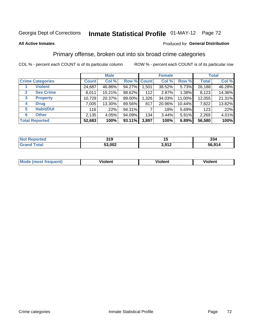## Georgia Dept of Corrections **Inmate Statistical Profile** 01-MAY-12 Page 72

#### **All Active Inmates**

#### Produced for **General Distribution**

## Primary offense, broken out into six broad crime categories

COL % - percent each COUNT is of its particular column ROW % - percent each COUNT is of its particular row

|                         |                  | <b>Male</b>  |        |             |       | <b>Female</b> | <b>Total</b> |              |        |
|-------------------------|------------------|--------------|--------|-------------|-------|---------------|--------------|--------------|--------|
| <b>Crime Categories</b> |                  | <b>Count</b> | Col %  | Row % Count |       | Col %         | Row %        | <b>Total</b> | Col %  |
|                         | <b>Violent</b>   | 24,687       | 46.86% | 94.27%      | 1,501 | 38.52%        | 5.73%        | 26,188       | 46.28% |
| $\mathbf{2}$            | <b>Sex Crime</b> | 8,011        | 15.21% | 98.62%      | 112   | 2.87%         | 1.38%        | 8,123        | 14.36% |
| 3                       | <b>Property</b>  | 10,729       | 20.37% | 89.00%      | 1,326 | 34.03%        | 11.00%       | 12,055       | 21.31% |
| <b>Drug</b><br>4        |                  | 7,005        | 13.30% | 89.56%      | 817   | 20.96%        | 10.44%       | 7,822        | 13.82% |
| 5                       | <b>Habit/DUI</b> | 116          | .22%   | 94.31%      |       | .18%          | 5.69%        | 123          | .22%   |
| <b>Other</b><br>6       |                  | 2,135        | 4.05%  | 94.09%      | 134   | $3.44\%$      | 5.91%        | 2,269        | 4.01%  |
| <b>Total Reported</b>   |                  | 52,683       | 100%   | 93.11%      | 3,897 | 100%          | 6.89%        | 56,580       | 100%   |

| <b>Not</b><br><b>Reported</b> | 210<br>JIJ | יי               | 334    |
|-------------------------------|------------|------------------|--------|
| <b>Total</b>                  | 53,002     | 3.017<br>◡,◡ ! ∠ | 56,914 |

| <b>Mode (most frequent)</b> | .<br><b>iolent</b> | 'iolent | ---<br>Violent |
|-----------------------------|--------------------|---------|----------------|
|                             |                    |         |                |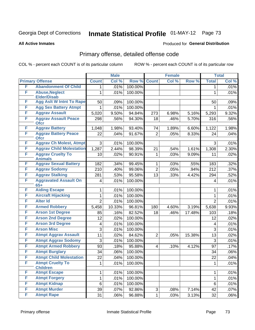## Georgia Dept of Corrections **Inmate Statistical Profile** 01-MAY-12 Page 73

#### **All Active Inmates**

#### Produced for **General Distribution**

## Primary offense, detailed offense code

COL % - percent each COUNT is of its particular column ROW % - percent each COUNT is of its particular row

|   |                                             |                | <b>Male</b> |         |                         | <b>Female</b> |        |                | <b>Total</b> |
|---|---------------------------------------------|----------------|-------------|---------|-------------------------|---------------|--------|----------------|--------------|
|   | <b>Primary Offense</b>                      | <b>Count</b>   | Col %       | Row %   | <b>Count</b>            | Col %         | Row %  | <b>Total</b>   | Col %        |
| F | <b>Abandonment Of Child</b>                 | 1.             | .01%        | 100.00% |                         |               |        | $\mathbf 1$    | .01%         |
| F | <b>Abuse, Neglect</b><br><b>Elder/Disab</b> | 1              | .01%        | 100.00% |                         |               |        | $\mathbf{1}$   | .01%         |
| F | <b>Agg Aslt W Intnt To Rape</b>             | 50             | .09%        | 100.00% |                         |               |        | 50             | .09%         |
| F | <b>Agg Sex Battery Atmpt</b>                |                | .01%        | 100.00% |                         |               |        |                | .01%         |
| F | <b>Aggrav Assault</b>                       | 5,020          | 9.50%       | 94.84%  | 273                     | 6.98%         | 5.16%  | 5,293          | 9.32%        |
| F | <b>Aggrav Assault Peace</b><br><b>Ofcr</b>  | 298            | .56%        | 94.30%  | 18                      | .46%          | 5.70%  | 316            | .56%         |
| F | <b>Aggrav Battery</b>                       | 1,048          | 1.98%       | 93.40%  | 74                      | 1.89%         | 6.60%  | 1,122          | 1.98%        |
| F | <b>Aggrav Battery Peace</b><br><b>Ofcr</b>  | 22             | .04%        | 91.67%  | $\overline{2}$          | .05%          | 8.33%  | 24             | .04%         |
| F | <b>Aggrav Ch Molest, Atmpt</b>              | 3              | .01%        | 100.00% |                         |               |        | 3              | .01%         |
| F | <b>Aggrav Child Molestation</b>             | 1,287          | 2.44%       | 98.39%  | 21                      | .54%          | 1.61%  | 1,308          | 2.30%        |
| F | <b>Aggrav Cruelty To</b><br><b>Animals</b>  | 10             | .02%        | 90.91%  | 1                       | .03%          | 9.09%  | 11             | .02%         |
| F | <b>Aggrav Sexual Battery</b>                | 182            | .34%        | 99.45%  | 1                       | .03%          | .55%   | 183            | .32%         |
| F | <b>Aggrav Sodomy</b>                        | 210            | .40%        | 99.06%  | $\overline{2}$          | .05%          | .94%   | 212            | .37%         |
| F | <b>Aggrav Stalking</b>                      | 281            | .53%        | 95.58%  | 13                      | .33%          | 4.42%  | 294            | .52%         |
| F | <b>Aggravated Assault On</b><br>$65+$       | 4              | .01%        | 100.00% |                         |               |        | 4              | .01%         |
| F | <b>Aiding Escape</b>                        | 1              | .01%        | 100.00% |                         |               |        | 1              | .01%         |
| F | <b>Aircraft Hijacking</b>                   | 1              | .01%        | 100.00% |                         |               |        | $\mathbf 1$    | .01%         |
| F | <b>Alter Id</b>                             | $\overline{2}$ | .01%        | 100.00% |                         |               |        | $\overline{2}$ | .01%         |
| F | <b>Armed Robbery</b>                        | 5,458          | 10.33%      | 96.81%  | 180                     | 4.60%         | 3.19%  | 5,638          | 9.93%        |
| F | <b>Arson 1st Degree</b>                     | 85             | .16%        | 82.52%  | 18                      | .46%          | 17.48% | 103            | .18%         |
| F | <b>Arson 2nd Degree</b>                     | 12             | .02%        | 100.00% |                         |               |        | 12             | .02%         |
| F | <b>Arson 3rd Degree</b>                     | 4              | .01%        | 100.00% |                         |               |        | 4              | .01%         |
| F | <b>Arson Misc</b>                           | 3              | .01%        | 100.00% |                         |               |        | 3              | .01%         |
| F | <b>Atmpt Aggrav Assault</b>                 | 11             | .02%        | 84.62%  | $\overline{2}$          | .05%          | 15.38% | 13             | .02%         |
| F | <b>Atmpt Aggrav Sodomy</b>                  | 3              | .01%        | 100.00% |                         |               |        | 3              | .01%         |
| F | <b>Atmpt Armed Robbery</b>                  | 93             | .18%        | 95.88%  | $\overline{\mathbf{4}}$ | .10%          | 4.12%  | 97             | .17%         |
| F | <b>Atmpt Burglary</b>                       | 34             | .06%        | 100.00% |                         |               |        | 34             | .06%         |
| F | <b>Atmpt Child Molestation</b>              | 22             | .04%        | 100.00% |                         |               |        | 22             | .04%         |
| F | <b>Atmpt Cruelty To</b><br><b>Children</b>  | 1              | .01%        | 100.00% |                         |               |        | $\mathbf{1}$   | .01%         |
| F | <b>Atmpt Escape</b>                         | 1              | .01%        | 100.00% |                         |               |        | $\mathbf{1}$   | .01%         |
| F | <b>Atmpt Forgery</b>                        | 1              | .01%        | 100.00% |                         |               |        | 1              | .01%         |
| F | <b>Atmpt Kidnap</b>                         | $\,6$          | .01%        | 100.00% |                         |               |        | 6              | .01%         |
| F | <b>Atmpt Murder</b>                         | 39             | .07%        | 92.86%  | 3                       | .08%          | 7.14%  | 42             | .07%         |
| F | <b>Atmpt Rape</b>                           | 31             | .06%        | 96.88%  | $\mathbf{1}$            | .03%          | 3.13%  | 32             | .06%         |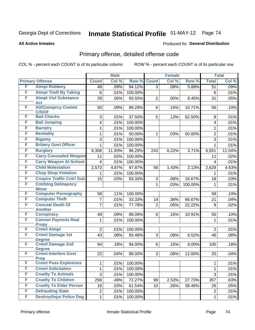## Georgia Dept of Corrections **Inmate Statistical Profile** 01-MAY-12 Page 74

#### **All Active Inmates**

#### Produced for **General Distribution**

## Primary offense, detailed offense code

COL % - percent each COUNT is of its particular column ROW % - percent each COUNT is of its particular row

|   |                                                           | <b>Male</b>             |        |         | <b>Female</b>  | <b>Total</b> |         |                         |        |
|---|-----------------------------------------------------------|-------------------------|--------|---------|----------------|--------------|---------|-------------------------|--------|
|   | <b>Primary Offense</b>                                    | <b>Count</b>            | Col %  | Row %   | <b>Count</b>   | Col %        | Row %   | <b>Total</b>            | Col %  |
| F | <b>Atmpt Robbery</b>                                      | 48                      | .09%   | 94.12%  | $\overline{3}$ | .08%         | 5.88%   | $\overline{51}$         | .09%   |
| F | <b>Atmpt Theft By Taking</b>                              | 6                       | .01%   | 100.00% |                |              |         | 6                       | .01%   |
| F | <b>Atmpt Viol Substance</b>                               | 29                      | .05%   | 93.55%  | $\overline{2}$ | .05%         | 6.45%   | 31                      | .05%   |
| F | Act<br><b>Att/Consprcy Commt</b>                          |                         |        |         |                |              |         |                         |        |
|   | C/S/Of                                                    | 50                      | .09%   | 89.29%  | 6              | .15%         | 10.71%  | 56                      | .10%   |
| F | <b>Bad Checks</b>                                         | 3                       | .01%   | 37.50%  | 5              | .13%         | 62.50%  | 8                       | .01%   |
| F | <b>Bail Jumping</b>                                       | $\overline{\mathbf{4}}$ | .01%   | 100.00% |                |              |         | $\overline{\mathbf{4}}$ | .01%   |
| F | <b>Barratry</b>                                           | 1                       | .01%   | 100.00% |                |              |         | 1                       | .01%   |
| F | <b>Bestiality</b>                                         | 1                       | .01%   | 50.00%  | $\mathbf{1}$   | .03%         | 50.00%  | $\overline{2}$          | .01%   |
| F | <b>Bigamy</b>                                             | 3                       | .01%   | 100.00% |                |              |         | 3                       | .01%   |
| F | <b>Bribery Govt Officer</b>                               | $\mathbf{1}$            | .01%   | 100.00% |                |              |         | $\mathbf{1}$            | .01%   |
| F | <b>Burglary</b>                                           | 6,308                   | 11.93% | 96.29%  | 243            | 6.22%        | 3.71%   | 6,551                   | 11.54% |
| F | <b>Carry Concealed Weapon</b>                             | 11                      | .02%   | 100.00% |                |              |         | 11                      | .02%   |
| F | <b>Carry Weapon At School</b>                             | $\overline{\mathbf{4}}$ | .01%   | 100.00% |                |              |         | $\overline{4}$          | .01%   |
| F | <b>Child Molestation</b>                                  | 2,573                   | 4.87%  | 97.87%  | 56             | 1.43%        | 2.13%   | 2,629                   | 4.63%  |
| F | <b>Chop Shop Violation</b>                                | 1                       | .01%   | 100.00% |                |              |         | 1                       | .01%   |
| F | <b>Cnspire Traffic Cntrl Sub</b>                          | 15                      | .03%   | 83.33%  | 3              | .08%         | 16.67%  | 18                      | .03%   |
| F | <b>Cntrbtng Delingency</b>                                |                         |        |         | $\mathbf{1}$   | .03%         | 100.00% | 1                       | .01%   |
| F | <b>Minor</b><br><b>Computer Pornography</b>               | 58                      | .11%   | 100.00% |                |              |         | 58                      | .10%   |
| F | <b>Computer Theft</b>                                     | $\overline{7}$          | .01%   | 33.33%  | 14             | .36%         | 66.67%  | 21                      | .04%   |
| F | <b>Conceal Death Of</b>                                   | 7                       | .01%   | 77.78%  | $\overline{2}$ | .05%         | 22.22%  | 9                       | .02%   |
|   | <b>Another</b>                                            |                         |        |         |                |              |         |                         |        |
| F | <b>Conspiracy</b>                                         | 49                      | .09%   | 89.09%  | 6              | .15%         | 10.91%  | 55                      | .10%   |
| F | <b>Convsn Paymnts Real</b>                                | $\mathbf{1}$            | .01%   | 100.00% |                |              |         | 1                       | .01%   |
|   | <b>Propy</b>                                              |                         |        |         |                |              |         |                         |        |
| F | <b>Crmnl Atmpt</b>                                        | $\overline{2}$          | .01%   | 100.00% |                |              |         | $\overline{2}$          | .01%   |
| F | <b>Crmnl Damage 1st</b><br><b>Degree</b>                  | 43                      | .08%   | 93.48%  | 3              | .08%         | 6.52%   | 46                      | .08%   |
| F | <b>Crmnl Damage 2nd</b>                                   | 94                      | .18%   | 94.00%  | 6              | .15%         | 6.00%   | 100                     | .18%   |
|   | <b>Degree</b>                                             |                         |        |         |                |              |         |                         |        |
| F | <b>Crmnl Interfere Govt</b>                               | 22                      | .04%   | 88.00%  | 3              | .08%         | 12.00%  | 25                      | .04%   |
| F | <b>Prop</b>                                               |                         |        |         |                |              |         |                         |        |
| F | <b>Crmnl Poss Explosives</b><br><b>Crmnl Solicitation</b> | 1                       | .01%   | 100.00% |                |              |         | 1                       | .01%   |
| F |                                                           | 1                       | .01%   | 100.00% |                |              |         | $\mathbf 1$             | .01%   |
| F | <b>Cruelty To Animals</b><br><b>Cruelty To Children</b>   | 3                       | .01%   | 100.00% |                |              |         | 3                       | .01%   |
| F | <b>Cruelty To Elder Person</b>                            | 258                     | .49%   | 72.27%  | 99             | 2.53%        | 27.73%  | 357                     | .63%   |
| F | <b>Defrauding State</b>                                   | 16                      | .03%   | 61.54%  | 10             | .26%         | 38.46%  | 26                      | .05%   |
| F | <b>Destroy/Injur Police Dog</b>                           | $\overline{c}$          | .01%   | 100.00% |                |              |         | $\overline{2}$          | .01%   |
|   |                                                           | $\mathbf 1$             | .01%   | 100.00% |                |              |         | $\mathbf{1}$            | .01%   |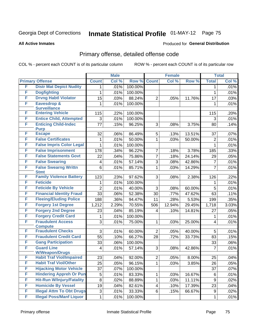#### **All Active Inmates**

#### Produced for **General Distribution**

## Primary offense, detailed offense code

|   |                                            | <b>Male</b>    |       |         | <b>Female</b>  |         |        | <b>Total</b>   |       |
|---|--------------------------------------------|----------------|-------|---------|----------------|---------|--------|----------------|-------|
|   | <b>Primary Offense</b>                     | <b>Count</b>   | Col % | Row %   | <b>Count</b>   | Col %   | Row %  | <b>Total</b>   | Col % |
| F | <b>Distr Mat Depict Nudity</b>             | 1              | .01%  | 100.00% |                |         |        | 1              | .01%  |
| F | <b>Dogfighting</b>                         | 1              | .01%  | 100.00% |                |         |        | $\mathbf{1}$   | .01%  |
| F | <b>Drvng Habtl Violator</b>                | 15             | .03%  | 88.24%  | $\overline{2}$ | .05%    | 11.76% | 17             | .03%  |
| F | Eavesdrop &                                | 1              | .01%  | 100.00% |                |         |        | 1              | .01%  |
|   | <b>Surveillance</b>                        |                |       |         |                |         |        |                |       |
| F | <b>Entering Vehicle</b>                    | 115            | .22%  | 100.00% |                |         |        | 115            | .20%  |
| F | <b>Entice Child, Attempted</b>             | 3              | .01%  | 100.00% |                |         |        | 3              | .01%  |
| F | <b>Enticing Child-Indec</b>                | 77             | .15%  | 96.25%  | 3              | .08%    | 3.75%  | 80             | .14%  |
| F | <b>Purp</b><br><b>Escape</b>               | 32             | .06%  | 86.49%  | 5              | .13%    | 13.51% | 37             | .07%  |
| F | <b>False Certificates</b>                  | 1              | .01%  | 50.00%  | $\mathbf{1}$   | .03%    | 50.00% | $\overline{2}$ | .01%  |
| F | <b>False Impris Color Legal</b>            | 1              | .01%  | 100.00% |                |         |        | 1              | .01%  |
| F | <b>False Imprisonment</b>                  |                |       |         |                |         |        |                |       |
|   | <b>False Statements Govt</b>               | 178            | .34%  | 96.22%  | 7              | .18%    | 3.78%  | 185            | .33%  |
| F |                                            | 22             | .04%  | 75.86%  | 7              | .18%    | 24.14% | 29             | .05%  |
| F | <b>False Swearing</b>                      | 4              | .01%  | 57.14%  | 3              | .08%    | 42.86% | $\overline{7}$ | .01%  |
| F | <b>False Swearng Writtn</b><br><b>Stmt</b> | 6              | .01%  | 85.71%  | 1              | .03%    | 14.29% | $\overline{7}$ | .01%  |
| F | <b>Family Violence Battery</b>             | 123            | .23%  | 97.62%  | 3              | .08%    | 2.38%  | 126            | .22%  |
| F | <b>Feticide</b>                            | 1              | .01%  | 100.00% |                |         |        | 1              | .01%  |
| F | <b>Feticide By Vehicle</b>                 | $\overline{2}$ | .01%  | 40.00%  | 3              | .08%    | 60.00% | 5              | .01%  |
| F | <b>Financial Identity Fraud</b>            | 33             |       | 52.38%  | 30             |         | 47.62% | 63             |       |
| F | <b>Fleeing/Eluding Police</b>              |                | .06%  |         |                | .77%    |        |                | .11%  |
| F |                                            | 188            | .36%  | 94.47%  | 11             | .28%    | 5.53%  | 199            | .35%  |
|   | <b>Forgery 1st Degree</b>                  | 1,212          | 2.29% | 70.55%  | 506            | 12.94%  | 29.45% | 1,718          | 3.03% |
| F | <b>Forgery 2nd Degree</b>                  | 23             | .04%  | 85.19%  | 4              | .10%    | 14.81% | 27             | .05%  |
| F | <b>Forgery Credit Card</b>                 | 1              | .01%  | 100.00% |                |         |        | 1              | .01%  |
| F | <b>Fraudulent Access</b>                   | 3              | .01%  | 75.00%  | 1              | .03%    | 25.00% | 4              | .01%  |
| F | <b>Compute</b><br><b>Fraudulent Checks</b> | 3              | .01%  | 60.00%  | $\overline{2}$ | .05%    | 40.00% | 5              | .01%  |
| F | <b>Fraudulent Credit Card</b>              | 55             | .10%  | 66.27%  | 28             | .72%    | 33.73% | 83             | .15%  |
| F | <b>Gang Participation</b>                  | 33             | .06%  | 100.00% |                |         |        | 33             | .06%  |
| F | <b>Guard Line</b>                          |                | .01%  | 57.14%  | 3              | .08%    | 42.86% | $\overline{7}$ | .01%  |
|   | <b>W/Weapon/Drugs</b>                      | 4              |       |         |                |         |        |                |       |
| F | <b>Habit Traf Viol/Impaired</b>            | 23             | .04%  | 92.00%  | 2 <sup>1</sup> | $.05\%$ | 8.00%  | 25             | .04%  |
| F | <b>Habit Traf Viol/Other</b>               | 25             | .05%  | 96.15%  |                | .03%    | 3.85%  | 26             | .05%  |
| F | <b>Hijacking Motor Vehicle</b>             | 37             | .07%  | 100.00% |                |         |        | 37             | .07%  |
| F | <b>Hindering Appreh Or Pun</b>             | $\mathbf 5$    | .01%  | 83.33%  | 1              | .03%    | 16.67% | 6              | .01%  |
| F | <b>Hit-Run W/Injury/Fatality</b>           | $\bf 8$        | .02%  | 88.89%  | 1              | .03%    | 11.11% | 9              | .02%  |
| F | <b>Homicide By Vessel</b>                  | 19             | .04%  | 82.61%  | 4              | .10%    | 17.39% | 23             | .04%  |
| F | <b>Illegal Attm To Obt Drugs</b>           | $\sqrt{3}$     | .01%  | 33.33%  | 6              | .15%    | 66.67% | 9              | .02%  |
| F | <b>Illegal Poss/Manf Liquor</b>            | 1              | .01%  | 100.00% |                |         |        | 1              | .01%  |
|   |                                            |                |       |         |                |         |        |                |       |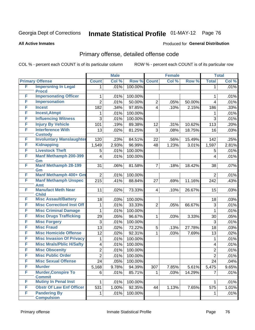#### **All Active Inmates**

#### Produced for **General Distribution**

## Primary offense, detailed offense code

|   |                                   | <b>Male</b>    |       |         | <b>Female</b>           |       |        | <b>Total</b>              |       |
|---|-----------------------------------|----------------|-------|---------|-------------------------|-------|--------|---------------------------|-------|
|   | <b>Primary Offense</b>            | <b>Count</b>   | Col % | Row %   | <b>Count</b>            | Col % | Row %  | <b>Total</b>              | Col % |
| F | <b>Impersntng In Legal</b>        | $\mathbf 1$    | .01%  | 100.00% |                         |       |        | $\mathbf 1$               | .01%  |
|   | <b>Procd</b>                      |                |       |         |                         |       |        |                           |       |
| F | <b>Impersonating Officer</b>      | 1              | .01%  | 100.00% |                         |       |        | 1                         | .01%  |
| F | <b>Impersonation</b>              | $\overline{2}$ | .01%  | 50.00%  | $\overline{2}$          | .05%  | 50.00% | 4                         | .01%  |
| F | <b>Incest</b>                     | 182            | .34%  | 97.85%  | $\overline{4}$          | .10%  | 2.15%  | 186                       | .33%  |
| F | <b>Incest, Atmpt</b>              | 1              | .01%  | 100.00% |                         |       |        | 1                         | .01%  |
| F | <b>Influencing Witness</b>        | 3              | .01%  | 100.00% |                         |       |        | 3                         | .01%  |
| F | <b>Injury By Vehicle</b>          | 101            | .19%  | 89.38%  | 12                      | .31%  | 10.62% | 113                       | .20%  |
| F | <b>Interference With</b>          | 13             | .02%  | 81.25%  | 3                       | .08%  | 18.75% | 16                        | .03%  |
|   | <b>Custody</b>                    |                |       |         |                         |       |        |                           |       |
| F | <b>Involuntary Manslaughter</b>   | 120            | .23%  | 84.51%  | 22                      | .56%  | 15.49% | 142                       | .25%  |
| F | <b>Kidnapping</b>                 | 1,549          | 2.93% | 96.99%  | 48                      | 1.23% | 3.01%  | 1,597                     | 2.81% |
| F | <b>Livestock Theft</b>            | 5              | .01%  | 100.00% |                         |       |        | 5                         | .01%  |
| F | <b>Manf Methamph 200-399</b>      | 4              | .01%  | 100.00% |                         |       |        | 4                         | .01%  |
| F | Gm<br><b>Manf Methamph 28-199</b> | 31             | .06%  | 81.58%  | $\overline{7}$          | .18%  | 18.42% | 38                        | .07%  |
|   | Gm                                |                |       |         |                         |       |        |                           |       |
| F | Manf Methamph 400+ Gm             | $\overline{2}$ | .01%  | 100.00% |                         |       |        | $\overline{2}$            | .01%  |
| F | <b>Manf Methamph Unspec</b>       | 215            | .41%  | 88.84%  | 27                      | .69%  | 11.16% | 242                       | .43%  |
|   | <b>Amt</b>                        |                |       |         |                         |       |        |                           |       |
| F | <b>Manufact Meth Near</b>         | 11             | .02%  | 73.33%  | $\overline{\mathbf{4}}$ | .10%  | 26.67% | 15                        | .03%  |
|   | <b>Child</b>                      |                |       |         |                         |       |        |                           |       |
| F | <b>Misc Assault/Battery</b>       | 18             | .03%  | 100.00% |                         |       |        | 18                        | .03%  |
| F | <b>Misc CorrectionI Inst Off</b>  | 1              | .01%  | 33.33%  | $\overline{2}$          | .05%  | 66.67% | 3                         | .01%  |
| F | <b>Misc Criminal Damage</b>       | 1              | .01%  | 100.00% |                         |       |        | 1                         | .01%  |
| F | <b>Misc Drugs Trafficking</b>     | 29             | .05%  | 96.67%  | 1                       | .03%  | 3.33%  | 30                        | .05%  |
| F | <b>Misc Forgery</b>               | 3              | .01%  | 100.00% |                         |       |        | $\ensuremath{\mathsf{3}}$ | .01%  |
| F | <b>Misc Fraud</b>                 | 13             | .02%  | 72.22%  | 5                       | .13%  | 27.78% | 18                        | .03%  |
| F | <b>Misc Homicide Offense</b>      | 12             | .02%  | 92.31%  | $\mathbf{1}$            | .03%  | 7.69%  | 13                        | .02%  |
| F | <b>Misc Invasion Of Privacy</b>   | 1              | .01%  | 100.00% |                         |       |        | 1                         | .01%  |
| F | <b>Misc Mrals/Pblic H/Safty</b>   | 4              | .01%  | 100.00% |                         |       |        | 4                         | .01%  |
| F | <b>Misc Obscenity</b>             | 2              | .01%  | 100.00% |                         |       |        | $\overline{c}$            | .01%  |
| F | <b>Misc Public Order</b>          | $\overline{2}$ | .01%  | 100.00% |                         |       |        | $\overline{2}$            | .01%  |
| F | <b>Misc Sexual Offense</b>        | 24             | .05%  | 100.00% |                         |       |        | 24                        | .04%  |
| F | <b>Murder</b>                     | 5,168          | 9.78% | 94.39%  | 307                     | 7.85% | 5.61%  | 5,475                     | 9.65% |
| F | <b>Murder, Conspire To</b>        | 6              | .01%  | 85.71%  | $\mathbf{1}$            | .03%  | 14.29% | $\overline{7}$            | .01%  |
|   | <b>Commit</b>                     |                |       |         |                         |       |        |                           |       |
| F | <b>Mutiny In Penal Inst</b>       | 1              | .01%  | 100.00% |                         |       |        | 1                         | .01%  |
| F | <b>Obstr Of Law Enf Officer</b>   | 531            | 1.00% | 92.35%  | 44                      | 1.13% | 7.65%  | 575                       | 1.01% |
| F | <b>Pandering By</b>               | 1              | .01%  | 100.00% |                         |       |        | 1                         | .01%  |
|   | <b>Compulsion</b>                 |                |       |         |                         |       |        |                           |       |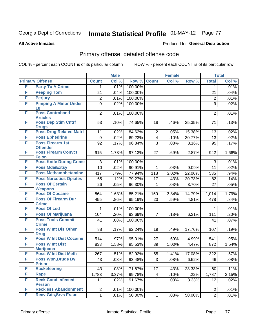**All Active Inmates**

#### Produced for **General Distribution**

## Primary offense, detailed offense code

|   |                                               |                | <b>Male</b> |         |                         | <b>Female</b> |        |                | <b>Total</b> |
|---|-----------------------------------------------|----------------|-------------|---------|-------------------------|---------------|--------|----------------|--------------|
|   | <b>Primary Offense</b>                        | <b>Count</b>   | Col %       | Row %   | <b>Count</b>            | Col %         | Row %  | <b>Total</b>   | Col %        |
| F | <b>Party To A Crime</b>                       | 1              | .01%        | 100.00% |                         |               |        | 1              | .01%         |
| F | <b>Peeping Tom</b>                            | 21             | .04%        | 100.00% |                         |               |        | 21             | .04%         |
| F | <b>Perjury</b>                                | $\overline{2}$ | .01%        | 100.00% |                         |               |        | $\overline{c}$ | .01%         |
| F | <b>Pimping A Minor Under</b>                  | 9              | .02%        | 100.00% |                         |               |        | 9              | .02%         |
|   | 18<br><b>Poss Contraband</b>                  |                |             |         |                         |               |        |                |              |
| F | <b>Articles</b>                               | $\overline{2}$ | .01%        | 100.00% |                         |               |        | $\overline{2}$ | .01%         |
| F | <b>Poss Dep Stim Cntrf</b>                    | 53             | .10%        | 74.65%  | 18                      | .46%          | 25.35% | 71             | .13%         |
|   | <b>Drugs</b>                                  |                |             |         |                         |               |        |                |              |
| F | <b>Poss Drug Related Matri</b>                | 11             | .02%        | 84.62%  | $\overline{2}$          | .05%          | 15.38% | 13             | .02%         |
| F | <b>Poss Ephedrine</b>                         | 9              | .02%        | 69.23%  | $\overline{\mathbf{4}}$ | .10%          | 30.77% | 13             | .02%         |
| F | <b>Poss Firearm 1st</b>                       | 92             | .17%        | 96.84%  | 3                       | .08%          | 3.16%  | 95             | .17%         |
| F | <b>Offender</b><br><b>Poss Firearm Convct</b> | 915            |             | 97.13%  | 27                      |               |        | 942            | 1.66%        |
|   | <b>Felon</b>                                  |                | 1.73%       |         |                         | .69%          | 2.87%  |                |              |
| F | <b>Poss Knife During Crime</b>                | 3              | .01%        | 100.00% |                         |               |        | 3              | .01%         |
| F | <b>Poss Mda/Extsy</b>                         | 10             | .02%        | 90.91%  | 1                       | .03%          | 9.09%  | 11             | .02%         |
| F | <b>Poss Methamphetamine</b>                   | 417            | .79%        | 77.94%  | 118                     | 3.02%         | 22.06% | 535            | .94%         |
| F | <b>Poss Narcotics Opiates</b>                 | 65             | .12%        | 79.27%  | 17                      | .43%          | 20.73% | 82             | .14%         |
| F | <b>Poss Of Certain</b>                        | 26             | .05%        | 96.30%  | 1                       | .03%          | 3.70%  | 27             | .05%         |
|   | <b>Weapons</b>                                |                |             |         |                         |               |        |                |              |
| F | <b>Poss Of Cocaine</b>                        | 864            | 1.63%       | 85.21%  | 150                     | 3.84%         | 14.79% | 1,014          | 1.79%        |
| F | <b>Poss Of Firearm Dur</b><br><b>Crime</b>    | 455            | .86%        | 95.19%  | 23                      | .59%          | 4.81%  | 478            | .84%         |
| F | <b>Poss Of Lsd</b>                            | 1              | .01%        | 100.00% |                         |               |        | 1              | .01%         |
| F | <b>Poss Of Marijuana</b>                      | 104            | .20%        | 93.69%  | $\overline{7}$          | .18%          | 6.31%  | 111            | .20%         |
| F | <b>Poss Tools Commit</b>                      | 41             | .08%        | 100.00% |                         |               |        | 41             | .07%         |
|   | <b>Crime</b>                                  |                |             |         |                         |               |        |                |              |
| F | <b>Poss W Int Dis Other</b>                   | 88             | .17%        | 82.24%  | 19                      | .49%          | 17.76% | 107            | .19%         |
| F | <b>Drug</b><br><b>Poss W Int Dist Cocaine</b> | 514            | .97%        | 95.01%  | 27                      |               | 4.99%  | 541            | .95%         |
| F | <b>Poss W Int Dist</b>                        | 833            | 1.58%       | 95.53%  | 39                      | .69%<br>1.00% | 4.47%  | 872            | 1.54%        |
|   | <b>Marijuana</b>                              |                |             |         |                         |               |        |                |              |
| F | <b>Poss W Int Dist Meth</b>                   | 267            | .51%        | 82.92%  | 55                      | 1.41%         | 17.08% | 322            | .57%         |
| F | <b>Poss Wpn, Drugs By</b>                     | 43             | .08%        | 93.48%  | 3                       | .08%          | 6.52%  | 46             | .08%         |
|   | <b>Prisnr</b>                                 |                |             |         |                         |               |        |                |              |
| F | <b>Racketeering</b>                           | 43             | .08%        | 71.67%  | 17                      | .43%          | 28.33% | 60             | .11%         |
| F | Rape                                          | 1,783          | 3.37%       | 99.78%  | 4                       | .10%          | .22%   | 1,787          | 3.15%        |
| F | <b>Reck Cond Infected</b>                     | 11             | .02%        | 91.67%  | 1                       | .03%          | 8.33%  | 12             | .02%         |
| F | <b>Person</b><br><b>Reckless Abandonment</b>  | $\overline{2}$ | .01%        | 100.00% |                         |               |        | $\overline{2}$ | .01%         |
| F | <b>Recv Gds, Srvs Fraud</b>                   | 1              | .01%        | 50.00%  | 1                       | .03%          | 50.00% | $\overline{2}$ | .01%         |
|   |                                               |                |             |         |                         |               |        |                |              |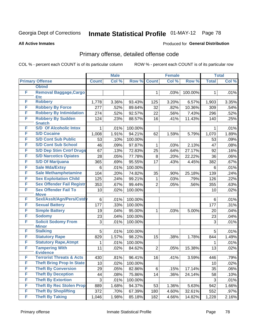#### **All Active Inmates**

#### Produced for **General Distribution**

## Primary offense, detailed offense code

|   |                                                | <b>Male</b>  |       |         | <b>Female</b>  |       |         | <b>Total</b> |                     |
|---|------------------------------------------------|--------------|-------|---------|----------------|-------|---------|--------------|---------------------|
|   | <b>Primary Offense</b>                         | <b>Count</b> | Col % | Row %   | <b>Count</b>   | Col % | Row %   | <b>Total</b> | Col %               |
|   | <b>Obtnd</b>                                   |              |       |         |                |       |         |              |                     |
| F | <b>Removal Baggage, Cargo</b><br><b>Etc</b>    |              |       |         | $\mathbf 1$    | .03%  | 100.00% | 1            | .01%                |
| F | <b>Robbery</b>                                 | 1,778        | 3.36% | 93.43%  | 125            | 3.20% | 6.57%   | 1,903        | 3.35%               |
| F | <b>Robbery By Force</b>                        | 277          | .52%  | 89.64%  | 32             | .82%  | 10.36%  | 309          | .54%                |
| F | <b>Robbery By Intimidation</b>                 | 274          | .52%  | 92.57%  | 22             | .56%  | 7.43%   | 296          | .52%                |
| F | <b>Robbery By Sudden</b>                       | 124          | .23%  | 88.57%  | 16             | .41%  | 11.43%  | 140          | .25%                |
|   | <b>Snatch</b><br><b>S/D Of Alcoholic Intox</b> |              |       |         |                |       |         |              |                     |
| F |                                                | 1.           | .01%  | 100.00% |                |       |         | 1            | .01%                |
| F | <b>S/D Cocaine</b>                             | 1,008        | 1.91% | 94.21%  | 62             | 1.59% | 5.79%   | 1,070        | 1.89%               |
| F | <b>S/D Cont Sub Public</b>                     | 53           | .10%  | 100.00% |                |       |         | 53           | .09%                |
| F | <b>S/D Cont Sub School</b>                     | 46           | .09%  | 97.87%  | $\mathbf 1$    | .03%  | 2.13%   | 47           | .08%                |
| F | <b>S/D Dep Stim Cntrf Drugs</b>                | 67           | .13%  | 72.83%  | 25             | .64%  | 27.17%  | 92           | .16%                |
| F | <b>S/D Narcotics Opiates</b>                   | 28           | .05%  | 77.78%  | 8              | .20%  | 22.22%  | 36           | .06%                |
| F | <b>S/D Of Marijuana</b>                        | 365          | .69%  | 95.55%  | 17             | .43%  | 4.45%   | 382          | .67%                |
| F | <b>Sale Mda/Extsy</b>                          | 6            | .01%  | 100.00% |                |       |         | 6            | .01%                |
| F | <b>Sale Methamphetamine</b>                    | 104          | .20%  | 74.82%  | 35             | .90%  | 25.18%  | 139          | .24%                |
| F | <b>Sex Exploitation Child</b>                  | 125          | .24%  | 99.21%  | $\mathbf{1}$   | .03%  | .79%    | 126          | .22%                |
| F | <b>Sex Offender Fail Registr</b>               | 353          | .67%  | 99.44%  | $\overline{2}$ | .05%  | .56%    | 355          | .63%                |
| F | <b>Sex Offender Fail To</b><br><b>Move</b>     | 10           | .02%  | 100.00% |                |       |         | 10           | .02%                |
| F | Sexl/Asslt/Agn/Pers/Cstd                       | 6            | .01%  | 100.00% |                |       |         | 6            | .01%                |
| F | <b>Sexual Battery</b>                          | 177          | .33%  | 100.00% |                |       |         | 177          | .31%                |
| F | <b>Simple Battery</b>                          | 19           | .04%  | 95.00%  | $\mathbf 1$    | .03%  | 5.00%   | 20           | .04%                |
| F | <b>Sodomy</b>                                  | 23           | .04%  | 100.00% |                |       |         | 23           | .04%                |
| F | <b>Solicit Sodomy From</b>                     | 3            | .01%  | 100.00% |                |       |         | 3            | .01%                |
|   | <b>Minor</b>                                   |              |       |         |                |       |         |              |                     |
| F | <b>Stalking</b>                                | 5            | .01%  | 100.00% |                |       |         | 5            | .01%                |
| F | <b>Statutory Rape</b>                          | 829          | 1.57% | 98.22%  | 15             | .38%  | 1.78%   | 844          | 1.49%               |
| F | <b>Statutory Rape, Atmpt</b>                   | 1            | .01%  | 100.00% |                |       |         | 1            | .01%                |
| F | <b>Tampering With</b><br><b>Evidence</b>       | 11           | .02%  | 84.62%  | $\overline{2}$ | .05%  | 15.38%  | 13           | .02%                |
| F | <b>Terrorist Threats &amp; Acts</b>            | 430          | .81%  | 96.41%  | 16             | .41%  | 3.59%   | 446          | .79%                |
| F | <b>Theft Bring Prop In State</b>               | 10           | .02%  | 100.00% |                |       |         | 10           | .02%                |
| F | <b>Theft By Conversion</b>                     | 29           | .05%  | 82.86%  | 6              | .15%  | 17.14%  | 35           | .06%                |
| F | <b>Theft By Deception</b>                      | 44           | .08%  | 75.86%  | 14             | .36%  | 24.14%  | 58           |                     |
| F | <b>Theft By Extortion</b>                      |              |       |         |                |       |         |              | .10%                |
| F | <b>Theft By Rec Stolen Prop</b>                | 3            | .01%  | 100.00% |                |       |         | 3            | .01%                |
| F | <b>Theft By Shoplifting</b>                    | 889          | 1.68% | 94.37%  | 53             | 1.36% | 5.63%   | 942          | 1.66%               |
|   |                                                | 372          | .70%  | 67.39%  | 180            | 4.60% | 32.61%  | 552          | .97%                |
| F | <b>Theft By Taking</b>                         | 1,046        | 1.98% | 85.18%  | 182            | 4.66% | 14.82%  | 1,228        | $\overline{2.16\%}$ |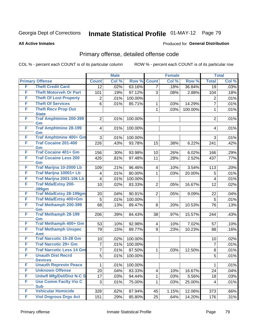Produced for **General Distribution**

#### **All Active Inmates**

## Primary offense, detailed offense code

|   |                                             | <b>Male</b>             |       |         | <b>Female</b>  |       | <b>Total</b> |                |       |
|---|---------------------------------------------|-------------------------|-------|---------|----------------|-------|--------------|----------------|-------|
|   | <b>Primary Offense</b>                      | <b>Count</b>            | Col % | Row %   | <b>Count</b>   | Col % | Row %        | <b>Total</b>   | Col % |
| F | <b>Theft Credit Card</b>                    | $\overline{12}$         | .02%  | 63.16%  | $\overline{7}$ | .18%  | 36.84%       | 19             | .03%  |
| F | <b>Theft Motorveh Or Part</b>               | 101                     | .19%  | 97.12%  | 3              | .08%  | 2.88%        | 104            | .18%  |
| F | <b>Theft Of Lost Property</b>               | 2                       | .01%  | 100.00% |                |       |              | $\overline{2}$ | .01%  |
| F | <b>Theft Of Services</b>                    | $6\phantom{1}6$         | .01%  | 85.71%  | 1              | .03%  | 14.29%       | $\overline{7}$ | .01%  |
| F | <b>Theft Recv Prop Out</b><br><b>State</b>  |                         |       |         | $\mathbf{1}$   | .03%  | 100.00%      | $\mathbf{1}$   | .01%  |
| F | <b>Traf Amphtmine 200-399</b><br>Gm         | $\overline{2}$          | .01%  | 100.00% |                |       |              | $\overline{2}$ | .01%  |
| F | <b>Traf Amphtmine 28-199</b><br>Gm          | $\overline{4}$          | .01%  | 100.00% |                |       |              | 4              | .01%  |
| F | <b>Traf Amphtmine 400+ Gm</b>               | 3                       | .01%  | 100.00% |                |       |              | 3              | .01%  |
| F | <b>Traf Cocaine 201-400</b><br>Gm           | 226                     | .43%  | 93.78%  | 15             | .38%  | 6.22%        | 241            | .42%  |
| F | <b>Traf Cocaine 401+ Gm</b>                 | 156                     | .30%  | 93.98%  | 10             | .26%  | 6.02%        | 166            | .29%  |
| F | <b>Traf Cocaine Less 200</b><br>Gm          | 426                     | .81%  | 97.48%  | 11             | .28%  | 2.52%        | 437            | .77%  |
| F | Traf Marijna 10-2000 Lb                     | 109                     | .21%  | 96.46%  | 4              | .10%  | 3.54%        | 113            | .20%  |
| F | Traf Marijna 10001+ Lb                      | 4                       | .01%  | 80.00%  | 1              | .03%  | 20.00%       | 5              | .01%  |
| F | <b>Traf Marijna 2001-10k Lb</b>             | 4                       | .01%  | 100.00% |                |       |              | 4              | .01%  |
| F | <b>Traf Mda/Extsy 200-</b><br><b>399gm</b>  | 10                      | .02%  | 83.33%  | $\overline{2}$ | .05%  | 16.67%       | 12             | .02%  |
| F | <b>Traf Mda/Extsy 28-199gm</b>              | 20                      | .04%  | 90.91%  | $\overline{2}$ | .05%  | 9.09%        | 22             | .04%  |
| F | Traf Mda/Extsy 400+Gm                       | 5                       | .01%  | 100.00% |                |       |              | 5              | .01%  |
| F | <b>Traf Methamph 200-399</b><br>Gm          | 68                      | .13%  | 89.47%  | 8              | .20%  | 10.53%       | 76             | .13%  |
| F | <b>Traf Methamph 28-199</b><br>Gm           | 206                     | .39%  | 84.43%  | 38             | .97%  | 15.57%       | 244            | .43%  |
| F | Traf Methamph 400+ Gm                       | 53                      | .10%  | 92.98%  | 4              | .10%  | 7.02%        | 57             | .10%  |
| F | <b>Traf Methamph Unspec</b>                 | 79                      | .15%  | 89.77%  | 9              | .23%  | 10.23%       | 88             | .16%  |
| F | <b>Amt</b><br><b>Traf Narcotic 15-28 Gm</b> | 10                      | .02%  | 100.00% |                |       |              | 10             | .02%  |
| F | <b>Traf Narcotic 29+ Gm</b>                 | $\overline{7}$          | .01%  | 100.00% |                |       |              | $\overline{7}$ | .01%  |
| F | <b>Traf Narcotic Less 14 Gm</b>             | $\overline{\mathbf{7}}$ | .01%  | 87.50%  | 1              | .03%  | 12.50%       | 8              | .01%  |
| F | <b>Unauth Dist Recrd</b>                    | $\sqrt{5}$              | .01%  | 100.00% |                |       |              | 5              | .01%  |
|   | <b>Devices</b>                              |                         |       |         |                |       |              |                |       |
| F | <b>Unauth Represtn Peace</b>                | 1                       | .01%  | 100.00% |                |       |              | $\mathbf{1}$   | .01%  |
| F | <b>Unknown Offense</b>                      | 20                      | .04%  | 83.33%  | 4              | .10%  | 16.67%       | 24             | .04%  |
| F | <b>Uniwfl Mfg/Del/Dist N-C S</b>            | 17                      | .03%  | 94.44%  | 1              | .03%  | 5.56%        | 18             | .03%  |
| F | <b>Use Comm Facity Vio C</b><br><b>Sub</b>  | 3                       | .01%  | 75.00%  | 1              | .03%  | 25.00%       | 4              | .01%  |
| F | <b>Vehicular Homicide</b>                   | 328                     | .62%  | 87.94%  | 45             | 1.15% | 12.06%       | 373            | .66%  |
| F | <b>Viol Dngrous Drgs Act</b>                | 151                     | .29%  | 85.80%  | 25             | .64%  | 14.20%       | 176            | .31%  |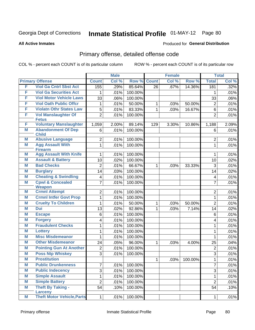#### **All Active Inmates**

#### Produced for **General Distribution**

## Primary offense, detailed offense code

| Col %<br>Col %<br><b>Total</b><br><b>Primary Offense</b><br><b>Count</b><br>Row %<br><b>Count</b><br>Row %<br>F<br><b>Viol Ga Cntrl Sbst Act</b><br>.29%<br>85.64%<br>155<br>$\overline{26}$<br>.67%<br>14.36%<br>181<br>F<br><b>Viol Ga Securities Act</b><br>100.00%<br>.01%<br>1<br>1<br>F<br><b>Viol Motor Vehicle Laws</b><br>33<br>.06%<br>100.00%<br>33<br>F<br><b>Viol Oath Public Offcr</b><br>.01%<br>50.00%<br>$\overline{2}$<br>.03%<br>50.00%<br>1<br>1<br>F<br><b>Violatn Othr States Law</b><br>83.33%<br>5<br>.01%<br>$\mathbf 1$<br>.03%<br>16.67%<br>6<br>F<br>Vol Manslaughter Of<br>$\overline{2}$<br>100.00%<br>$\overline{2}$<br>.01%<br><b>Fetus</b><br><b>Voluntary Manslaughter</b><br>F<br>1,059<br>2.00%<br>89.14%<br>129<br>3.30%<br>1,188<br>10.86%<br><b>Abandonment Of Dep</b><br>M<br>100.00%<br>6<br>.01%<br>6<br><b>Child</b><br><b>Abusive Language</b><br>M<br>$\overline{2}$<br>.01%<br>100.00%<br>$\overline{2}$ |   |                         | <b>Male</b> |      | <b>Female</b> |  | <b>Total</b> |         |
|--------------------------------------------------------------------------------------------------------------------------------------------------------------------------------------------------------------------------------------------------------------------------------------------------------------------------------------------------------------------------------------------------------------------------------------------------------------------------------------------------------------------------------------------------------------------------------------------------------------------------------------------------------------------------------------------------------------------------------------------------------------------------------------------------------------------------------------------------------------------------------------------------------------------------------------------------------|---|-------------------------|-------------|------|---------------|--|--------------|---------|
|                                                                                                                                                                                                                                                                                                                                                                                                                                                                                                                                                                                                                                                                                                                                                                                                                                                                                                                                                        |   |                         |             |      |               |  |              | Col %   |
|                                                                                                                                                                                                                                                                                                                                                                                                                                                                                                                                                                                                                                                                                                                                                                                                                                                                                                                                                        |   |                         |             |      |               |  |              | .32%    |
|                                                                                                                                                                                                                                                                                                                                                                                                                                                                                                                                                                                                                                                                                                                                                                                                                                                                                                                                                        |   |                         |             |      |               |  |              | .01%    |
|                                                                                                                                                                                                                                                                                                                                                                                                                                                                                                                                                                                                                                                                                                                                                                                                                                                                                                                                                        |   |                         |             |      |               |  |              | .06%    |
|                                                                                                                                                                                                                                                                                                                                                                                                                                                                                                                                                                                                                                                                                                                                                                                                                                                                                                                                                        |   |                         |             |      |               |  |              | .01%    |
|                                                                                                                                                                                                                                                                                                                                                                                                                                                                                                                                                                                                                                                                                                                                                                                                                                                                                                                                                        |   |                         |             |      |               |  |              | .01%    |
|                                                                                                                                                                                                                                                                                                                                                                                                                                                                                                                                                                                                                                                                                                                                                                                                                                                                                                                                                        |   |                         |             |      |               |  |              | .01%    |
|                                                                                                                                                                                                                                                                                                                                                                                                                                                                                                                                                                                                                                                                                                                                                                                                                                                                                                                                                        |   |                         |             |      |               |  |              | 2.09%   |
|                                                                                                                                                                                                                                                                                                                                                                                                                                                                                                                                                                                                                                                                                                                                                                                                                                                                                                                                                        |   |                         |             |      |               |  |              | .01%    |
|                                                                                                                                                                                                                                                                                                                                                                                                                                                                                                                                                                                                                                                                                                                                                                                                                                                                                                                                                        |   |                         |             |      |               |  |              |         |
|                                                                                                                                                                                                                                                                                                                                                                                                                                                                                                                                                                                                                                                                                                                                                                                                                                                                                                                                                        |   |                         |             |      |               |  |              | .01%    |
| <b>Firearm</b>                                                                                                                                                                                                                                                                                                                                                                                                                                                                                                                                                                                                                                                                                                                                                                                                                                                                                                                                         | M | <b>Agg Assault With</b> | 1           | .01% | 100.00%       |  | $\mathbf{1}$ | .01%    |
| <b>Agg Assault With Knife</b><br>M<br>.01%<br>100.00%<br>1<br>1                                                                                                                                                                                                                                                                                                                                                                                                                                                                                                                                                                                                                                                                                                                                                                                                                                                                                        |   |                         |             |      |               |  |              | .01%    |
| <b>Assault &amp; Battery</b><br>M<br>10<br>.02%<br>100.00%<br>10                                                                                                                                                                                                                                                                                                                                                                                                                                                                                                                                                                                                                                                                                                                                                                                                                                                                                       |   |                         |             |      |               |  |              | .02%    |
| <b>Bad Checks</b><br>M<br>$\overline{2}$<br>66.67%<br>.01%<br>3<br>.03%<br>33.33%<br>1                                                                                                                                                                                                                                                                                                                                                                                                                                                                                                                                                                                                                                                                                                                                                                                                                                                                 |   |                         |             |      |               |  |              | .01%    |
| M<br><b>Burglary</b><br>100.00%<br>14<br>.03%<br>14                                                                                                                                                                                                                                                                                                                                                                                                                                                                                                                                                                                                                                                                                                                                                                                                                                                                                                    |   |                         |             |      |               |  |              | .02%    |
| <b>Cheating &amp; Swindling</b><br>M<br>.01%<br>100.00%<br>4<br>4                                                                                                                                                                                                                                                                                                                                                                                                                                                                                                                                                                                                                                                                                                                                                                                                                                                                                      |   |                         |             |      |               |  |              | .01%    |
| <b>Cpwl &amp; Concealed</b><br>M<br>$\overline{7}$<br>$\overline{7}$<br>100.00%<br>.01%                                                                                                                                                                                                                                                                                                                                                                                                                                                                                                                                                                                                                                                                                                                                                                                                                                                                |   |                         |             |      |               |  |              | .01%    |
| <b>Weapon</b>                                                                                                                                                                                                                                                                                                                                                                                                                                                                                                                                                                                                                                                                                                                                                                                                                                                                                                                                          |   |                         |             |      |               |  |              |         |
| <b>Crmnl Attempt</b><br>M<br>100.00%<br>$\overline{2}$<br>.01%<br>$\overline{2}$                                                                                                                                                                                                                                                                                                                                                                                                                                                                                                                                                                                                                                                                                                                                                                                                                                                                       |   |                         |             |      |               |  |              | .01%    |
| <b>Crmnl Intfer Govt Prop</b><br>M<br>100.00%<br>1<br>.01%<br>$\mathbf{1}$                                                                                                                                                                                                                                                                                                                                                                                                                                                                                                                                                                                                                                                                                                                                                                                                                                                                             |   |                         |             |      |               |  |              | .01%    |
| <b>Cruelty To Children</b><br>M<br>$\overline{2}$<br>.01%<br>50.00%<br>.03%<br>50.00%<br>1<br>1                                                                                                                                                                                                                                                                                                                                                                                                                                                                                                                                                                                                                                                                                                                                                                                                                                                        |   |                         |             |      |               |  |              | .01%    |
| <b>Dui</b><br>M<br>92.86%<br>13<br>.02%<br>1<br>.03%<br>7.14%<br>14                                                                                                                                                                                                                                                                                                                                                                                                                                                                                                                                                                                                                                                                                                                                                                                                                                                                                    |   |                         |             |      |               |  |              | .02%    |
| M<br><b>Escape</b><br>.01%<br>100.00%<br>6<br>6                                                                                                                                                                                                                                                                                                                                                                                                                                                                                                                                                                                                                                                                                                                                                                                                                                                                                                        |   |                         |             |      |               |  |              | .01%    |
| M<br><b>Forgery</b><br>100.00%<br>4<br>.01%<br>4                                                                                                                                                                                                                                                                                                                                                                                                                                                                                                                                                                                                                                                                                                                                                                                                                                                                                                       |   |                         |             |      |               |  |              | .01%    |
| <b>Fraudulent Checks</b><br>M<br>.01%<br>100.00%<br>1<br>1                                                                                                                                                                                                                                                                                                                                                                                                                                                                                                                                                                                                                                                                                                                                                                                                                                                                                             |   |                         |             |      |               |  |              | .01%    |
| 100.00%<br>M<br>.01%<br><b>Lottery</b><br>1<br>1                                                                                                                                                                                                                                                                                                                                                                                                                                                                                                                                                                                                                                                                                                                                                                                                                                                                                                       |   |                         |             |      |               |  |              | .01%    |
| <b>Misc Misdemeanor</b><br>M<br>.01%<br>100.00%<br>$\mathbf{1}$<br>1                                                                                                                                                                                                                                                                                                                                                                                                                                                                                                                                                                                                                                                                                                                                                                                                                                                                                   |   |                         |             |      |               |  |              | .01%    |
| <b>Other Misdemeanor</b><br>M<br>24<br>96.00%<br>.05%<br>$\mathbf 1$<br>.03%<br>4.00%<br>25                                                                                                                                                                                                                                                                                                                                                                                                                                                                                                                                                                                                                                                                                                                                                                                                                                                            |   |                         |             |      |               |  |              | .04%    |
| <b>Pointing Gun At Another</b><br>M<br>100.00%<br>$\overline{2}$<br>$\overline{2}$<br>.01%                                                                                                                                                                                                                                                                                                                                                                                                                                                                                                                                                                                                                                                                                                                                                                                                                                                             |   |                         |             |      |               |  |              | .01%    |
| <b>Poss Ntp Whiskey</b><br>M<br>3<br>100.00%<br>3<br>.01%                                                                                                                                                                                                                                                                                                                                                                                                                                                                                                                                                                                                                                                                                                                                                                                                                                                                                              |   |                         |             |      |               |  |              | .01%    |
| M<br><b>Prostitution</b><br>$\mathbf{1}$<br>$\mathbf{1}$<br>.03%<br>100.00%                                                                                                                                                                                                                                                                                                                                                                                                                                                                                                                                                                                                                                                                                                                                                                                                                                                                            |   |                         |             |      |               |  |              | .01%    |
| $\overline{7}$<br>M<br><b>Public Drunkenness</b><br>7<br>.01%<br>100.00%                                                                                                                                                                                                                                                                                                                                                                                                                                                                                                                                                                                                                                                                                                                                                                                                                                                                               |   |                         |             |      |               |  |              | .01%    |
| M<br><b>Public Indecency</b><br>3<br>.01%<br>3<br>100.00%                                                                                                                                                                                                                                                                                                                                                                                                                                                                                                                                                                                                                                                                                                                                                                                                                                                                                              |   |                         |             |      |               |  |              | .01%    |
| <b>Simple Assault</b><br>M<br>1<br>.01%<br>100.00%<br>$\mathbf{1}$                                                                                                                                                                                                                                                                                                                                                                                                                                                                                                                                                                                                                                                                                                                                                                                                                                                                                     |   |                         |             |      |               |  |              | .01%    |
| <b>Simple Battery</b><br>M<br>$\overline{2}$<br>.01%<br>$\overline{2}$<br>100.00%                                                                                                                                                                                                                                                                                                                                                                                                                                                                                                                                                                                                                                                                                                                                                                                                                                                                      |   |                         |             |      |               |  |              | .01%    |
| <b>Theft By Taking -</b><br>M<br>54<br>100.00%<br>54<br>.10%<br><b>Larceny</b>                                                                                                                                                                                                                                                                                                                                                                                                                                                                                                                                                                                                                                                                                                                                                                                                                                                                         |   |                         |             |      |               |  |              | .10%    |
| <b>Theft Motor Vehicle, Parts</b><br>M<br>$\mathbf{1}$<br>.01%<br>100.00%<br>$\mathbf{1}$                                                                                                                                                                                                                                                                                                                                                                                                                                                                                                                                                                                                                                                                                                                                                                                                                                                              |   |                         |             |      |               |  |              | $.01\%$ |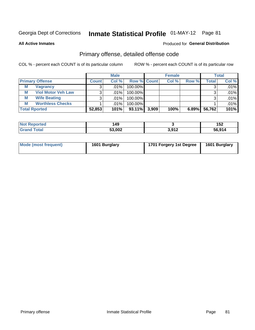**All Active Inmates**

#### Produced for **General Distribution**

## Primary offense, detailed offense code

|                        |                           |              | <b>Male</b> |                    |       | <b>Female</b> |       |                    | <b>Total</b> |
|------------------------|---------------------------|--------------|-------------|--------------------|-------|---------------|-------|--------------------|--------------|
| <b>Primary Offense</b> |                           | <b>Count</b> | Col %       | <b>Row % Count</b> |       | Col %         | Row % | Total <sub>1</sub> | Col %        |
| М                      | <b>Vagrancy</b>           | 3            | .01% l      | 100.00%            |       |               |       |                    | .01%         |
| M                      | <b>Viol Motor Veh Law</b> |              | .01%        | 100.00%            |       |               |       |                    | .01%         |
| М                      | <b>Wife Beating</b>       |              | $.01\%$     | 100.00%            |       |               |       |                    | .01%         |
| M                      | <b>Worthless Checks</b>   |              | .01%        | 100.00%            |       |               |       |                    | .01%         |
| <b>Total Rported</b>   |                           | 52,853       | 101%        | $93.11\%$          | 3,909 | 100%          | 6.89% | 56,762             | 101%         |

| ported<br>NOT<br> | 149    |       | 45 <sup>o</sup><br>IJZ. |
|-------------------|--------|-------|-------------------------|
| <b>Tota</b>       | 53,002 | 3,912 | 56.914                  |

| Mode (most frequent) | 1601 Burglary | 1701 Forgery 1st Degree | 1601 Burglary |
|----------------------|---------------|-------------------------|---------------|
|----------------------|---------------|-------------------------|---------------|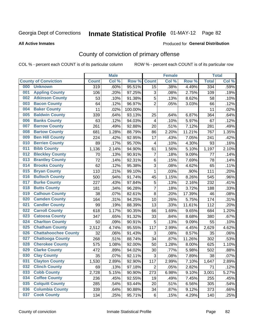#### **All Active Inmates**

#### Produced for **General Distribution**

## County of conviction of primary offense

|     |                             |                  | <b>Male</b> |         |                         | <b>Female</b> |        |              | <b>Total</b> |
|-----|-----------------------------|------------------|-------------|---------|-------------------------|---------------|--------|--------------|--------------|
|     | <b>County of Conviction</b> | <b>Count</b>     | Col %       | Row %   | <b>Count</b>            | Col %         | Row %  | <b>Total</b> | Col %        |
| 000 | <b>Unknown</b>              | $\overline{319}$ | .60%        | 95.51%  | 15                      | .38%          | 4.49%  | 334          | .59%         |
| 001 | <b>Appling County</b>       | 106              | .20%        | 97.25%  | 3                       | .08%          | 2.75%  | 109          | .19%         |
| 002 | <b>Atkinson County</b>      | 53               | .10%        | 91.38%  | $\sqrt{5}$              | .13%          | 8.62%  | 58           | .10%         |
| 003 | <b>Bacon County</b>         | 64               | .12%        | 96.97%  | $\overline{2}$          | .05%          | 3.03%  | 66           | .12%         |
| 004 | <b>Baker County</b>         | 11               | .02%        | 100.00% |                         |               |        | 11           | .02%         |
| 005 | <b>Baldwin County</b>       | 339              | .64%        | 93.13%  | 25                      | .64%          | 6.87%  | 364          | .64%         |
| 006 | <b>Banks County</b>         | 63               | .12%        | 94.03%  | $\overline{\mathbf{4}}$ | .10%          | 5.97%  | 67           | .12%         |
| 007 | <b>Barrow County</b>        | 261              | .49%        | 92.88%  | 20                      | .51%          | 7.12%  | 281          | .49%         |
| 008 | <b>Bartow County</b>        | 681              | 1.28%       | 88.79%  | 86                      | 2.20%         | 11.21% | 767          | 1.35%        |
| 009 | <b>Ben Hill County</b>      | 224              | .42%        | 92.95%  | 17                      | .43%          | 7.05%  | 241          | .42%         |
| 010 | <b>Berrien County</b>       | 89               | .17%        | 95.70%  | $\overline{\mathbf{4}}$ | .10%          | 4.30%  | 93           | .16%         |
| 011 | <b>Bibb County</b>          | 1,136            | 2.14%       | 94.90%  | 61                      | 1.56%         | 5.10%  | 1,197        | 2.10%        |
| 012 | <b>Bleckley County</b>      | 70               | .13%        | 90.91%  | $\overline{7}$          | .18%          | 9.09%  | 77           | .14%         |
| 013 | <b>Brantley County</b>      | 72               | .14%        | 92.31%  | 6                       | .15%          | 7.69%  | 78           | .14%         |
| 014 | <b>Brooks County</b>        | 62               | .12%        | 95.38%  | 3                       | .08%          | 4.62%  | 65           | .11%         |
| 015 | <b>Bryan County</b>         | 110              | .21%        | 99.10%  | $\mathbf{1}$            | .03%          | .90%   | 111          | .20%         |
| 016 | <b>Bulloch County</b>       | 500              | .94%        | 91.74%  | 45                      | 1.15%         | 8.26%  | 545          | .96%         |
| 017 | <b>Burke County</b>         | 227              | .43%        | 97.84%  | $\mathbf 5$             | .13%          | 2.16%  | 232          | .41%         |
| 018 | <b>Butts County</b>         | 181              | .34%        | 96.28%  | $\overline{7}$          | .18%          | 3.72%  | 188          | .33%         |
| 019 | <b>Calhoun County</b>       | 38               | .07%        | 82.61%  | 8                       | .20%          | 17.39% | 46           | .08%         |
| 020 | <b>Camden County</b>        | 164              | .31%        | 94.25%  | 10                      | .26%          | 5.75%  | 174          | .31%         |
| 021 | <b>Candler County</b>       | 99               | .19%        | 88.39%  | 13                      | .33%          | 11.61% | 112          | .20%         |
| 022 | <b>Carroll County</b>       | 618              | 1.17%       | 90.35%  | 66                      | 1.69%         | 9.65%  | 684          | 1.20%        |
| 023 | <b>Catoosa County</b>       | 347              | .65%        | 91.32%  | 33                      | .84%          | 8.68%  | 380          | .67%         |
| 024 | <b>Charlton County</b>      | 50               | .09%        | 90.91%  | 5                       | .13%          | 9.09%  | 55           | .10%         |
| 025 | <b>Chatham County</b>       | 2,512            | 4.74%       | 95.55%  | 117                     | 2.99%         | 4.45%  | 2,629        | 4.62%        |
| 026 | <b>Chattahoochee County</b> | 32               | .06%        | 91.43%  | 3                       | .08%          | 8.57%  | 35           | .06%         |
| 027 | <b>Chattooga County</b>     | 268              | .51%        | 88.74%  | 34                      | .87%          | 11.26% | 302          | .53%         |
| 028 | <b>Cherokee County</b>      | 575              | 1.08%       | 92.00%  | 50                      | 1.28%         | 8.00%  | 625          | 1.10%        |
| 029 | <b>Clarke County</b>        | 472              | .89%        | 94.02%  | 30                      | .77%          | 5.98%  | 502          | .88%         |
| 030 | <b>Clay County</b>          | 35               | .07%        | 92.11%  | 3                       | .08%          | 7.89%  | 38           | .07%         |
| 031 | <b>Clayton County</b>       | 1,530            | 2.89%       | 92.90%  | 117                     | 2.99%         | 7.10%  | 1,647        | 2.89%        |
| 032 | <b>Clinch County</b>        | 69               | .13%        | 97.18%  | $\overline{2}$          | .05%          | 2.82%  | 71           | .12%         |
| 033 | <b>Cobb County</b>          | 2,728            | 5.15%       | 90.90%  | 273                     | 6.98%         | 9.10%  | 3,001        | 5.27%        |
| 034 | <b>Coffee County</b>        | 236              | .45%        | 92.55%  | 19                      | .49%          | 7.45%  | 255          | .45%         |
| 035 | <b>Colquitt County</b>      | 285              | .54%        | 93.44%  | 20                      | .51%          | 6.56%  | 305          | .54%         |
| 036 | <b>Columbia County</b>      | 339              | .64%        | 90.88%  | 34                      | .87%          | 9.12%  | 373          | .66%         |
| 037 | <b>Cook County</b>          | 134              | .25%        | 95.71%  | 6                       | .15%          | 4.29%  | 140          | .25%         |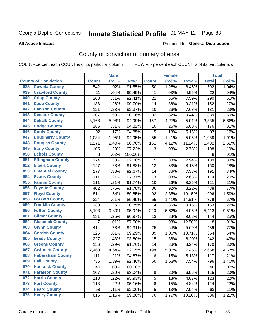#### **All Active Inmates**

#### Produced for **General Distribution**

## County of conviction of primary offense

|     |                             |              | <b>Male</b> |         |                           | <b>Female</b> |        |              | <b>Total</b> |
|-----|-----------------------------|--------------|-------------|---------|---------------------------|---------------|--------|--------------|--------------|
|     | <b>County of Conviction</b> | <b>Count</b> | Col %       | Row %   | <b>Count</b>              | Col %         | Row %  | <b>Total</b> | Col %        |
| 038 | <b>Coweta County</b>        | 542          | 1.02%       | 91.55%  | 50                        | 1.28%         | 8.45%  | 592          | 1.04%        |
| 039 | <b>Crawford County</b>      | 21           | .04%        | 95.45%  | 1                         | .03%          | 4.55%  | 22           | .04%         |
| 040 | <b>Crisp County</b>         | 268          | .51%        | 92.41%  | 22                        | .56%          | 7.59%  | 290          | .51%         |
| 041 | <b>Dade County</b>          | 138          | .26%        | 90.79%  | 14                        | .36%          | 9.21%  | 152          | .27%         |
| 042 | <b>Dawson County</b>        | 121          | .23%        | 92.37%  | 10                        | .26%          | 7.63%  | 131          | .23%         |
| 043 | <b>Decatur County</b>       | 307          | .58%        | 90.56%  | 32                        | .82%          | 9.44%  | 339          | .60%         |
| 044 | <b>Dekalb County</b>        | 3,168        | 5.98%       | 94.99%  | 167                       | 4.27%         | 5.01%  | 3,335        | 5.86%        |
| 045 | <b>Dodge County</b>         | 166          | .31%        | 94.32%  | 10                        | .26%          | 5.68%  | 176          | .31%         |
| 046 | <b>Dooly County</b>         | 92           | .17%        | 94.85%  | 5                         | .13%          | 5.15%  | 97           | .17%         |
| 047 | <b>Dougherty County</b>     | 1,034        | 1.95%       | 94.95%  | 55                        | 1.41%         | 5.05%  | 1,089        | 1.91%        |
| 048 | <b>Douglas County</b>       | 1,271        | 2.40%       | 88.76%  | 161                       | 4.12%         | 11.24% | 1,432        | 2.52%        |
| 049 | <b>Early County</b>         | 105          | .20%        | 97.22%  | 3                         | .08%          | 2.78%  | 108          | .19%         |
| 050 | <b>Echols County</b>        | 8            | .02%        | 100.00% |                           |               |        | 8            | .01%         |
| 051 | <b>Effingham County</b>     | 174          | .33%        | 92.06%  | 15                        | .38%          | 7.94%  | 189          | .33%         |
| 052 | <b>Elbert County</b>        | 147          | .28%        | 91.88%  | 13                        | .33%          | 8.13%  | 160          | .28%         |
| 053 | <b>Emanuel County</b>       | 177          | .33%        | 92.67%  | 14                        | .36%          | 7.33%  | 191          | .34%         |
| 054 | <b>Evans County</b>         | 111          | .21%        | 97.37%  | $\ensuremath{\mathsf{3}}$ | .08%          | 2.63%  | 114          | .20%         |
| 055 | <b>Fannin County</b>        | 111          | .21%        | 91.74%  | 10                        | .26%          | 8.26%  | 121          | .21%         |
| 056 | <b>Fayette County</b>       | 402          | .76%        | 91.78%  | 36                        | .92%          | 8.22%  | 438          | .77%         |
| 057 | <b>Floyd County</b>         | 814          | 1.54%       | 89.85%  | 92                        | 2.35%         | 10.15% | 906          | 1.59%        |
| 058 | <b>Forsyth County</b>       | 324          | .61%        | 85.49%  | 55                        | 1.41%         | 14.51% | 379          | .67%         |
| 059 | <b>Franklin County</b>      | 139          | .26%        | 90.85%  | 14                        | .36%          | 9.15%  | 153          | .27%         |
| 060 | <b>Fulton County</b>        | 5,193        | 9.80%       | 95.94%  | 220                       | 5.62%         | 4.06%  | 5,413        | 9.51%        |
| 061 | <b>Gilmer County</b>        | 131          | .25%        | 90.97%  | 13                        | .33%          | 9.03%  | 144          | .25%         |
| 062 | <b>Glascock County</b>      | 7            | .01%        | 87.50%  | $\mathbf{1}$              | .03%          | 12.50% | 8            | .01%         |
| 063 | <b>Glynn County</b>         | 414          | .78%        | 94.31%  | 25                        | .64%          | 5.69%  | 439          | .77%         |
| 064 | <b>Gordon County</b>        | 325          | .61%        | 89.29%  | 39                        | 1.00%         | 10.71% | 364          | .64%         |
| 065 | <b>Grady County</b>         | 227          | .43%        | 93.80%  | 15                        | .38%          | 6.20%  | 242          | .43%         |
| 066 | <b>Greene County</b>        | 156          | .29%        | 91.76%  | 14                        | .36%          | 8.24%  | 170          | .30%         |
| 067 | <b>Gwinnett County</b>      | 2,460        | 4.64%       | 92.55%  | 198                       | 5.06%         | 7.45%  | 2,658        | 4.67%        |
| 068 | <b>Habersham County</b>     | 111          | .21%        | 94.87%  | 6                         | .15%          | 5.13%  | 117          | .21%         |
| 069 | <b>Hall County</b>          | 736          | 1.39%       | 92.46%  | 60                        | 1.53%         | 7.54%  | 796          | 1.40%        |
| 070 | <b>Hancock County</b>       | 40           | .08%        | 100.00% |                           |               |        | 40           | .07%         |
| 071 | <b>Haralson County</b>      | 107          | .20%        | 93.04%  | $\bf 8$                   | .20%          | 6.96%  | 115          | .20%         |
| 072 | <b>Harris County</b>        | 118          | .22%        | 95.93%  | 5                         | .13%          | 4.07%  | 123          | .22%         |
| 073 | <b>Hart County</b>          | 118          | .22%        | 95.16%  | 6                         | .15%          | 4.84%  | 124          | .22%         |
| 074 | <b>Heard County</b>         | 58           | .11%        | 92.06%  | 5                         | .13%          | 7.94%  | 63           | .11%         |
| 075 | <b>Henry County</b>         | 616          | 1.16%       | 89.80%  | 70                        | 1.79%         | 10.20% | 686          | 1.21%        |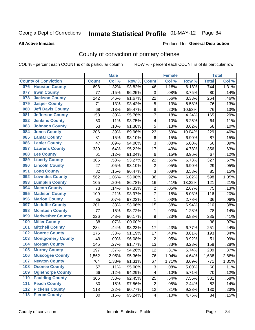#### **All Active Inmates**

#### Produced for **General Distribution**

## County of conviction of primary offense

|                  |                             |              | <b>Male</b> |         |                          | <b>Female</b> |        |              | <b>Total</b> |
|------------------|-----------------------------|--------------|-------------|---------|--------------------------|---------------|--------|--------------|--------------|
|                  | <b>County of Conviction</b> | <b>Count</b> | Col %       | Row %   | <b>Count</b>             | Col %         | Row %  | <b>Total</b> | Col %        |
|                  | 076 Houston County          | 698          | 1.32%       | 93.82%  | 46                       | 1.18%         | 6.18%  | 744          | 1.31%        |
| 077              | <b>Irwin County</b>         | 77           | .15%        | 96.25%  | 3                        | .08%          | 3.75%  | 80           | .14%         |
| 078              | <b>Jackson County</b>       | 242          | .46%        | 91.67%  | 22                       | .56%          | 8.33%  | 264          | .46%         |
| 079              | <b>Jasper County</b>        | 71           | .13%        | 93.42%  | 5                        | .13%          | 6.58%  | 76           | .13%         |
| 080              | <b>Jeff Davis County</b>    | 68           | .13%        | 89.47%  | 8                        | .20%          | 10.53% | 76           | .13%         |
| 081              | <b>Jefferson County</b>     | 158          | .30%        | 95.76%  | $\overline{7}$           | .18%          | 4.24%  | 165          | .29%         |
| 082              | <b>Jenkins County</b>       | 60           | .11%        | 93.75%  | 4                        | .10%          | 6.25%  | 64           | .11%         |
| 083              | <b>Johnson County</b>       | 53           | .10%        | 91.38%  | 5                        | .13%          | 8.62%  | 58           | .10%         |
| 084              | <b>Jones County</b>         | 206          | .39%        | 89.96%  | 23                       | .59%          | 10.04% | 229          | .40%         |
| 085              | <b>Lamar County</b>         | 81           | .15%        | 93.10%  | $\,6$                    | .15%          | 6.90%  | 87           | .15%         |
| 086              | <b>Lanier County</b>        | 47           | .09%        | 94.00%  | 3                        | .08%          | 6.00%  | 50           | .09%         |
| 087              | <b>Laurens County</b>       | 339          | .64%        | 95.22%  | 17                       | .43%          | 4.78%  | 356          | .63%         |
| 088              | <b>Lee County</b>           | 61           | .12%        | 91.04%  | $\,6$                    | .15%          | 8.96%  | 67           | .12%         |
| 089              | <b>Liberty County</b>       | 305          | .58%        | 93.27%  | 22                       | .56%          | 6.73%  | 327          | .57%         |
| 090              | <b>Lincoln County</b>       | 27           | .05%        | 93.10%  | $\mathbf 2$              | .05%          | 6.90%  | 29           | .05%         |
| 091              | <b>Long County</b>          | 82           | .15%        | 96.47%  | 3                        | .08%          | 3.53%  | 85           | .15%         |
| 092              | <b>Lowndes County</b>       | 562          | 1.06%       | 93.98%  | 36                       | .92%          | 6.02%  | 598          | 1.05%        |
| 093              | <b>Lumpkin County</b>       | 105          | .20%        | 86.78%  | 16                       | .41%          | 13.22% | 121          | .21%         |
| 094              | <b>Macon County</b>         | 73           | .14%        | 97.33%  | $\overline{c}$           | .05%          | 2.67%  | 75           | .13%         |
| 095              | <b>Madison County</b>       | 109          | .21%        | 93.97%  | $\overline{7}$           | .18%          | 6.03%  | 116          | .20%         |
| 096              | <b>Marion County</b>        | 35           | .07%        | 97.22%  | $\mathbf{1}$             | .03%          | 2.78%  | 36           | .06%         |
| 097              | <b>Mcduffie County</b>      | 201          | .38%        | 93.06%  | 15                       | .38%          | 6.94%  | 216          | .38%         |
| 098              | <b>Mcintosh County</b>      | 77           | .15%        | 98.72%  | 1                        | .03%          | 1.28%  | 78           | .14%         |
| 099              | <b>Meriwether County</b>    | 226          | .43%        | 96.17%  | 9                        | .23%          | 3.83%  | 235          | .41%         |
| 100              | <b>Miller County</b>        | 38           | .07%        | 100.00% |                          |               |        | 38           | .07%         |
| 101              | <b>Mitchell County</b>      | 234          | .44%        | 93.23%  | 17                       | .43%          | 6.77%  | 251          | .44%         |
| 102              | <b>Monroe County</b>        | 176          | .33%        | 91.19%  | 17                       | .43%          | 8.81%  | 193          | .34%         |
| 103              | <b>Montgomery County</b>    | 49           | .09%        | 96.08%  | $\overline{2}$           | .05%          | 3.92%  | 51           | .09%         |
| 104              | <b>Morgan County</b>        | 145          | .27%        | 91.77%  | 13                       | .33%          | 8.23%  | 158          | .28%         |
| 105              | <b>Murray County</b>        | 197          | .37%        | 94.26%  | 12                       | .31%          | 5.74%  | 209          | .37%         |
| 106              | <b>Muscogee County</b>      | 1,562        | 2.95%       | 95.36%  | 76                       | 1.94%         | 4.64%  | 1,638        | 2.88%        |
| 107              | <b>Newton County</b>        | 704          | 1.33%       | 91.31%  | 67                       | 1.71%         | 8.69%  | 771          | 1.35%        |
| 108              | <b>Oconee County</b>        | 57           | .11%        | 95.00%  | 3                        | .08%          | 5.00%  | 60           | .11%         |
| 109              | <b>Oglethorpe County</b>    | 66           | .12%        | 94.29%  | 4                        | .10%          | 5.71%  | 70           | .12%         |
| 110              | <b>Paulding County</b>      | 306          | .58%        | 92.45%  | 25                       | .64%          | 7.55%  | 331          | .58%         |
| 111              | <b>Peach County</b>         | 80           | .15%        | 97.56%  | $\overline{2}$           | .05%          | 2.44%  | 82           | .14%         |
| $\overline{112}$ | <b>Pickens County</b>       | 118          | .22%        | 90.77%  | 12                       | .31%          | 9.23%  | 130          | .23%         |
| 113              | <b>Pierce County</b>        | 80           | .15%        | 95.24%  | $\overline{\mathcal{A}}$ | .10%          | 4.76%  | 84           | .15%         |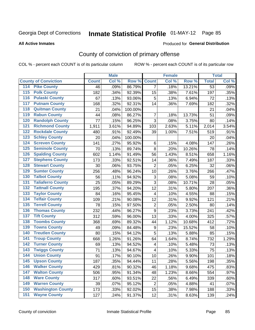#### **All Active Inmates**

#### Produced for **General Distribution**

## County of conviction of primary offense

|                                          |              | <b>Male</b> |         |                | <b>Female</b> |        |                 | <b>Total</b> |
|------------------------------------------|--------------|-------------|---------|----------------|---------------|--------|-----------------|--------------|
| <b>County of Conviction</b>              | <b>Count</b> | Col %       | Row %   | <b>Count</b>   | Col %         | Row %  | <b>Total</b>    | Col %        |
| <b>Pike County</b><br>114                | 46           | .09%        | 86.79%  | $\overline{7}$ | .18%          | 13.21% | $\overline{53}$ | .09%         |
| <b>Polk County</b><br>$\overline{115}$   | 182          | .34%        | 92.39%  | 15             | .38%          | 7.61%  | 197             | .35%         |
| <b>Pulaski County</b><br>116             | 67           | .13%        | 93.06%  | 5              | .13%          | 6.94%  | 72              | .13%         |
| <b>Putnam County</b><br>117              | 168          | .32%        | 92.31%  | 14             | .36%          | 7.69%  | 182             | .32%         |
| <b>Quitman County</b><br>118             | 21           | .04%        | 100.00% |                |               |        | 21              | .04%         |
| <b>Rabun County</b><br>119               | 44           | .08%        | 86.27%  | $\overline{7}$ | .18%          | 13.73% | 51              | .09%         |
| <b>Randolph County</b><br>120            | 77           | .15%        | 96.25%  | $\overline{3}$ | .08%          | 3.75%  | 80              | .14%         |
| <b>Richmond County</b><br>121            | 1,911        | 3.61%       | 94.89%  | 103            | 2.63%         | 5.11%  | 2,014           | 3.54%        |
| <b>Rockdale County</b><br>122            | 480          | .91%        | 92.49%  | 39             | 1.00%         | 7.51%  | 519             | .91%         |
| <b>Schley County</b><br>123              | 20           | .04%        | 100.00% |                |               |        | 20              | .04%         |
| <b>Screven County</b><br>124             | 141          | .27%        | 95.92%  | 6              | .15%          | 4.08%  | 147             | .26%         |
| <b>Seminole County</b><br>125            | 70           | .13%        | 89.74%  | 8              | .20%          | 10.26% | 78              | .14%         |
| <b>Spalding County</b><br>126            | 602          | 1.14%       | 91.49%  | 56             | 1.43%         | 8.51%  | 658             | 1.16%        |
| <b>Stephens County</b><br>127            | 173          | .33%        | 92.51%  | 14             | .36%          | 7.49%  | 187             | .33%         |
| <b>Stewart County</b><br>128             | 30           | .06%        | 93.75%  | $\overline{2}$ | .05%          | 6.25%  | 32              | .06%         |
| <b>Sumter County</b><br>129              | 256          | .48%        | 96.24%  | 10             | .26%          | 3.76%  | 266             | .47%         |
| <b>Talbot County</b><br>130              | 56           | .11%        | 94.92%  | 3              | .08%          | 5.08%  | 59              | .10%         |
| <b>Taliaferro County</b><br>131          | 25           | .05%        | 89.29%  | 3              | .08%          | 10.71% | 28              | .05%         |
| <b>Tattnall County</b><br>132            | 195          | .37%        | 94.20%  | 12             | .31%          | 5.80%  | 207             | .36%         |
| <b>Taylor County</b><br>133              | 84           | .16%        | 95.45%  | $\overline{4}$ | .10%          | 4.55%  | 88              | .15%         |
| <b>Telfair County</b><br>134             | 109          | .21%        | 90.08%  | 12             | .31%          | 9.92%  | 121             | .21%         |
| <b>Terrell County</b><br>135             | 78           | .15%        | 97.50%  | $\mathbf 2$    | .05%          | 2.50%  | 80              | .14%         |
| <b>Thomas County</b><br>136              | 232          | .44%        | 96.27%  | $\mathsf g$    | .23%          | 3.73%  | 241             | .42%         |
| <b>Tift County</b><br>137                | 312          | .59%        | 96.00%  | 13             | .33%          | 4.00%  | 325             | .57%         |
| <b>Toombs County</b><br>138              | 368          | .69%        | 89.32%  | 44             | 1.12%         | 10.68% | 412             | .72%         |
| <b>Towns County</b><br>139               | 49           | .09%        | 84.48%  | 9              | .23%          | 15.52% | 58              | .10%         |
| <b>Treutlen County</b><br>140            | 80           | .15%        | 94.12%  | 5              | .13%          | 5.88%  | 85              | .15%         |
| <b>Troup County</b><br>141               | 668          | 1.26%       | 91.26%  | 64             | 1.64%         | 8.74%  | 732             | 1.29%        |
| <b>Turner County</b><br>142              | 69           | .13%        | 94.52%  | 4              | .10%          | 5.48%  | 73              | .13%         |
| <b>Twiggs County</b><br>$\overline{143}$ | 71           | .13%        | 94.67%  | 4              | .10%          | 5.33%  | 75              | .13%         |
| <b>Union County</b><br>144               | 91           | .17%        | 90.10%  | 10             | .26%          | 9.90%  | 101             | .18%         |
| 145<br><b>Upson County</b>               | 187          | .35%        | 94.44%  | 11             | .28%          | 5.56%  | 198             | .35%         |
| <b>Walker County</b><br>146              | 429          | .81%        | 90.32%  | 46             | 1.18%         | 9.68%  | 475             | .83%         |
| <b>Walton County</b><br>147              | 506          | .95%        | 91.34%  | 48             | 1.23%         | 8.66%  | 554             | .97%         |
| <b>Ware County</b><br>148                | 317          | .60%        | 93.51%  | 22             | .56%          | 6.49%  | 339             | .60%         |
| <b>Warren County</b><br>149              | 39           | .07%        | 95.12%  | $\overline{2}$ | .05%          | 4.88%  | 41              | .07%         |
| <b>Washington County</b><br>150          | 173          | .33%        | 92.02%  | 15             | .38%          | 7.98%  | 188             | .33%         |
| <b>Wayne County</b><br>151               | 127          | .24%        | 91.37%  | 12             | .31%          | 8.63%  | 139             | .24%         |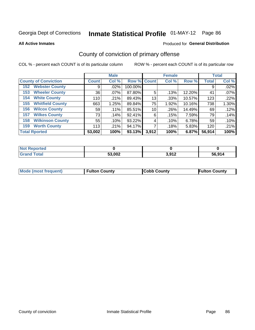**All Active Inmates**

#### Produced for **General Distribution**

### County of conviction of primary offense

|                                |              | <b>Male</b> |             |       | <b>Female</b> |        |              | <b>Total</b> |
|--------------------------------|--------------|-------------|-------------|-------|---------------|--------|--------------|--------------|
| <b>County of Conviction</b>    | <b>Count</b> | Col %       | Row % Count |       | Col %         | Row %  | <b>Total</b> | Col %        |
| <b>Webster County</b><br>152   | 9            | $.02\%$     | 100.00%     |       |               |        | 9            | .02%         |
| <b>Wheeler County</b><br>153   | 36           | .07%        | 87.80%      | 5     | .13%          | 12.20% | 41           | .07%         |
| <b>White County</b><br>154     | 110          | .21%        | 89.43%      | 13    | .33%          | 10.57% | 123          | .22%         |
| <b>Whitfield County</b><br>155 | 663          | 1.25%       | 89.84%      | 75    | 1.92%         | 10.16% | 738          | 1.30%        |
| <b>Wilcox County</b><br>156    | 59           | .11%        | 85.51%      | 10    | .26%          | 14.49% | 69           | .12%         |
| <b>Wilkes County</b><br>157    | 73           | .14%        | 92.41%      | 6     | .15%          | 7.59%  | 79           | .14%         |
| <b>Wilkinson County</b><br>158 | 55           | .10%        | 93.22%      | 4     | .10%          | 6.78%  | 59           | .10%         |
| <b>Worth County</b><br>159     | 113          | .21%        | 94.17%      |       | .18%          | 5.83%  | 120          | .21%         |
| <b>Total Rported</b>           | 53,002       | 100%        | 93.13%      | 3,912 | 100%          | 6.87%  | 56,914       | 100%         |

| <b>Not Reported</b> |        |       |        |
|---------------------|--------|-------|--------|
| <b>Grand Total</b>  | 53,002 | 3,912 | 56,914 |

| Mode (most frequent) | <b>Fulton County</b> | <b>Cobb County</b> | <b>Fulton County</b> |
|----------------------|----------------------|--------------------|----------------------|
|                      |                      |                    |                      |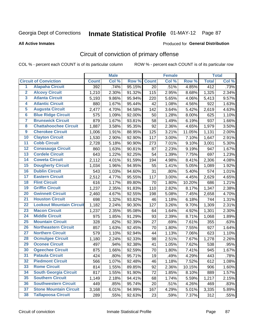#### **All Active Inmates**

#### Produced for **General Distribution**

## Circuit of conviction of primary offense

|                         |                                 |              | <b>Male</b> |        |              | <b>Female</b> |        |              | <b>Total</b> |
|-------------------------|---------------------------------|--------------|-------------|--------|--------------|---------------|--------|--------------|--------------|
|                         | <b>Circuit of Conviction</b>    | <b>Count</b> | Col %       | Row %  | <b>Count</b> | Col %         | Row %  | <b>Total</b> | Col %        |
| $\overline{1}$          | <b>Alapaha Circuit</b>          | 392          | .74%        | 95.15% | 20           | .51%          | 4.85%  | 412          | .73%         |
| $\overline{2}$          | <b>Alcovy Circuit</b>           | 1,210        | 2.30%       | 91.32% | 115          | 2.95%         | 8.68%  | 1,325        | 2.34%        |
| 3                       | <b>Atlanta Circuit</b>          | 5,193        | 9.86%       | 95.94% | 220          | 5.65%         | 4.06%  | 5,413        | 9.57%        |
| 4                       | <b>Atlantic Circuit</b>         | 880          | 1.67%       | 95.44% | 42           | 1.08%         | 4.56%  | 922          | 1.63%        |
| 5                       | <b>Augusta Circuit</b>          | 2,477        | 4.70%       | 94.58% | 142          | 3.64%         | 5.42%  | 2,619        | 4.63%        |
| 6                       | <b>Blue Ridge Circuit</b>       | 575          | 1.09%       | 92.00% | 50           | 1.28%         | 8.00%  | 625          | 1.10%        |
| $\overline{\mathbf{7}}$ | <b>Brunswick Circuit</b>        | 879          | 1.67%       | 93.81% | 58           | 1.49%         | 6.19%  | 937          | 1.66%        |
| 8                       | <b>Chattahoochee Circuit</b>    | 1,887        | 3.58%       | 95.35% | 92           | 2.36%         | 4.65%  | 1,979        | 3.50%        |
| $\overline{9}$          | <b>Cherokee Circuit</b>         | 1,006        | 1.91%       | 88.95% | 125          | 3.21%         | 11.05% | 1,131        | 2.00%        |
| 10                      | <b>Clayton Circuit</b>          | 1,530        | 2.90%       | 92.90% | 117          | 3.00%         | 7.10%  | 1,647        | 2.91%        |
| 11                      | <b>Cobb Circuit</b>             | 2,728        | 5.18%       | 90.90% | 273          | 7.01%         | 9.10%  | 3,001        | 5.30%        |
| 12                      | <b>Conasauga Circuit</b>        | 860          | 1.63%       | 90.81% | 87           | 2.23%         | 9.19%  | 947          | 1.67%        |
| 13                      | <b>Cordele Circuit</b>          | 643          | 1.22%       | 92.25% | 54           | 1.39%         | 7.75%  | 697          | 1.23%        |
| $\overline{14}$         | <b>Coweta Circuit</b>           | 2,112        | 4.01%       | 91.59% | 194          | 4.98%         | 8.41%  | 2,306        | 4.08%        |
| 15                      | <b>Dougherty Circuit</b>        | 1,034        | 1.96%       | 94.95% | 55           | 1.41%         | 5.05%  | 1,089        | 1.92%        |
| 16                      | <b>Dublin Circuit</b>           | 543          | 1.03%       | 94.60% | 31           | .80%          | 5.40%  | 574          | 1.01%        |
| 17                      | <b>Eastern Circuit</b>          | 2,512        | 4.77%       | 95.55% | 117          | 3.00%         | 4.45%  | 2,629        | 4.65%        |
| 18                      | <b>Flint Circuit</b>            | 616          | 1.17%       | 89.80% | 70           | 1.80%         | 10.20% | 686          | 1.21%        |
| 19                      | <b>Griffin Circuit</b>          | 1,237        | 2.35%       | 91.83% | 110          | 2.82%         | 8.17%  | 1,347        | 2.38%        |
| 20                      | <b>Gwinnett Circuit</b>         | 2,460        | 4.67%       | 92.55% | 198          | 5.08%         | 7.45%  | 2,658        | 4.70%        |
| $\overline{21}$         | <b>Houston Circuit</b>          | 698          | 1.32%       | 93.82% | 46           | 1.18%         | 6.18%  | 744          | 1.31%        |
| $\overline{22}$         | <b>Lookout Mountain Circuit</b> | 1,182        | 2.24%       | 90.30% | 127          | 3.26%         | 9.70%  | 1,309        | 2.31%        |
| 23                      | <b>Macon Circuit</b>            | 1,237        | 2.35%       | 95.08% | 64           | 1.64%         | 4.92%  | 1,301        | 2.30%        |
| 24                      | <b>Middle Circuit</b>           | 975          | 1.85%       | 91.29% | 93           | 2.39%         | 8.71%  | 1,068        | 1.89%        |
| 25                      | <b>Mountain Circuit</b>         | 328          | .62%        | 92.39% | 27           | .69%          | 7.61%  | 355          | .63%         |
| 26                      | <b>Northeastern Circuit</b>     | 857          | 1.63%       | 92.45% | 70           | 1.80%         | 7.55%  | 927          | 1.64%        |
| $\overline{27}$         | <b>Northern Circuit</b>         | 579          | 1.10%       | 92.94% | 44           | 1.13%         | 7.06%  | 623          | 1.10%        |
| 28                      | <b>Ocmulgee Circuit</b>         | 1,180        | 2.24%       | 92.33% | 98           | 2.51%         | 7.67%  | 1,278        | 2.26%        |
| 29                      | <b>Oconee Circuit</b>           | 497          | .94%        | 92.38% | 41           | 1.05%         | 7.62%  | 538          | .95%         |
| 30                      | <b>Ogeechee Circuit</b>         | 875          | 1.66%       | 92.59% | 70           | 1.80%         | 7.41%  | 945          | 1.67%        |
| $\overline{31}$         | <b>Pataula Circuit</b>          | 424          | .80%        | 95.71% | 19           | .49%          | 4.29%  | 443          | .78%         |
| 32                      | <b>Piedmont Circuit</b>         | 566          | 1.07%       | 92.48% | 46           | 1.18%         | 7.52%  | 612          | 1.08%        |
| 33                      | <b>Rome Circuit</b>             | 814          | 1.55%       | 89.85% | 92           | 2.36%         | 10.15% | 906          | 1.60%        |
| 34                      | <b>South Georgia Circuit</b>    | 817          | 1.55%       | 91.90% | 72           | 1.85%         | 8.10%  | 889          | 1.57%        |
| 35                      | <b>Southern Circuit</b>         | 1,149        | 2.18%       | 94.41% | 68           | 1.74%         | 5.59%  | 1,217        | 2.15%        |
| 36                      | <b>Southwestern Circuit</b>     | 449          | .85%        | 95.74% | 20           | .51%          | 4.26%  | 469          | .83%         |
| 37                      | <b>Stone Mountain Circuit</b>   | 3,168        | 6.01%       | 94.99% | 167          | 4.29%         | 5.01%  | 3,335        | 5.89%        |
| 38                      | <b>Tallapoosa Circuit</b>       | 289          | .55%        | 92.63% | 23           | .59%          | 7.37%  | 312          | .55%         |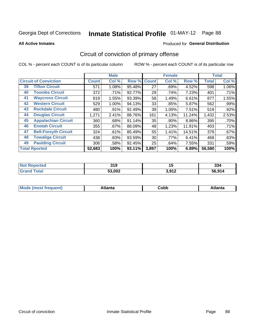**All Active Inmates**

#### Produced for **General Distribution**

## Circuit of conviction of primary offense

|    |                              |              | <b>Male</b> |        |              | <b>Female</b> |          |              | <b>Total</b> |
|----|------------------------------|--------------|-------------|--------|--------------|---------------|----------|--------------|--------------|
|    | <b>Circuit of Conviction</b> | <b>Count</b> | Col %       | Row %  | <b>Count</b> | Col %         | Row %    | <b>Total</b> | Col %        |
| 39 | <b>Tifton Circuit</b>        | 571          | 1.08%       | 95.48% | 27           | .69%          | 4.52%    | 598          | 1.06%        |
| 40 | <b>Toombs Circuit</b>        | 372          | .71%        | 92.77% | 29           | .74%          | 7.23%    | 401          | .71%         |
| 41 | <b>Waycross Circuit</b>      | 819          | 1.55%       | 93.39% | 58           | 1.49%         | 6.61%    | 877          | 1.55%        |
| 42 | <b>Western Circuit</b>       | 529          | 1.00%       | 94.13% | 33           | .85%          | 5.87%    | 562          | .99%         |
| 43 | <b>Rockdale Circuit</b>      | 480          | $.91\%$     | 92.49% | 39           | 1.00%         | 7.51%    | 519          | .92%         |
| 44 | <b>Douglas Circuit</b>       | 1,271        | 2.41%       | 88.76% | 161          | 4.13%         | 11.24%   | 1,432        | 2.53%        |
| 45 | <b>Appalachian Circuit</b>   | 360          | .68%        | 91.14% | 35           | .90%          | $8.86\%$ | 395          | .70%         |
| 46 | <b>Enotah Circuit</b>        | 355          | .67%        | 88.09% | 48           | 1.23%         | 11.91%   | 403          | .71%         |
| 47 | <b>Bell-Forsyth Circuit</b>  | 324          | .61%        | 85.49% | 55           | 1.41%         | 14.51%   | 379          | .67%         |
| 48 | <b>Towaliga Circuit</b>      | 438          | .83%        | 93.59% | 30           | .77%          | 6.41%    | 468          | .83%         |
| 49 | <b>Paulding Circuit</b>      | 306          | .58%        | 92.45% | 25           | .64%          | 7.55%    | 331          | .59%         |
|    | <b>Total Rported</b>         | 52,683       | 100%        | 93.11% | 3,897        | 100%          | 6.89%    | 56,580       | 100%         |

| Teo | 21 N   | .,    | nn.    |
|-----|--------|-------|--------|
| N   | UIJ    |       | ააყ    |
|     | 53,002 | 2.012 | 56.914 |

| M | . | -----<br>oг | ----<br>пLс |
|---|---|-------------|-------------|
|   |   | <b>OUNN</b> |             |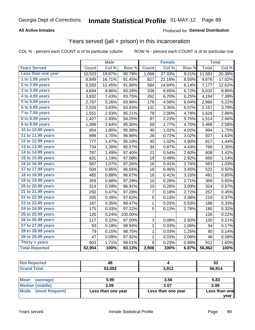#### **All Active Inmates**

#### Produced for **General Distribution**

### Years served (jail + prison) in this incarceration

|                        |              | <b>Male</b> |         |                | <b>Female</b> |       |              | <b>Total</b> |
|------------------------|--------------|-------------|---------|----------------|---------------|-------|--------------|--------------|
| <b>Years Served</b>    | <b>Count</b> | Col %       | Row %   | <b>Count</b>   | Col %         | Row % | <b>Total</b> | Col %        |
| Less than one year     | 10,523       | 19.87%      | 90.79%  | 1,068          | 27.33%        | 9.21% | 11,591       | 20.38%       |
| 1 to 1.99 years        | 8,849        | 16.71%      | 91.45%  | 827            | 21.16%        | 8.55% | 9,676        | 17.02%       |
| 2 to 2.99 years        | 6,593        | 12.45%      | 91.86%  | 584            | 14.94%        | 8.14% | 7,177        | 12.62%       |
| 3 to 3.99 years        | 4,694        | 8.86%       | 93.28%  | 338            | 8.65%         | 6.72% | 5,032        | 8.85%        |
| 4 to 4.99 years        | 3,932        | 7.43%       | 93.75%  | 262            | 6.70%         | 6.25% | 4,194        | 7.38%        |
| 5 to 5.99 years        | 2,787        | 5.26%       | 93.96%  | 179            | 4.58%         | 6.04% | 2,966        | 5.22%        |
| 6 to 6.99 years        | 2,026        | 3.83%       | 93.93%  | 131            | 3.35%         | 6.07% | 2,157        | 3.79%        |
| 7 to 7.99 years        | 1,551        | 2.93%       | 95.21%  | 78             | 2.00%         | 4.79% | 1,629        | 2.86%        |
| <b>8 to 8.99 years</b> | 1,427        | 2.69%       | 94.25%  | 87             | 2.23%         | 5.75% | 1,514        | 2.66%        |
| 9 to 9.99 years        | 1,399        | 2.64%       | 95.30%  | 69             | 1.77%         | 4.70% | 1,468        | 2.58%        |
| 10 to 10.99 years      | 954          | 1.80%       | 95.98%  | 40             | 1.02%         | 4.02% | 994          | 1.75%        |
| 11 to 11.99 years      | 899          | 1.70%       | 96.98%  | 28             | 0.72%         | 3.02% | 927          | 1.63%        |
| 12 to 12.99 years      | 777          | 1.47%       | 95.10%  | 40             | 1.02%         | 4.90% | 817          | 1.44%        |
| 13 to 13.99 years      | 734          | 1.39%       | 95.57%  | 34             | 0.87%         | 4.43% | 768          | 1.35%        |
| 14 to 14.99 years      | 787          | 1.49%       | 97.40%  | 21             | 0.54%         | 2.60% | 808          | 1.42%        |
| 15 to 15.99 years      | 631          | 1.19%       | 97.08%  | 19             | 0.49%         | 2.92% | 650          | 1.14%        |
| 16 to 16.99 years      | 567          | 1.07%       | 97.26%  | 16             | 0.41%         | 2.74% | 583          | 1.03%        |
| 17 to 17.99 years      | 504          | 0.95%       | 96.55%  | 18             | 0.46%         | 3.45% | 522          | 0.92%        |
| 18 to 18.99 years      | 465          | 0.88%       | 96.67%  | 16             | 0.41%         | 3.33% | 481          | 0.85%        |
| 19 to 19.99 years      | 359          | 0.68%       | 97.29%  | 10             | $0.26\%$      | 2.71% | 369          | 0.65%        |
| 20 to 20.99 years      | 314          | 0.59%       | 96.91%  | 10             | 0.26%         | 3.09% | 324          | 0.57%        |
| 21 to 21.99 years      | 250          | 0.47%       | 97.28%  | 7              | 0.18%         | 2.72% | 257          | 0.45%        |
| 22 to 22.99 years      | 205          | 0.39%       | 97.62%  | 5              | 0.13%         | 2.38% | 210          | 0.37%        |
| 23 to 23.99 years      | 187          | 0.35%       | 99.47%  | $\mathbf{1}$   | 0.03%         | 0.53% | 188          | 0.33%        |
| 24 to 24.99 years      | 175          | 0.33%       | 97.22%  | $\overline{5}$ | 0.13%         | 2.78% | 180          | 0.32%        |
| 25 to 25.99 years      | 126          | 0.24%       | 100.00% |                |               |       | 126          | 0.22%        |
| 26 to 26.99 years      | 117          | 0.22%       | 97.50%  | 3              | 0.08%         | 2.50% | 120          | 0.21%        |
| 27 to 27.99 years      | 93           | 0.18%       | 98.94%  | $\mathbf 1$    | 0.03%         | 1.06% | 94           | 0.17%        |
| 28 to 28.99 years      | 79           | 0.15%       | 98.75%  | $\mathbf 1$    | 0.03%         | 1.25% | 80           | 0.14%        |
| 29 to 29.99 years      | 47           | 0.09%       | 97.92%  | 1              | 0.03%         | 2.08% | 48           | 0.08%        |
| Thirty + years         | 903          | 1.71%       | 99.01%  | 9              | 0.23%         | 0.99% | 912          | 1.60%        |
| <b>Total Reported</b>  | 52,954       | 100%        | 93.13%  | 3,908          | 100%          | 6.87% | 56,862       | 100%         |

| <b>Not Reported</b> | 48     |       | 52     |
|---------------------|--------|-------|--------|
| <b>Grand Total</b>  | 53,002 | 3,912 | 56,914 |
|                     |        |       |        |

| <b>Mean</b><br>(average) | 5.99               | 3.56               | 5.83          |
|--------------------------|--------------------|--------------------|---------------|
| Median (middle)          | 3.09               | 2.07               | 2.99          |
| Mode (most frequent)     | Less than one year | Less than one year | Less than one |
|                          |                    |                    | vear          |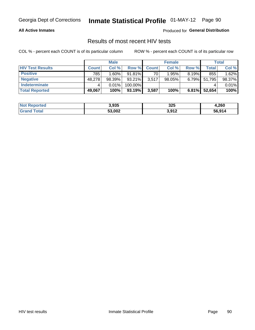#### **All Active Inmates**

Produced for **General Distribution**

### Results of most recent HIV tests

|                         |              | <b>Male</b> |           |              | <b>Female</b> |          |        | Total  |
|-------------------------|--------------|-------------|-----------|--------------|---------------|----------|--------|--------|
| <b>HIV Test Results</b> | <b>Count</b> | Col%        | Row %I    | <b>Count</b> | Col %         | Row %    | Total  | Col %  |
| <b>Positive</b>         | 785          | 1.60%       | $91.81\%$ | 70           | 1.95%         | $8.19\%$ | 855    | 1.62%  |
| <b>Negative</b>         | 48,278       | 98.39%      | $93.21\%$ | 3,517        | $98.05\%$     | $6.79\%$ | 51,795 | 98.37% |
| <b>Indeterminate</b>    |              | 0.01%       | 100.00%   |              |               |          |        | 0.01%  |
| <b>Total Reported</b>   | 49,067       | 100%        | 93.19%    | 3,587        | 100%          | 6.81%    | 52,654 | 100%   |

| <b>Not Reported</b> | 3,935  | 325   | 4,260  |
|---------------------|--------|-------|--------|
| Total<br>Grane      | 53,002 | 3,912 | 56,914 |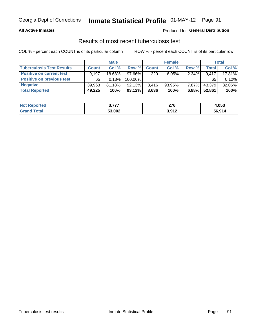#### **All Active Inmates**

#### Produced for **General Distribution**

### Results of most recent tuberculosis test

|                                  | <b>Male</b>  |        |           | <b>Female</b> |           |          | Total        |        |
|----------------------------------|--------------|--------|-----------|---------------|-----------|----------|--------------|--------|
| <b>Tuberculosis Test Results</b> | <b>Count</b> | Col%   | Row %     | <b>Count</b>  | Col %     | Row %    | <b>Total</b> | Col %  |
| <b>Positive on current test</b>  | 9.197        | 18.68% | $97.66\%$ | 220           | 6.05%     | $2.34\%$ | 9.417        | 17.81% |
| <b>Positive on previous test</b> | 65           | 0.13%  | 100.00%   |               |           |          | 65           | 0.12%  |
| <b>Negative</b>                  | 39,963       | 81.18% | 92.13%    | 3.416         | $93.95\%$ | $7.87\%$ | 43,379       | 82.06% |
| <b>Total Reported</b>            | 49,225       | 100%   | $93.12\%$ | 3,636         | 100%      | 6.88%    | 52,861       | 100%   |

| <b>Not Reported</b> | , ,,,, | <b>070</b><br>21 D | 4,053  |
|---------------------|--------|--------------------|--------|
| Total<br>Gran       | 53,002 | 3,912              | 56,914 |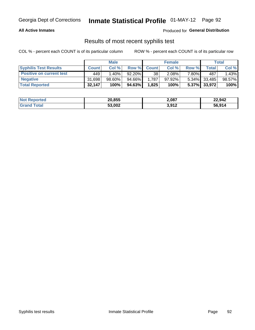#### **All Active Inmates**

Produced for **General Distribution**

#### Results of most recent syphilis test

|                                 | <b>Male</b>  |           |           | <b>Female</b> |           |       | Total           |        |
|---------------------------------|--------------|-----------|-----------|---------------|-----------|-------|-----------------|--------|
| <b>Syphilis Test Results</b>    | <b>Count</b> | Col%      | Row %     | <b>Count</b>  | Col %     | Row % | Total I         | Col %  |
| <b>Positive on current test</b> | 449          | $1.40\%$  | $92.20\%$ | 38            | $2.08\%$  | 7.80% | 487             | 1.43%  |
| <b>Negative</b>                 | 31.698       | $98.60\%$ | 94.66%    | .787          | $97.92\%$ |       | $5.34\%$ 33,485 | 98.57% |
| <b>Total Reported</b>           | 32,147       | 100%      | 94.63%    | 1,825         | 100%      |       | 5.37% 33,972    | 100%   |

| <b>Not Reported</b> | 20,855 | 2,087 | 22,942 |
|---------------------|--------|-------|--------|
| <b>Grand Total</b>  | 53,002 | 3,912 | 56,914 |